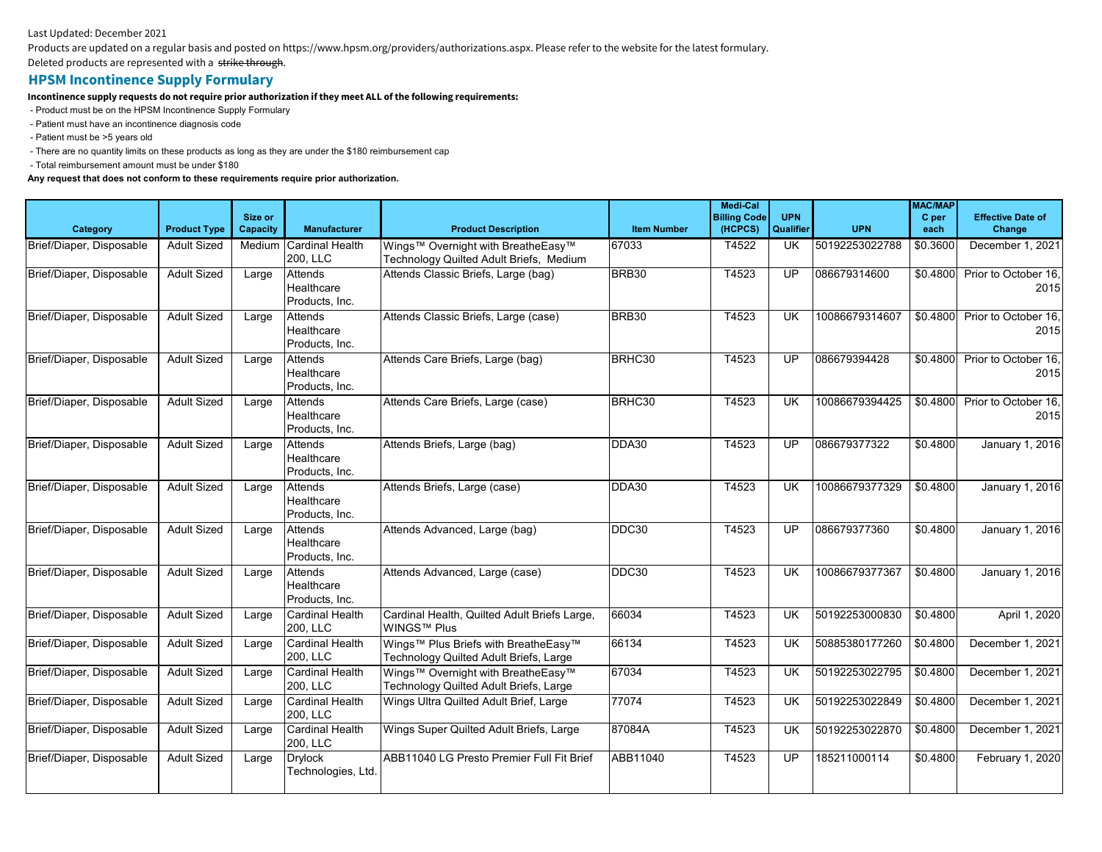## Last Updated: December 2021

Products are updated on a regular basis and posted on https://www.hpsm.org/providers/authorizations.aspx. Please refer to the website for the latest formulary.

Deleted products are represented with a strike through.

## **HPSM Incontinence Supply Formulary**

**Incontinence supply requests do not require prior authorization if they meet ALL of the following requirements:**

- Product must be on the HPSM Incontinence Supply Formulary

- Patient must have an incontinence diagnosis code
- Patient must be >5 years old

- There are no quantity limits on these products as long as they are under the \$180 reimbursement cap

- Total reimbursement amount must be under \$180

## **Any request that does not conform to these requirements require prior authorization.**

|                          |                     | Size or  |                                         |                                                                                |                    | <b>Medi-Cal</b><br><b>Billing Code</b> | <b>UPN</b>      |                | <b>MAC/MAP</b><br>C per | <b>Effective Date of</b>              |
|--------------------------|---------------------|----------|-----------------------------------------|--------------------------------------------------------------------------------|--------------------|----------------------------------------|-----------------|----------------|-------------------------|---------------------------------------|
| Category                 | <b>Product Type</b> | Capacity | <b>Manufacturer</b>                     | <b>Product Description</b>                                                     | <b>Item Number</b> | (HCPCS)                                | Qualifier       | <b>UPN</b>     | each                    | Change                                |
| Brief/Diaper, Disposable | <b>Adult Sized</b>  | Medium   | Cardinal Health<br>200, LLC             | Wings™ Overnight with BreatheEasy™<br>Technology Quilted Adult Briefs, Medium  | 67033              | T4522                                  | UK.             | 50192253022788 | \$0.3600                | December 1, 2021                      |
| Brief/Diaper, Disposable | <b>Adult Sized</b>  | Large    | Attends<br>Healthcare<br>Products, Inc. | Attends Classic Briefs, Large (bag)                                            | BRB30              | T4523                                  | UP              | 086679314600   | \$0.4800                | Prior to October 16,<br>2015          |
| Brief/Diaper, Disposable | <b>Adult Sized</b>  | Large    | Attends<br>Healthcare<br>Products. Inc. | Attends Classic Briefs, Large (case)                                           | BRB30              | T4523                                  | UK              | 10086679314607 |                         | \$0.4800 Prior to October 16,<br>2015 |
| Brief/Diaper, Disposable | <b>Adult Sized</b>  | Large    | Attends<br>Healthcare<br>Products, Inc. | Attends Care Briefs, Large (bag)                                               | BRHC30             | T4523                                  | UP              | 086679394428   | \$0.4800                | Prior to October 16,<br>2015          |
| Brief/Diaper, Disposable | <b>Adult Sized</b>  | Large    | Attends<br>Healthcare<br>Products, Inc. | Attends Care Briefs, Large (case)                                              | BRHC30             | T4523                                  | <b>UK</b>       | 10086679394425 | \$0.4800                | Prior to October 16.<br>2015          |
| Brief/Diaper, Disposable | <b>Adult Sized</b>  | Large    | Attends<br>Healthcare<br>Products, Inc. | Attends Briefs, Large (bag)                                                    | DDA30              | T4523                                  | $\overline{UP}$ | 086679377322   | \$0.4800                | <b>January 1, 2016</b>                |
| Brief/Diaper, Disposable | <b>Adult Sized</b>  | Large    | Attends<br>Healthcare<br>Products, Inc. | Attends Briefs, Large (case)                                                   | DDA30              | T4523                                  | <b>UK</b>       | 10086679377329 | \$0.4800                | January 1, 2016                       |
| Brief/Diaper, Disposable | <b>Adult Sized</b>  | Large    | Attends<br>Healthcare<br>Products, Inc. | Attends Advanced, Large (bag)                                                  | DDC30              | T4523                                  | UP              | 086679377360   | \$0.4800                | January 1, 2016                       |
| Brief/Diaper, Disposable | <b>Adult Sized</b>  | Large    | Attends<br>Healthcare<br>Products, Inc. | Attends Advanced, Large (case)                                                 | DDC30              | T4523                                  | UK              | 10086679377367 | \$0.4800                | January 1, 2016                       |
| Brief/Diaper, Disposable | <b>Adult Sized</b>  | Large    | <b>Cardinal Health</b><br>200, LLC      | Cardinal Health, Quilted Adult Briefs Large,<br>WINGS™ Plus                    | 66034              | T4523                                  | <b>UK</b>       | 50192253000830 | \$0.4800                | April 1, 2020                         |
| Brief/Diaper, Disposable | <b>Adult Sized</b>  | Large    | <b>Cardinal Health</b><br>200, LLC      | Wings™ Plus Briefs with BreatheEasy™<br>Technology Quilted Adult Briefs, Large | 66134              | T4523                                  | UK              | 50885380177260 | \$0.4800                | December 1, 2021                      |
| Brief/Diaper, Disposable | <b>Adult Sized</b>  | Large    | <b>Cardinal Health</b><br>200, LLC      | Wings™ Overnight with BreatheEasy™<br>Technology Quilted Adult Briefs, Large   | 67034              | T4523                                  | <b>UK</b>       | 50192253022795 | \$0.4800                | December 1, 2021                      |
| Brief/Diaper, Disposable | <b>Adult Sized</b>  | Large    | <b>Cardinal Health</b><br>200, LLC      | Wings Ultra Quilted Adult Brief, Large                                         | 77074              | T4523                                  | <b>UK</b>       | 50192253022849 | \$0.4800                | December 1, 2021                      |
| Brief/Diaper, Disposable | <b>Adult Sized</b>  | Large    | Cardinal Health<br>200, LLC             | Wings Super Quilted Adult Briefs, Large                                        | 87084A             | T4523                                  | UK.             | 50192253022870 | \$0.4800                | December 1, 2021                      |
| Brief/Diaper, Disposable | <b>Adult Sized</b>  | Large    | <b>Drylock</b><br>Technologies, Ltd.    | ABB11040 LG Presto Premier Full Fit Brief                                      | ABB11040           | T4523                                  | UP              | 185211000114   | \$0.4800                | February 1, 2020                      |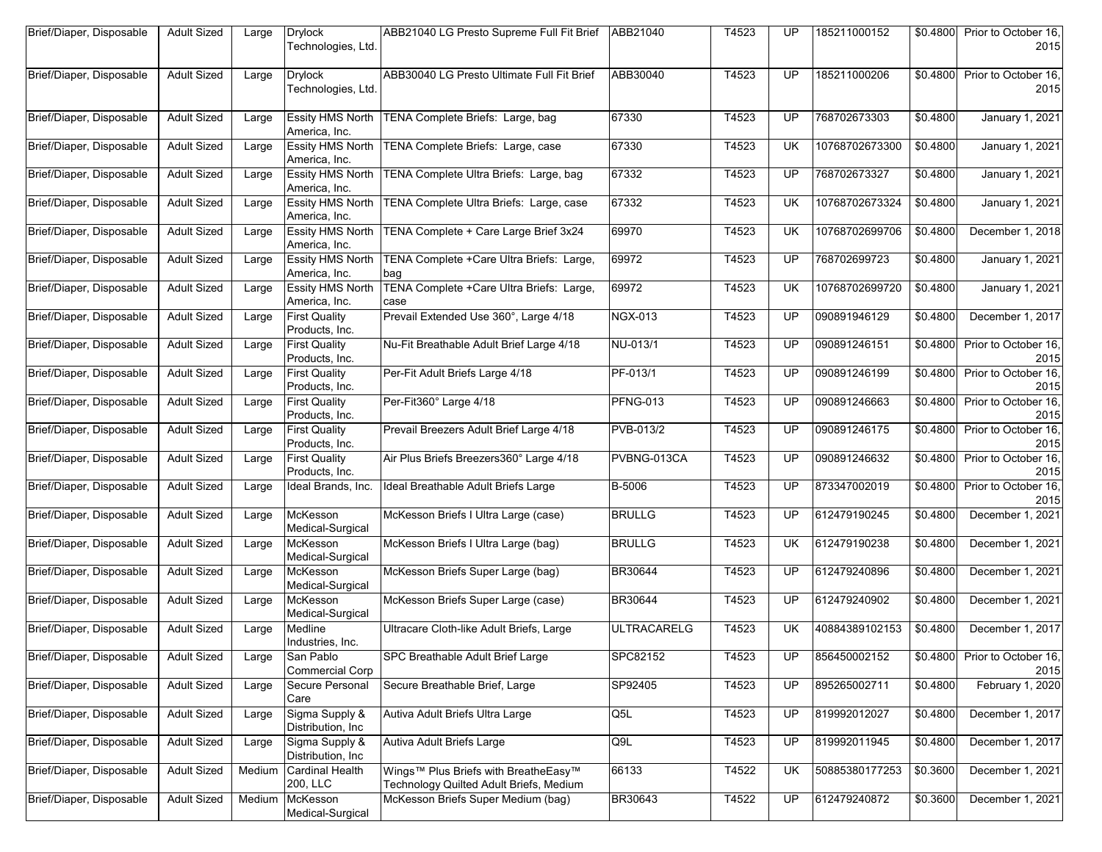| Brief/Diaper, Disposable | <b>Adult Sized</b> | Large  | <b>Drylock</b><br>Technologies, Ltd.     | ABB21040 LG Presto Supreme Full Fit Brief   ABB21040                            |                    | T4523 | UP        | 185211000152   | \$0.4800             | Prior to October 16,<br>2015 |
|--------------------------|--------------------|--------|------------------------------------------|---------------------------------------------------------------------------------|--------------------|-------|-----------|----------------|----------------------|------------------------------|
| Brief/Diaper, Disposable | <b>Adult Sized</b> | Large  | <b>Drylock</b><br>Technologies, Ltd.     | ABB30040 LG Presto Ultimate Full Fit Brief                                      | ABB30040           | T4523 | UP        | 185211000206   | $\overline{$0.4800}$ | Prior to October 16.<br>2015 |
| Brief/Diaper, Disposable | <b>Adult Sized</b> | Large  | <b>Essity HMS North</b><br>America, Inc. | TENA Complete Briefs: Large, bag                                                | 67330              | T4523 | UP        | 768702673303   | \$0.4800             | January 1, 2021              |
| Brief/Diaper, Disposable | <b>Adult Sized</b> | Large  | <b>Essity HMS North</b><br>America, Inc. | TENA Complete Briefs: Large, case                                               | 67330              | T4523 | <b>UK</b> | 10768702673300 | \$0.4800             | January 1, 2021              |
| Brief/Diaper, Disposable | <b>Adult Sized</b> | Large  | <b>Essity HMS North</b><br>America, Inc. | TENA Complete Ultra Briefs: Large, bag                                          | 67332              | T4523 | <b>UP</b> | 768702673327   | \$0.4800             | January 1, 2021              |
| Brief/Diaper, Disposable | <b>Adult Sized</b> | Large  | <b>Essity HMS North</b><br>America, Inc. | TENA Complete Ultra Briefs: Large, case                                         | 67332              | T4523 | UK        | 10768702673324 | \$0.4800             | January 1, 2021              |
| Brief/Diaper, Disposable | <b>Adult Sized</b> | Large  | <b>Essity HMS North</b><br>America, Inc. | TENA Complete + Care Large Brief 3x24                                           | 69970              | T4523 | UK        | 10768702699706 | \$0.4800             | December 1, 2018             |
| Brief/Diaper, Disposable | <b>Adult Sized</b> | Large  | <b>Essity HMS North</b><br>America, Inc. | TENA Complete +Care Ultra Briefs: Large,<br>bag                                 | 69972              | T4523 | <b>UP</b> | 768702699723   | \$0.4800             | January 1, 2021              |
| Brief/Diaper, Disposable | <b>Adult Sized</b> | Large  | <b>Essity HMS North</b><br>America, Inc. | TENA Complete +Care Ultra Briefs: Large,<br>case                                | 69972              | T4523 | <b>UK</b> | 10768702699720 | \$0.4800             | January 1, 2021              |
| Brief/Diaper, Disposable | <b>Adult Sized</b> | Large  | <b>First Quality</b><br>Products, Inc.   | Prevail Extended Use 360°, Large 4/18                                           | <b>NGX-013</b>     | T4523 | <b>UP</b> | 090891946129   | \$0.4800             | December 1, 2017             |
| Brief/Diaper, Disposable | <b>Adult Sized</b> | Large  | <b>First Quality</b><br>Products, Inc.   | Nu-Fit Breathable Adult Brief Large 4/18                                        | NU-013/1           | T4523 | UP.       | 090891246151   | \$0.4800             | Prior to October 16,<br>2015 |
| Brief/Diaper, Disposable | <b>Adult Sized</b> | Large  | <b>First Quality</b><br>Products, Inc.   | Per-Fit Adult Briefs Large 4/18                                                 | PF-013/1           | T4523 | UP        | 090891246199   | \$0.4800             | Prior to October 16,<br>2015 |
| Brief/Diaper, Disposable | <b>Adult Sized</b> | Large  | <b>First Quality</b><br>Products, Inc.   | Per-Fit360° Large 4/18                                                          | <b>PFNG-013</b>    | T4523 | UP        | 090891246663   | \$0.4800             | Prior to October 16,<br>2015 |
| Brief/Diaper, Disposable | <b>Adult Sized</b> | Large  | <b>First Quality</b><br>Products, Inc.   | Prevail Breezers Adult Brief Large 4/18                                         | PVB-013/2          | T4523 | UP        | 090891246175   | \$0.4800             | Prior to October 16,<br>2015 |
| Brief/Diaper, Disposable | <b>Adult Sized</b> | Large  | <b>First Quality</b><br>Products, Inc.   | Air Plus Briefs Breezers360° Large 4/18                                         | PVBNG-013CA        | T4523 | <b>UP</b> | 090891246632   | \$0.4800             | Prior to October 16,<br>2015 |
| Brief/Diaper, Disposable | <b>Adult Sized</b> | Large  | Ideal Brands, Inc.                       | Ideal Breathable Adult Briefs Large                                             | B-5006             | T4523 | UP.       | 873347002019   | \$0.4800             | Prior to October 16,<br>2015 |
| Brief/Diaper, Disposable | <b>Adult Sized</b> | Large  | McKesson<br>Medical-Surgical             | McKesson Briefs I Ultra Large (case)                                            | <b>BRULLG</b>      | T4523 | UP        | 612479190245   | \$0.4800             | December 1, 2021             |
| Brief/Diaper, Disposable | <b>Adult Sized</b> | Large  | McKesson<br>Medical-Surgical             | McKesson Briefs I Ultra Large (bag)                                             | <b>BRULLG</b>      | T4523 | <b>UK</b> | 612479190238   | \$0.4800             | December 1, 2021             |
| Brief/Diaper, Disposable | <b>Adult Sized</b> | Large  | McKesson<br>Medical-Surgical             | McKesson Briefs Super Large (bag)                                               | BR30644            | T4523 | UP        | 612479240896   | \$0.4800             | December 1, 2021             |
| Brief/Diaper, Disposable | <b>Adult Sized</b> | Large  | McKesson<br>Medical-Surgical             | McKesson Briefs Super Large (case)                                              | <b>BR30644</b>     | T4523 | <b>UP</b> | 612479240902   | \$0.4800             | December 1, 2021             |
| Brief/Diaper, Disposable | <b>Adult Sized</b> | Large  | Medline<br>Industries, Inc.              | Ultracare Cloth-like Adult Briefs, Large                                        | <b>ULTRACARELG</b> | T4523 | UK        | 40884389102153 | \$0.4800             | December 1, 2017             |
| Brief/Diaper, Disposable | Adult Sized        | Large  | San Pablo<br><b>Commercial Corp</b>      | SPC Breathable Adult Brief Large                                                | SPC82152           | T4523 | UP        | 856450002152   | \$0.4800             | Prior to October 16,<br>2015 |
| Brief/Diaper, Disposable | <b>Adult Sized</b> | Large  | Secure Personal<br>Care                  | Secure Breathable Brief, Large                                                  | SP92405            | T4523 | UP.       | 895265002711   | \$0.4800             | February 1, 2020             |
| Brief/Diaper, Disposable | <b>Adult Sized</b> | Large  | Sigma Supply &<br>Distribution, Inc.     | Autiva Adult Briefs Ultra Large                                                 | Q5L                | T4523 | UP        | 819992012027   | \$0.4800             | December 1, 2017             |
| Brief/Diaper, Disposable | <b>Adult Sized</b> | Large  | Sigma Supply &<br>Distribution, Inc.     | Autiva Adult Briefs Large                                                       | Q9L                | T4523 | UP.       | 819992011945   | \$0.4800             | December 1, 2017             |
| Brief/Diaper, Disposable | <b>Adult Sized</b> | Medium | <b>Cardinal Health</b><br>200, LLC       | Wings™ Plus Briefs with BreatheEasy™<br>Technology Quilted Adult Briefs, Medium | 66133              | T4522 | UK        | 50885380177253 | \$0.3600             | December 1, 2021             |
| Brief/Diaper, Disposable | <b>Adult Sized</b> | Medium | McKesson<br>Medical-Surgical             | McKesson Briefs Super Medium (bag)                                              | BR30643            | T4522 | UP.       | 612479240872   | \$0.3600             | December 1, 2021             |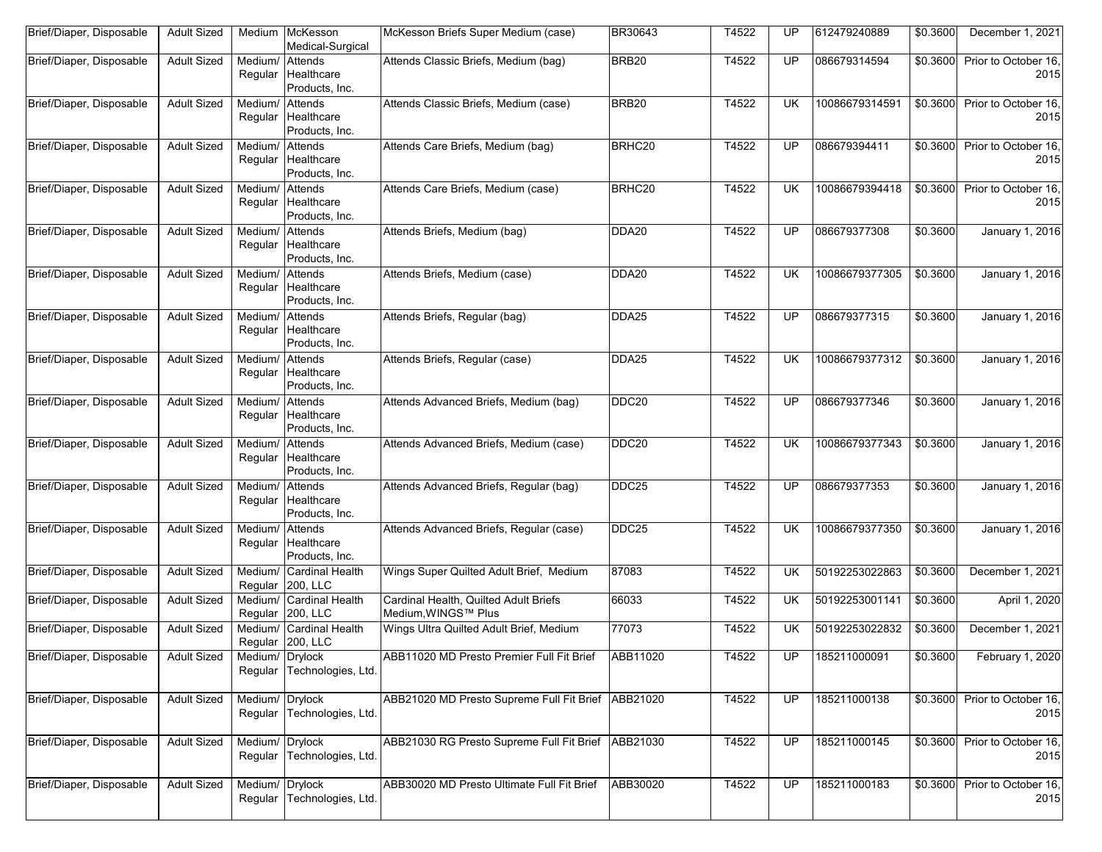| Brief/Diaper, Disposable | <b>Adult Sized</b> |                    | Medium McKesson<br>Medical-Surgical             | McKesson Briefs Super Medium (case)                          | BR30643           | T4522 | UP        | 612479240889   | \$0.3600         | December 1, 2021                      |
|--------------------------|--------------------|--------------------|-------------------------------------------------|--------------------------------------------------------------|-------------------|-------|-----------|----------------|------------------|---------------------------------------|
| Brief/Diaper, Disposable | <b>Adult Sized</b> | Medium/<br>Regular | Attends<br>Healthcare<br>Products, Inc.         | Attends Classic Briefs, Medium (bag)                         | BRB20             | T4522 | UP        | 086679314594   | \$0.3600         | Prior to October 16,<br>2015          |
| Brief/Diaper, Disposable | <b>Adult Sized</b> | Medium/<br>Regular | Attends<br>Healthcare<br>Products, Inc.         | Attends Classic Briefs, Medium (case)                        | BRB <sub>20</sub> | T4522 | <b>UK</b> | 10086679314591 | \$0.3600         | Prior to October 16.<br>2015          |
| Brief/Diaper, Disposable | <b>Adult Sized</b> | Medium/<br>Regular | Attends<br>Healthcare<br>Products, Inc.         | Attends Care Briefs, Medium (bag)                            | BRHC20            | T4522 | UP        | 086679394411   | \$0.3600         | Prior to October 16,<br>2015          |
| Brief/Diaper, Disposable | <b>Adult Sized</b> | Medium/            | Attends<br>Regular Healthcare<br>Products, Inc. | Attends Care Briefs, Medium (case)                           | BRHC20            | T4522 | <b>UK</b> | 10086679394418 | \$0.3600         | Prior to October 16,<br>2015          |
| Brief/Diaper, Disposable | <b>Adult Sized</b> | Medium/            | Attends<br>Regular Healthcare<br>Products, Inc. | Attends Briefs, Medium (bag)                                 | DDA20             | T4522 | UP        | 086679377308   | \$0.3600         | January 1, 2016                       |
| Brief/Diaper, Disposable | <b>Adult Sized</b> | Medium/<br>Regular | Attends<br>Healthcare<br>Products, Inc.         | Attends Briefs, Medium (case)                                | DDA20             | T4522 | UK        | 10086679377305 | \$0.3600         | January 1, 2016                       |
| Brief/Diaper, Disposable | <b>Adult Sized</b> | Medium/<br>Regular | Attends<br>Healthcare<br>Products, Inc.         | Attends Briefs, Regular (bag)                                | DDA25             | T4522 | UP        | 086679377315   | \$0.3600         | January 1, 2016                       |
| Brief/Diaper, Disposable | <b>Adult Sized</b> | Medium/ Attends    | Regular Healthcare<br>Products, Inc.            | Attends Briefs, Regular (case)                               | DDA25             | T4522 | <b>UK</b> | 10086679377312 | \$0.3600         | January 1, 2016                       |
| Brief/Diaper, Disposable | <b>Adult Sized</b> | Medium/ Attends    | Regular Healthcare<br>Products, Inc.            | Attends Advanced Briefs, Medium (bag)                        | DDC20             | T4522 | UP        | 086679377346   | \$0.3600         | January 1, 2016                       |
| Brief/Diaper, Disposable | <b>Adult Sized</b> | Medium/<br>Regular | Attends<br>Healthcare<br>Products, Inc.         | Attends Advanced Briefs, Medium (case)                       | DDC <sub>20</sub> | T4522 | UK        | 10086679377343 | \$0.3600         | January 1, 2016                       |
| Brief/Diaper, Disposable | <b>Adult Sized</b> | Medium/<br>Regular | Attends<br>Healthcare<br>Products, Inc.         | Attends Advanced Briefs, Regular (bag)                       | DDC25             | T4522 | UP        | 086679377353   | \$0.3600         | January 1, 2016                       |
| Brief/Diaper, Disposable | <b>Adult Sized</b> | Medium/<br>Regular | Attends<br>Healthcare<br>Products, Inc.         | Attends Advanced Briefs, Regular (case)                      | DDC25             | T4522 | <b>UK</b> | 10086679377350 | \$0.3600         | January 1, 2016                       |
| Brief/Diaper, Disposable | <b>Adult Sized</b> | Medium/<br>Regular | <b>Cardinal Health</b><br>200, LLC              | Wings Super Quilted Adult Brief, Medium                      | 87083             | T4522 | UK        | 50192253022863 | \$0.3600         | December 1, 2021                      |
| Brief/Diaper, Disposable | <b>Adult Sized</b> | Regular            | Medium/ Cardinal Health<br>200, LLC             | Cardinal Health, Quilted Adult Briefs<br>Medium, WINGS™ Plus | 66033             | T4522 | UK        | 50192253001141 | \$0.3600         | April 1, 2020                         |
| Brief/Diaper, Disposable | <b>Adult Sized</b> | Medium/            | <b>Cardinal Health</b><br>Regular 200, LLC      | Wings Ultra Quilted Adult Brief, Medium                      | 77073             | T4522 | UK        | 50192253022832 | \$0.3600         | December 1, 2021                      |
| Brief/Diaper, Disposable | <b>Adult Sized</b> | Medium/ Drylock    | Regular Technologies, Ltd.                      | ABB11020 MD Presto Premier Full Fit Brief                    | ABB11020          | T4522 | UP        | 185211000091   | \$0.3600         | February 1, 2020                      |
| Brief/Diaper, Disposable | <b>Adult Sized</b> | Medium/ Drylock    | Regular Technologies, Ltd.                      | ABB21020 MD Presto Supreme Full Fit Brief ABB21020           |                   | T4522 | UP        | 185211000138   | \$0.3600         | Prior to October 16,<br>2015          |
| Brief/Diaper, Disposable | <b>Adult Sized</b> | Medium/ Drylock    | Regular Technologies, Ltd.                      | ABB21030 RG Presto Supreme Full Fit Brief ABB21030           |                   | T4522 | UP        | 185211000145   |                  | \$0.3600 Prior to October 16,<br>2015 |
| Brief/Diaper, Disposable | <b>Adult Sized</b> | Medium/ Drylock    | Regular Technologies, Ltd.                      | ABB30020 MD Presto Ultimate Full Fit Brief                   | ABB30020          | T4522 | <b>UP</b> | 185211000183   | $\sqrt{$0.3600}$ | Prior to October 16,<br>2015          |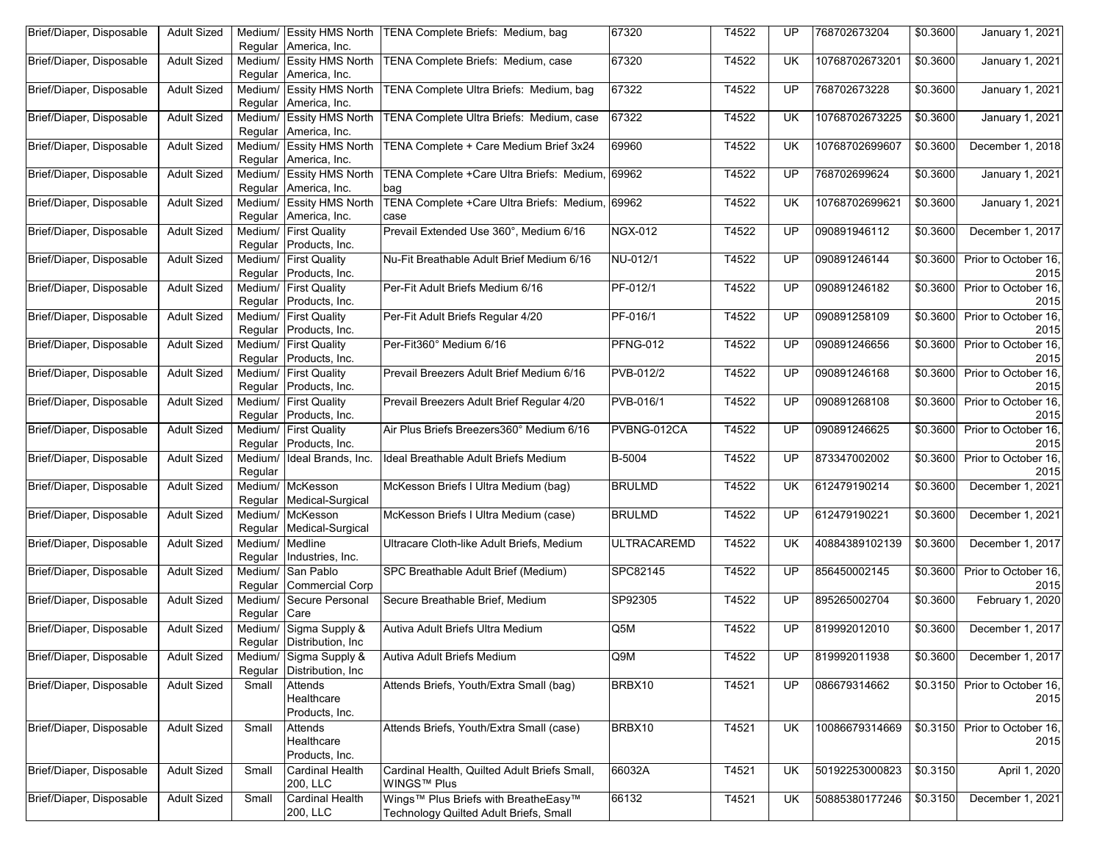| Brief/Diaper, Disposable | <b>Adult Sized</b> | Regular            | America, Inc.                                   | Medium/ Essity HMS North   TENA Complete Briefs: Medium, bag                   | 67320              | T4522 | UP              | 768702673204   | $\frac{1}{6}0.3600$  | January 1, 2021                       |
|--------------------------|--------------------|--------------------|-------------------------------------------------|--------------------------------------------------------------------------------|--------------------|-------|-----------------|----------------|----------------------|---------------------------------------|
| Brief/Diaper, Disposable | <b>Adult Sized</b> | Medium/<br>Regular | <b>Essity HMS North</b><br>America, Inc.        | TENA Complete Briefs: Medium, case                                             | 67320              | T4522 | UK              | 10768702673201 | \$0.3600             | <b>January 1, 2021</b>                |
| Brief/Diaper, Disposable | <b>Adult Sized</b> | Medium/<br>Regular | <b>Essity HMS North</b><br>America, Inc.        | TENA Complete Ultra Briefs: Medium, bag                                        | 67322              | T4522 | UP              | 768702673228   | \$0.3600             | January 1, 2021                       |
| Brief/Diaper, Disposable | <b>Adult Sized</b> | Medium/<br>Regular | <b>Essity HMS North</b><br>America, Inc.        | TENA Complete Ultra Briefs: Medium, case                                       | 67322              | T4522 | UK              | 10768702673225 | \$0.3600             | <b>January 1, 2021</b>                |
| Brief/Diaper, Disposable | <b>Adult Sized</b> | Medium/<br>Regular | <b>Essity HMS North</b><br>America, Inc.        | TENA Complete + Care Medium Brief 3x24                                         | 69960              | T4522 | UK              | 10768702699607 | \$0.3600             | December 1, 2018                      |
| Brief/Diaper, Disposable | <b>Adult Sized</b> | Regular            | Medium/ Essity HMS North<br>America, Inc.       | TENA Complete +Care Ultra Briefs: Medium, 69962<br>bag                         |                    | T4522 | UP              | 768702699624   | \$0.3600             | <b>January 1, 2021</b>                |
| Brief/Diaper, Disposable | <b>Adult Sized</b> | Medium/<br>Regular | <b>Essity HMS North</b><br>America, Inc.        | TENA Complete +Care Ultra Briefs: Medium, 69962<br>case                        |                    | T4522 | UK              | 10768702699621 | \$0.3600             | January 1, 2021                       |
| Brief/Diaper, Disposable | <b>Adult Sized</b> | Regular            | Medium/ First Quality<br>Products, Inc.         | Prevail Extended Use 360°, Medium 6/16                                         | <b>NGX-012</b>     | T4522 | UP              | 090891946112   | $\frac{1}{6}0.3600$  | December 1, 2017                      |
| Brief/Diaper, Disposable | <b>Adult Sized</b> | Medium/<br>Regular | <b>First Quality</b><br>Products, Inc.          | Nu-Fit Breathable Adult Brief Medium 6/16                                      | NU-012/1           | T4522 | UP              | 090891246144   | \$0.3600             | Prior to October 16,<br>2015          |
| Brief/Diaper, Disposable | <b>Adult Sized</b> | Regular            | Medium/ First Quality<br>Products, Inc.         | Per-Fit Adult Briefs Medium 6/16                                               | PF-012/1           | T4522 | UP              | 090891246182   | \$0.3600             | Prior to October 16,<br>2015          |
| Brief/Diaper, Disposable | <b>Adult Sized</b> | Medium/<br>Regular | <b>First Quality</b><br>Products, Inc.          | Per-Fit Adult Briefs Regular 4/20                                              | PF-016/1           | T4522 | UP              | 090891258109   | \$0.3600             | Prior to October 16,<br>2015          |
| Brief/Diaper, Disposable | <b>Adult Sized</b> | Regular            | Medium/ First Quality<br>Products, Inc.         | Per-Fit360° Medium 6/16                                                        | <b>PFNG-012</b>    | T4522 | UP              | 090891246656   | \$0.3600             | Prior to October 16,<br>2015          |
| Brief/Diaper, Disposable | <b>Adult Sized</b> |                    | Medium/ First Quality<br>Regular Products, Inc. | Prevail Breezers Adult Brief Medium 6/16                                       | <b>PVB-012/2</b>   | T4522 | UP              | 090891246168   | \$0.3600             | Prior to October 16,<br>2015          |
| Brief/Diaper, Disposable | <b>Adult Sized</b> | Medium/<br>Regular | <b>First Quality</b><br>Products, Inc.          | Prevail Breezers Adult Brief Regular 4/20                                      | PVB-016/1          | T4522 | UP              | 090891268108   | \$0.3600             | Prior to October 16,<br>2015          |
| Brief/Diaper, Disposable | <b>Adult Sized</b> | Regular            | Medium/ First Quality<br>Products, Inc.         | Air Plus Briefs Breezers360° Medium 6/16                                       | PVBNG-012CA        | T4522 | UP              | 090891246625   | \$0.3600             | Prior to October 16,<br>2015          |
| Brief/Diaper, Disposable | <b>Adult Sized</b> | Regular            | Medium/ Ideal Brands, Inc.                      | Ideal Breathable Adult Briefs Medium                                           | B-5004             | T4522 | UP              | 873347002002   | \$0.3600             | Prior to October 16,<br>2015          |
| Brief/Diaper, Disposable | <b>Adult Sized</b> | Regular            | Medium/ McKesson<br>Medical-Surgical            | McKesson Briefs I Ultra Medium (bag)                                           | <b>BRULMD</b>      | T4522 | UK              | 612479190214   | \$0.3600             | December 1, 2021                      |
| Brief/Diaper, Disposable | <b>Adult Sized</b> | Medium/<br>Regular | McKesson<br>Medical-Surgical                    | McKesson Briefs I Ultra Medium (case)                                          | <b>BRULMD</b>      | T4522 | UP              | 612479190221   | \$0.3600             | December 1, 2021                      |
| Brief/Diaper, Disposable | <b>Adult Sized</b> | Medium/<br>Regular | Medline<br>Industries, Inc.                     | Ultracare Cloth-like Adult Briefs, Medium                                      | <b>ULTRACAREMD</b> | T4522 | UK              | 40884389102139 | \$0.3600             | December 1, 2017                      |
| Brief/Diaper, Disposable | <b>Adult Sized</b> | Medium/<br>Regular | San Pablo<br>Commercial Corp                    | SPC Breathable Adult Brief (Medium)                                            | SPC82145           | T4522 | UP              | 856450002145   | \$0.3600             | Prior to October 16,<br>2015          |
| Brief/Diaper, Disposable | <b>Adult Sized</b> | Medium/<br>Regular | Secure Personal<br>Care                         | Secure Breathable Brief, Medium                                                | SP92305            | T4522 | UP              | 895265002704   | $\overline{$}0.3600$ | February 1, 2020                      |
| Brief/Diaper, Disposable | <b>Adult Sized</b> | Medium/            | Sigma Supply &<br>Regular Distribution, Inc.    | Autiva Adult Briefs Ultra Medium                                               | Q <sub>5</sub> M   | T4522 | $\overline{UP}$ | 819992012010   | \$0.3600             | December 1, 2017                      |
| Brief/Diaper, Disposable | <b>Adult Sized</b> | Regular            | Medium/ Sigma Supply &<br>Distribution, Inc.    | Autiva Adult Briefs Medium                                                     | Q9M                | T4522 | UP              | 819992011938   | \$0.3600             | December 1, 2017                      |
| Brief/Diaper, Disposable | <b>Adult Sized</b> | Small              | Attends<br>Healthcare<br>Products, Inc.         | Attends Briefs, Youth/Extra Small (bag)                                        | BRBX10             | T4521 | UP              | 086679314662   |                      | \$0.3150 Prior to October 16,<br>2015 |
| Brief/Diaper, Disposable | <b>Adult Sized</b> | Small              | Attends<br>Healthcare<br>Products, Inc.         | Attends Briefs, Youth/Extra Small (case)                                       | BRBX10             | T4521 | UK              | 10086679314669 |                      | \$0.3150 Prior to October 16,<br>2015 |
| Brief/Diaper, Disposable | <b>Adult Sized</b> | Small              | Cardinal Health<br>200, LLC                     | Cardinal Health, Quilted Adult Briefs Small,<br>WINGS™ Plus                    | 66032A             | T4521 | UK              | 50192253000823 | \$0.3150             | April 1, 2020                         |
| Brief/Diaper, Disposable | <b>Adult Sized</b> | Small              | Cardinal Health<br>200, LLC                     | Wings™ Plus Briefs with BreatheEasy™<br>Technology Quilted Adult Briefs, Small | 66132              | T4521 | UK              | 50885380177246 | \$0.3150             | December 1, 2021                      |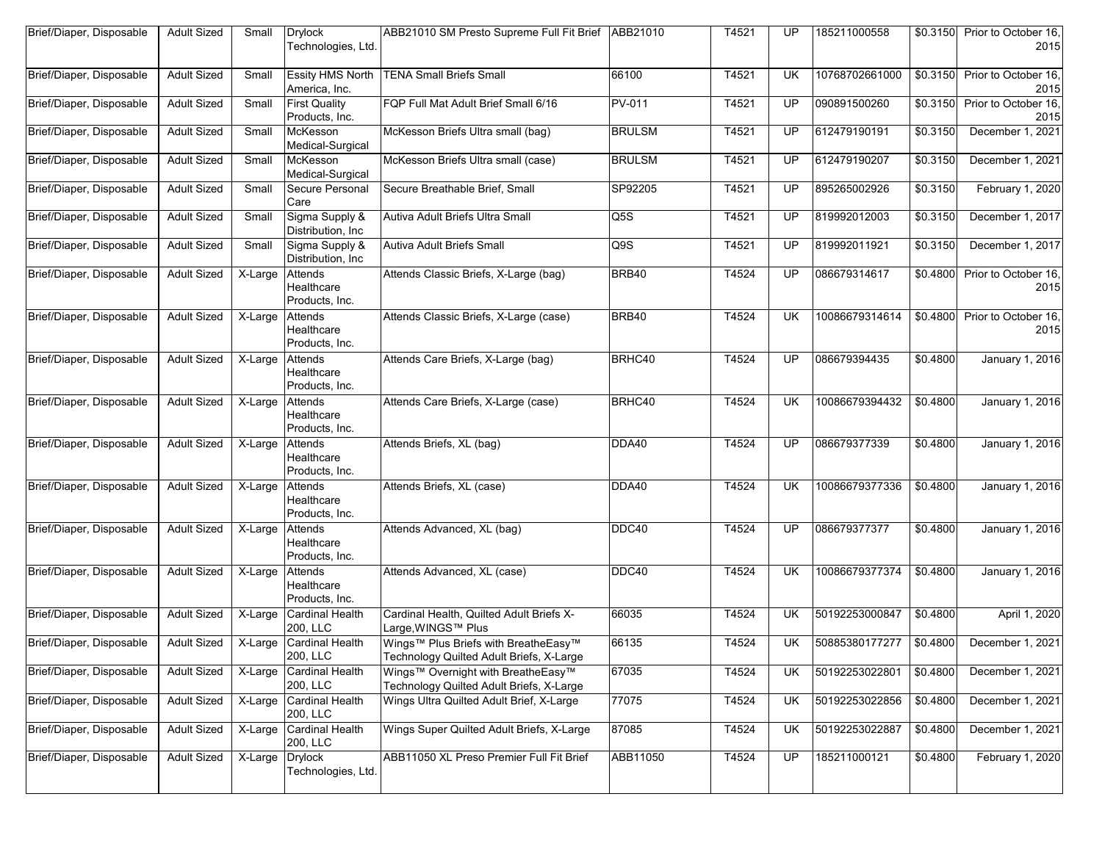| Brief/Diaper, Disposable | <b>Adult Sized</b> | Small                 | <b>Drylock</b><br>Technologies, Ltd.     | ABB21010 SM Presto Supreme Full Fit Brief   ABB21010                             |               | T4521 | UP        | 185211000558   |                  | \$0.3150 Prior to October 16,<br>2015 |
|--------------------------|--------------------|-----------------------|------------------------------------------|----------------------------------------------------------------------------------|---------------|-------|-----------|----------------|------------------|---------------------------------------|
| Brief/Diaper, Disposable | <b>Adult Sized</b> | Small                 | <b>Essity HMS North</b><br>America, Inc. | <b>TENA Small Briefs Small</b>                                                   | 66100         | T4521 | <b>UK</b> | 10768702661000 |                  | \$0.3150 Prior to October 16,<br>2015 |
| Brief/Diaper, Disposable | <b>Adult Sized</b> | Small                 | <b>First Quality</b><br>Products, Inc.   | FQP Full Mat Adult Brief Small 6/16                                              | PV-011        | T4521 | UP        | 090891500260   | \$0.3150         | Prior to October 16,<br>2015          |
| Brief/Diaper, Disposable | <b>Adult Sized</b> | Small                 | McKesson<br>Medical-Surgical             | McKesson Briefs Ultra small (bag)                                                | <b>BRULSM</b> | T4521 | UP        | 612479190191   | \$0.3150         | December 1, 2021                      |
| Brief/Diaper, Disposable | <b>Adult Sized</b> | Small                 | McKesson<br>Medical-Surgical             | McKesson Briefs Ultra small (case)                                               | <b>BRULSM</b> | T4521 | UP        | 612479190207   | \$0.3150         | December 1, 2021                      |
| Brief/Diaper, Disposable | <b>Adult Sized</b> | Small                 | Secure Personal<br>Care                  | Secure Breathable Brief, Small                                                   | SP92205       | T4521 | UP        | 895265002926   | \$0.3150         | February 1, 2020                      |
| Brief/Diaper, Disposable | <b>Adult Sized</b> | Small                 | Sigma Supply &<br>Distribution, Inc.     | Autiva Adult Briefs Ultra Small                                                  | Q5S           | T4521 | UP        | 819992012003   | \$0.3150         | December 1, 2017                      |
| Brief/Diaper, Disposable | <b>Adult Sized</b> | Small                 | Sigma Supply &<br>Distribution, Inc.     | Autiva Adult Briefs Small                                                        | Q9S           | T4521 | UP        | 819992011921   | \$0.3150         | December 1, 2017                      |
| Brief/Diaper, Disposable | <b>Adult Sized</b> | $\overline{X}$ -Large | Attends<br>Healthcare<br>Products, Inc.  | Attends Classic Briefs, X-Large (bag)                                            | BRB40         | T4524 | UP        | 086679314617   | \$0.4800         | Prior to October 16,<br>2015          |
| Brief/Diaper, Disposable | <b>Adult Sized</b> | X-Large               | Attends<br>Healthcare<br>Products, Inc.  | Attends Classic Briefs, X-Large (case)                                           | BRB40         | T4524 | <b>UK</b> | 10086679314614 | \$0.4800         | Prior to October 16,<br>2015          |
| Brief/Diaper, Disposable | <b>Adult Sized</b> | X-Large               | Attends<br>Healthcare<br>Products, Inc.  | Attends Care Briefs, X-Large (bag)                                               | BRHC40        | T4524 | UP        | 086679394435   | \$0.4800         | January 1, 2016                       |
| Brief/Diaper, Disposable | <b>Adult Sized</b> | X-Large               | Attends<br>Healthcare<br>Products, Inc.  | Attends Care Briefs, X-Large (case)                                              | BRHC40        | T4524 | UK        | 10086679394432 | \$0.4800         | January 1, 2016                       |
| Brief/Diaper, Disposable | <b>Adult Sized</b> | $\overline{X}$ -Large | Attends<br>Healthcare<br>Products, Inc.  | Attends Briefs, XL (bag)                                                         | DDA40         | T4524 | UP        | 086679377339   | \$0.4800         | <b>January 1, 2016</b>                |
| Brief/Diaper, Disposable | <b>Adult Sized</b> | X-Large               | Attends<br>Healthcare<br>Products, Inc.  | Attends Briefs, XL (case)                                                        | DDA40         | T4524 | <b>UK</b> | 10086679377336 | \$0.4800         | January 1, 2016                       |
| Brief/Diaper, Disposable | <b>Adult Sized</b> | X-Large               | Attends<br>Healthcare<br>Products, Inc.  | Attends Advanced, XL (bag)                                                       | DDC40         | T4524 | UP        | 086679377377   | \$0.4800         | January 1, 2016                       |
| Brief/Diaper, Disposable | <b>Adult Sized</b> | X-Large               | Attends<br>Healthcare<br>Products, Inc.  | Attends Advanced, XL (case)                                                      | DDC40         | T4524 | <b>UK</b> | 10086679377374 | \$0.4800         | January 1, 2016                       |
| Brief/Diaper, Disposable | <b>Adult Sized</b> | X-Large               | <b>Cardinal Health</b><br>200, LLC       | Cardinal Health, Quilted Adult Briefs X-<br>Large, WINGS™ Plus                   | 66035         | T4524 | <b>UK</b> | 50192253000847 | \$0.4800         | April 1, 2020                         |
| Brief/Diaper, Disposable | Adult Sized        |                       | X-Large Cardinal Health<br>200, LLC      | Wings™ Plus Briefs with BreatheEasy™<br>Technology Quilted Adult Briefs, X-Large | 66135         | T4524 | UK.       | 50885380177277 | $\sqrt{60.4800}$ | December 1, 2021                      |
| Brief/Diaper, Disposable | <b>Adult Sized</b> | X-Large               | Cardinal Health<br>200, LLC              | Wings™ Overnight with BreatheEasy™<br>Technology Quilted Adult Briefs, X-Large   | 67035         | T4524 | UK.       | 50192253022801 | \$0.4800         | December 1, 2021                      |
| Brief/Diaper, Disposable | <b>Adult Sized</b> | $\overline{X}$ -Large | <b>Cardinal Health</b><br>200, LLC       | Wings Ultra Quilted Adult Brief, X-Large                                         | 77075         | T4524 | <b>UK</b> | 50192253022856 | \$0.4800         | December 1, 2021                      |
| Brief/Diaper, Disposable | <b>Adult Sized</b> | $X-Large$             | <b>Cardinal Health</b><br>200, LLC       | Wings Super Quilted Adult Briefs, X-Large                                        | 87085         | T4524 | UK        | 50192253022887 | \$0.4800         | December 1, 2021                      |
| Brief/Diaper, Disposable | <b>Adult Sized</b> | $\overline{X}$ -Large | <b>Drylock</b><br>Technologies, Ltd.     | ABB11050 XL Preso Premier Full Fit Brief                                         | ABB11050      | T4524 | UP        | 185211000121   | \$0.4800         | February 1, 2020                      |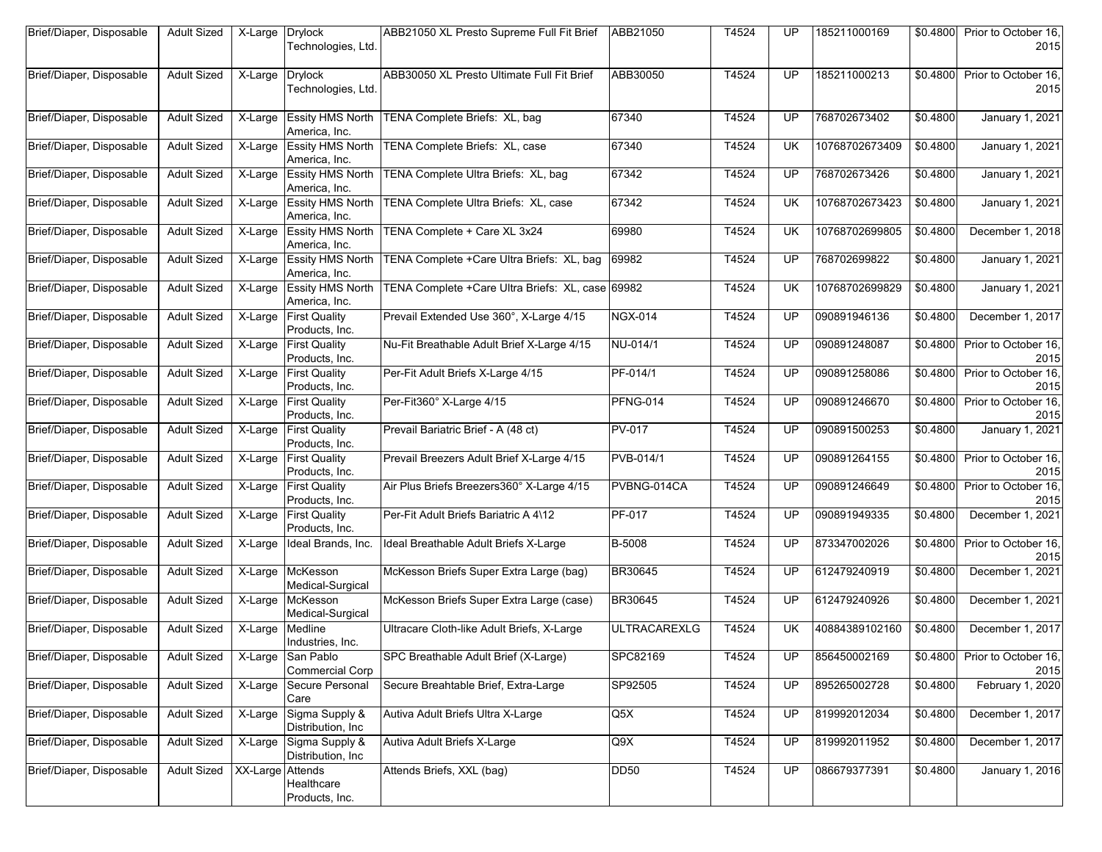| Brief/Diaper, Disposable | <b>Adult Sized</b> | X-Large          | <b>Drylock</b><br>Technologies, Ltd.        | ABB21050 XL Presto Supreme Full Fit Brief   ABB21050 |                     | T4524 | UP        | 185211000169   | \$0.4800             | Prior to October 16,<br>2015 |
|--------------------------|--------------------|------------------|---------------------------------------------|------------------------------------------------------|---------------------|-------|-----------|----------------|----------------------|------------------------------|
| Brief/Diaper, Disposable | <b>Adult Sized</b> | X-Large          | <b>Drylock</b><br>Technologies, Ltd.        | ABB30050 XL Presto Ultimate Full Fit Brief           | ABB30050            | T4524 | <b>UP</b> | 185211000213   | \$0.4800             | Prior to October 16.<br>2015 |
| Brief/Diaper, Disposable | <b>Adult Sized</b> | X-Large          | <b>Essity HMS North</b><br>America, Inc.    | TENA Complete Briefs: XL, bag                        | 67340               | T4524 | UP        | 768702673402   | \$0.4800             | <b>January 1, 2021</b>       |
| Brief/Diaper, Disposable | <b>Adult Sized</b> | X-Large          | <b>Essity HMS North</b><br>America, Inc.    | TENA Complete Briefs: XL, case                       | 67340               | T4524 | <b>UK</b> | 10768702673409 | \$0.4800             | January 1, 2021              |
| Brief/Diaper, Disposable | <b>Adult Sized</b> | X-Large          | <b>Essity HMS North</b><br>America, Inc.    | TENA Complete Ultra Briefs: XL, bag                  | 67342               | T4524 | <b>UP</b> | 768702673426   | \$0.4800             | January 1, 2021              |
| Brief/Diaper, Disposable | <b>Adult Sized</b> | X-Large          | <b>Essity HMS North</b><br>America, Inc.    | TENA Complete Ultra Briefs: XL, case                 | 67342               | T4524 | <b>UK</b> | 10768702673423 | \$0.4800             | January 1, 2021              |
| Brief/Diaper, Disposable | <b>Adult Sized</b> | X-Large          | <b>Essity HMS North</b><br>America, Inc.    | TENA Complete + Care XL 3x24                         | 69980               | T4524 | <b>UK</b> | 10768702699805 | \$0.4800             | December 1, 2018             |
| Brief/Diaper, Disposable | <b>Adult Sized</b> | X-Large          | <b>Essity HMS North</b><br>America, Inc.    | TENA Complete +Care Ultra Briefs: XL, bag            | 69982               | T4524 | UP        | 768702699822   | \$0.4800             | January 1, 2021              |
| Brief/Diaper, Disposable | <b>Adult Sized</b> | X-Large          | <b>Essity HMS North</b><br>America, Inc.    | TENA Complete +Care Ultra Briefs: XL, case 69982     |                     | T4524 | <b>UK</b> | 10768702699829 | \$0.4800             | January 1, 2021              |
| Brief/Diaper, Disposable | <b>Adult Sized</b> | X-Large          | <b>First Quality</b><br>Products, Inc.      | Prevail Extended Use 360°, X-Large 4/15              | <b>NGX-014</b>      | T4524 | UP.       | 090891946136   | \$0.4800             | December 1, 2017             |
| Brief/Diaper, Disposable | <b>Adult Sized</b> | X-Large          | <b>First Quality</b><br>Products, Inc.      | Nu-Fit Breathable Adult Brief X-Large 4/15           | NU-014/1            | T4524 | <b>UP</b> | 090891248087   | \$0.4800             | Prior to October 16,<br>2015 |
| Brief/Diaper, Disposable | <b>Adult Sized</b> | X-Large          | <b>First Quality</b><br>Products, Inc.      | Per-Fit Adult Briefs X-Large 4/15                    | PF-014/1            | T4524 | UP        | 090891258086   | \$0.4800             | Prior to October 16,<br>2015 |
| Brief/Diaper, Disposable | <b>Adult Sized</b> | X-Large          | <b>First Quality</b><br>Products, Inc.      | Per-Fit360° X-Large 4/15                             | <b>PFNG-014</b>     | T4524 | UP        | 090891246670   | $\overline{$0.4800}$ | Prior to October 16,<br>2015 |
| Brief/Diaper, Disposable | <b>Adult Sized</b> | X-Large          | <b>First Quality</b><br>Products, Inc.      | Prevail Bariatric Brief - A (48 ct)                  | <b>PV-017</b>       | T4524 | UP        | 090891500253   | \$0.4800             | January 1, 2021              |
| Brief/Diaper, Disposable | <b>Adult Sized</b> | X-Large          | <b>First Quality</b><br>Products, Inc.      | Prevail Breezers Adult Brief X-Large 4/15            | PVB-014/1           | T4524 | <b>UP</b> | 090891264155   | \$0.4800             | Prior to October 16,<br>2015 |
| Brief/Diaper, Disposable | <b>Adult Sized</b> | X-Large          | <b>First Quality</b><br>Products, Inc.      | Air Plus Briefs Breezers360° X-Large 4/15            | PVBNG-014CA         | T4524 | UP.       | 090891246649   | \$0.4800             | Prior to October 16,<br>2015 |
| Brief/Diaper, Disposable | <b>Adult Sized</b> | X-Large          | <b>First Quality</b><br>Products, Inc.      | Per-Fit Adult Briefs Bariatric A 4\12                | PF-017              | T4524 | <b>UP</b> | 090891949335   | \$0.4800             | December 1, 2021             |
| Brief/Diaper, Disposable | <b>Adult Sized</b> | X-Large          | Ideal Brands, Inc.                          | Ideal Breathable Adult Briefs X-Large                | B-5008              | T4524 | UP        | 873347002026   | \$0.4800             | Prior to October 16,<br>2015 |
| Brief/Diaper, Disposable | <b>Adult Sized</b> | X-Large          | McKesson<br>Medical-Surgical                | McKesson Briefs Super Extra Large (bag)              | <b>BR30645</b>      | T4524 | <b>UP</b> | 612479240919   | \$0.4800             | December 1, 2021             |
| Brief/Diaper, Disposable | <b>Adult Sized</b> | $X-Large$        | McKesson<br>Medical-Surgical                | McKesson Briefs Super Extra Large (case)             | <b>BR30645</b>      | T4524 | <b>UP</b> | 612479240926   | \$0.4800             | December 1, 2021             |
| Brief/Diaper, Disposable | <b>Adult Sized</b> | X-Large          | Medline<br>Industries, Inc.                 | Ultracare Cloth-like Adult Briefs, X-Large           | <b>ULTRACAREXLG</b> | T4524 | UK        | 40884389102160 | \$0.4800             | December 1, 2017             |
| Brief/Diaper, Disposable | <b>Adult Sized</b> |                  | X-Large San Pablo<br><b>Commercial Corp</b> | SPC Breathable Adult Brief (X-Large)                 | SPC82169            | T4524 | UP        | 856450002169   | \$0.4800             | Prior to October 16,<br>2015 |
| Brief/Diaper, Disposable | <b>Adult Sized</b> | X-Large          | Secure Personal<br>Care                     | Secure Breahtable Brief, Extra-Large                 | SP92505             | T4524 | UP        | 895265002728   | \$0.4800             | February 1, 2020             |
| Brief/Diaper, Disposable | <b>Adult Sized</b> | X-Large          | Sigma Supply &<br>Distribution, Inc.        | Autiva Adult Briefs Ultra X-Large                    | Q5X                 | T4524 | UP        | 819992012034   | \$0.4800             | December 1, 2017             |
| Brief/Diaper, Disposable | <b>Adult Sized</b> | X-Large          | Sigma Supply &<br>Distribution, Inc         | Autiva Adult Briefs X-Large                          | Q9X                 | T4524 | UP        | 819992011952   | $\sqrt{$0.4800}$     | December 1, 2017             |
| Brief/Diaper, Disposable | <b>Adult Sized</b> | XX-Large Attends | Healthcare<br>Products, Inc.                | Attends Briefs, XXL (bag)                            | <b>DD50</b>         | T4524 | UP        | 086679377391   | \$0.4800             | January 1, 2016              |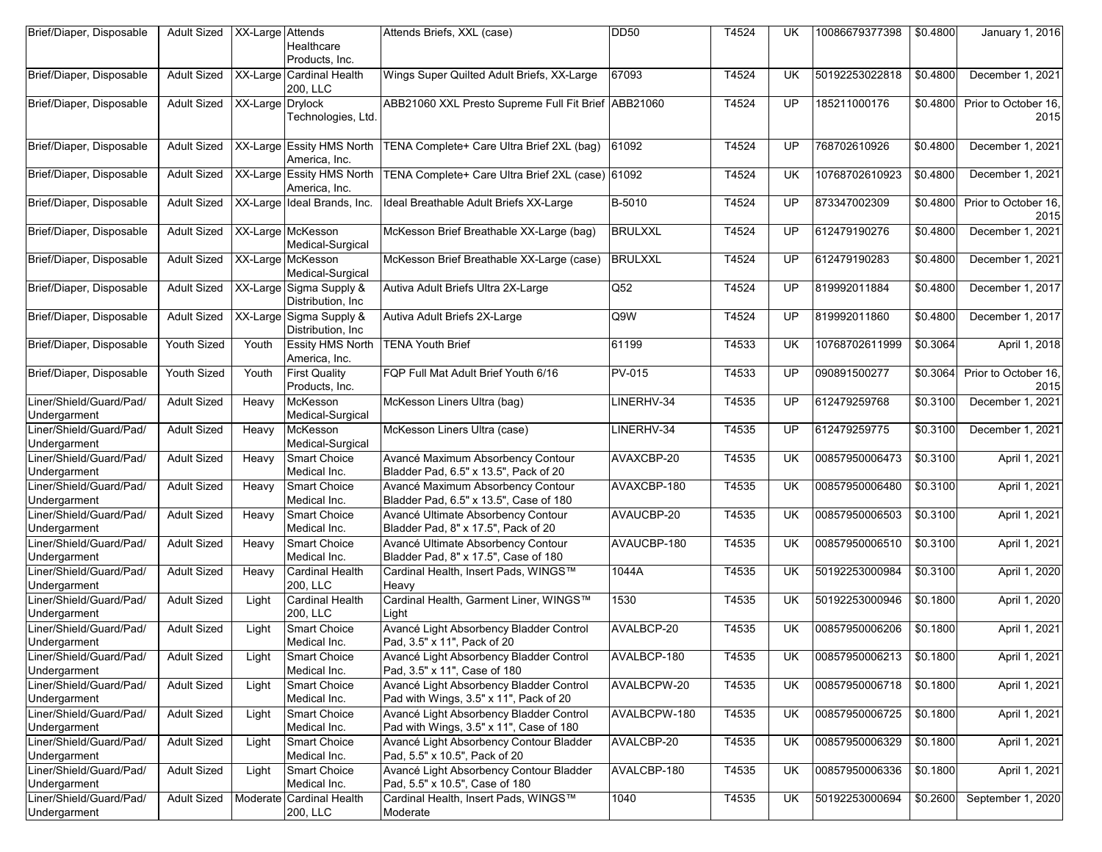| Brief/Diaper, Disposable                | <b>Adult Sized</b> | XX-Large Attends | Healthcare<br>Products, Inc.                  | Attends Briefs, XXL (case)                                                         | <b>DD50</b>    | T4524 | UK              | 10086679377398 | \$0.4800 | January 1, 2016              |
|-----------------------------------------|--------------------|------------------|-----------------------------------------------|------------------------------------------------------------------------------------|----------------|-------|-----------------|----------------|----------|------------------------------|
| Brief/Diaper, Disposable                | <b>Adult Sized</b> |                  | XX-Large Cardinal Health<br>200, LLC          | Wings Super Quilted Adult Briefs, XX-Large                                         | 67093          | T4524 | UK              | 50192253022818 | \$0.4800 | December 1, 2021             |
| Brief/Diaper, Disposable                | <b>Adult Sized</b> | XX-Large Drylock | Technologies, Ltd.                            | ABB21060 XXL Presto Supreme Full Fit Brief ABB21060                                |                | T4524 | <b>UP</b>       | 185211000176   | \$0.4800 | Prior to October 16.<br>2015 |
| Brief/Diaper, Disposable                | <b>Adult Sized</b> |                  | XX-Large Essity HMS North<br>America, Inc.    | TENA Complete+ Care Ultra Brief 2XL (bag)                                          | 61092          | T4524 | UP              | 768702610926   | \$0.4800 | December 1, 2021             |
| Brief/Diaper, Disposable                | <b>Adult Sized</b> |                  | XX-Large Essity HMS North<br>America, Inc.    | TENA Complete+ Care Ultra Brief 2XL (case) 61092                                   |                | T4524 | <b>UK</b>       | 10768702610923 | \$0.4800 | December 1, 2021             |
| Brief/Diaper, Disposable                | <b>Adult Sized</b> |                  | XX-Large Ideal Brands, Inc.                   | Ideal Breathable Adult Briefs XX-Large                                             | B-5010         | T4524 | UP.             | 873347002309   | \$0.4800 | Prior to October 16,<br>2015 |
| Brief/Diaper, Disposable                | <b>Adult Sized</b> |                  | XX-Large McKesson<br>Medical-Surgical         | McKesson Brief Breathable XX-Large (bag)                                           | <b>BRULXXL</b> | T4524 | UP.             | 612479190276   | \$0.4800 | December 1, 2021             |
| Brief/Diaper, Disposable                | <b>Adult Sized</b> |                  | XX-Large McKesson<br>Medical-Surgical         | McKesson Brief Breathable XX-Large (case)                                          | <b>BRULXXL</b> | T4524 | <b>UP</b>       | 612479190283   | \$0.4800 | December 1, 2021             |
| Brief/Diaper, Disposable                | <b>Adult Sized</b> |                  | XX-Large Sigma Supply &<br>Distribution, Inc  | Autiva Adult Briefs Ultra 2X-Large                                                 | Q52            | T4524 | UP              | 819992011884   | \$0.4800 | December 1, 2017             |
| Brief/Diaper, Disposable                | <b>Adult Sized</b> |                  | XX-Large Sigma Supply &<br>Distribution, Inc. | Autiva Adult Briefs 2X-Large                                                       | Q9W            | T4524 | <b>UP</b>       | 819992011860   | \$0.4800 | December 1, 2017             |
| Brief/Diaper, Disposable                | Youth Sized        | Youth            | <b>Essity HMS North</b><br>America, Inc.      | <b>TENA Youth Brief</b>                                                            | 61199          | T4533 | <b>UK</b>       | 10768702611999 | \$0.3064 | April 1, 2018                |
| Brief/Diaper, Disposable                | <b>Youth Sized</b> | Youth            | <b>First Quality</b><br>Products, Inc.        | FQP Full Mat Adult Brief Youth 6/16                                                | <b>PV-015</b>  | T4533 | $\overline{UP}$ | 090891500277   | \$0.3064 | Prior to October 16,<br>2015 |
| Liner/Shield/Guard/Pad/<br>Undergarment | <b>Adult Sized</b> | Heavy            | McKesson<br>Medical-Surgical                  | McKesson Liners Ultra (bag)                                                        | LINERHV-34     | T4535 | <b>UP</b>       | 612479259768   | \$0.3100 | December 1, 2021             |
| Liner/Shield/Guard/Pad/<br>Undergarment | <b>Adult Sized</b> | Heavy            | McKesson<br>Medical-Surgical                  | McKesson Liners Ultra (case)                                                       | LINERHV-34     | T4535 | UP              | 612479259775   | \$0.3100 | December 1, 2021             |
| Liner/Shield/Guard/Pad/<br>Undergarment | <b>Adult Sized</b> | Heavy            | <b>Smart Choice</b><br>Medical Inc.           | Avancé Maximum Absorbency Contour<br>Bladder Pad, 6.5" x 13.5", Pack of 20         | AVAXCBP-20     | T4535 | <b>UK</b>       | 00857950006473 | \$0.3100 | April 1, 2021                |
| Liner/Shield/Guard/Pad/<br>Undergarment | <b>Adult Sized</b> | Heavy            | <b>Smart Choice</b><br>Medical Inc.           | Avancé Maximum Absorbency Contour<br>Bladder Pad, 6.5" x 13.5", Case of 180        | AVAXCBP-180    | T4535 | UK              | 00857950006480 | \$0.3100 | April 1, 2021                |
| Liner/Shield/Guard/Pad/<br>Undergarment | <b>Adult Sized</b> | Heavy            | <b>Smart Choice</b><br>Medical Inc.           | Avancé Ultimate Absorbency Contour<br>Bladder Pad, 8" x 17.5", Pack of 20          | AVAUCBP-20     | T4535 | <b>UK</b>       | 00857950006503 | \$0.3100 | April 1, 2021                |
| Liner/Shield/Guard/Pad/<br>Undergarment | <b>Adult Sized</b> | Heavy            | Smart Choice<br>Medical Inc.                  | Avancé Ultimate Absorbency Contour<br>Bladder Pad, 8" x 17.5", Case of 180         | AVAUCBP-180    | T4535 | <b>UK</b>       | 00857950006510 | \$0.3100 | April 1, 2021                |
| Liner/Shield/Guard/Pad/<br>Undergarment | <b>Adult Sized</b> | Heavy            | <b>Cardinal Health</b><br>200, LLC            | Cardinal Health, Insert Pads, WINGS™<br>Heavy                                      | 1044A          | T4535 | <b>UK</b>       | 50192253000984 | \$0.3100 | April 1, 2020                |
| Liner/Shield/Guard/Pad/<br>Undergarment | <b>Adult Sized</b> | Light            | <b>Cardinal Health</b><br>200. LLC            | Cardinal Health, Garment Liner, WINGS™<br>Light                                    | 1530           | T4535 | <b>UK</b>       | 50192253000946 | \$0.1800 | April 1, 2020                |
| Liner/Shield/Guard/Pad/<br>Undergarment | <b>Adult Sized</b> | Light            | <b>Smart Choice</b><br>Medical Inc.           | Avancé Light Absorbency Bladder Control<br>Pad, 3.5" x 11", Pack of 20             | AVALBCP-20     | T4535 | UK              | 00857950006206 | \$0.1800 | April 1, 2021                |
| Liner/Shield/Guard/Pad/<br>Undergarment | Adult Sized        | Light            | <b>Smart Choice</b><br>Medical Inc.           | Avancé Light Absorbency Bladder Control<br>Pad, 3.5" x 11", Case of 180            | AVALBCP-180    | T4535 | UK.             | 00857950006213 | \$0.1800 | April 1, 2021                |
| Liner/Shield/Guard/Pad/<br>Undergarment | <b>Adult Sized</b> | Light            | <b>Smart Choice</b><br>Medical Inc.           | Avancé Light Absorbency Bladder Control<br>Pad with Wings, 3.5" x 11", Pack of 20  | AVALBCPW-20    | T4535 | UK              | 00857950006718 | \$0.1800 | April 1, 2021                |
| Liner/Shield/Guard/Pad/<br>Undergarment | <b>Adult Sized</b> | Light            | <b>Smart Choice</b><br>Medical Inc.           | Avancé Light Absorbency Bladder Control<br>Pad with Wings, 3.5" x 11", Case of 180 | AVALBCPW-180   | T4535 | UK              | 00857950006725 | \$0.1800 | April 1, 2021                |
| Liner/Shield/Guard/Pad/<br>Undergarment | <b>Adult Sized</b> | Light            | <b>Smart Choice</b><br>Medical Inc.           | Avancé Light Absorbency Contour Bladder<br>Pad, 5.5" x 10.5", Pack of 20           | AVALCBP-20     | T4535 | UK              | 00857950006329 | \$0.1800 | April 1, 2021                |
| Liner/Shield/Guard/Pad/<br>Undergarment | <b>Adult Sized</b> | Light            | <b>Smart Choice</b><br>Medical Inc.           | Avancé Light Absorbency Contour Bladder<br>Pad, 5.5" x 10.5", Case of 180          | AVALCBP-180    | T4535 | UK              | 00857950006336 | \$0.1800 | April 1, 2021                |
| Liner/Shield/Guard/Pad/<br>Undergarment | <b>Adult Sized</b> |                  | Moderate Cardinal Health<br>200, LLC          | Cardinal Health, Insert Pads, WINGS™<br>Moderate                                   | 1040           | T4535 | UK              | 50192253000694 | \$0.2600 | September 1, 2020            |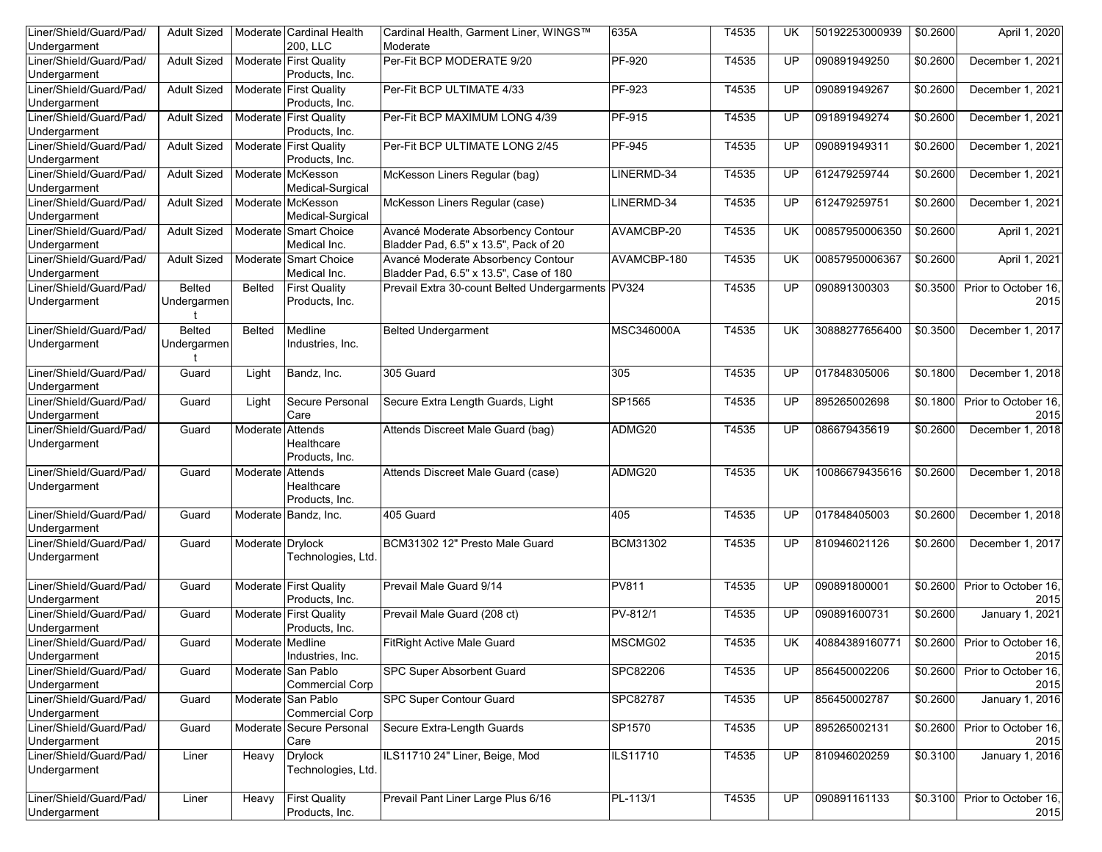| <b>Adult Sized</b> |                                                                                                   |                                         | Cardinal Health, Garment Liner, WINGS™                                                                                                                                                                                                                                                                                                                                                                                                                                                                                                                                                                                                                                                                               | 635A                                                                                                                                                                                                                                                                                                                                                                                                                                   | T4535                                                                                                                                                                                                                       | UK                                                                                     | 50192253000939                                                     | \$0.2600                                                                                                                                                           | April 1, 2020                                                                                            |
|--------------------|---------------------------------------------------------------------------------------------------|-----------------------------------------|----------------------------------------------------------------------------------------------------------------------------------------------------------------------------------------------------------------------------------------------------------------------------------------------------------------------------------------------------------------------------------------------------------------------------------------------------------------------------------------------------------------------------------------------------------------------------------------------------------------------------------------------------------------------------------------------------------------------|----------------------------------------------------------------------------------------------------------------------------------------------------------------------------------------------------------------------------------------------------------------------------------------------------------------------------------------------------------------------------------------------------------------------------------------|-----------------------------------------------------------------------------------------------------------------------------------------------------------------------------------------------------------------------------|----------------------------------------------------------------------------------------|--------------------------------------------------------------------|--------------------------------------------------------------------------------------------------------------------------------------------------------------------|----------------------------------------------------------------------------------------------------------|
|                    |                                                                                                   | 200. LLC                                | Moderate                                                                                                                                                                                                                                                                                                                                                                                                                                                                                                                                                                                                                                                                                                             |                                                                                                                                                                                                                                                                                                                                                                                                                                        |                                                                                                                                                                                                                             |                                                                                        |                                                                    |                                                                                                                                                                    |                                                                                                          |
| <b>Adult Sized</b> |                                                                                                   | Products, Inc.                          | Per-Fit BCP MODERATE 9/20                                                                                                                                                                                                                                                                                                                                                                                                                                                                                                                                                                                                                                                                                            | PF-920                                                                                                                                                                                                                                                                                                                                                                                                                                 | T4535                                                                                                                                                                                                                       | <b>UP</b>                                                                              | 090891949250                                                       | \$0.2600                                                                                                                                                           | December 1, 2021                                                                                         |
| <b>Adult Sized</b> |                                                                                                   |                                         | Per-Fit BCP ULTIMATE 4/33                                                                                                                                                                                                                                                                                                                                                                                                                                                                                                                                                                                                                                                                                            |                                                                                                                                                                                                                                                                                                                                                                                                                                        | T4535                                                                                                                                                                                                                       | <b>UP</b>                                                                              | 090891949267                                                       | \$0.2600                                                                                                                                                           | December 1, 2021                                                                                         |
| <b>Adult Sized</b> |                                                                                                   |                                         | Per-Fit BCP MAXIMUM LONG 4/39                                                                                                                                                                                                                                                                                                                                                                                                                                                                                                                                                                                                                                                                                        |                                                                                                                                                                                                                                                                                                                                                                                                                                        | T4535                                                                                                                                                                                                                       | <b>UP</b>                                                                              | 091891949274                                                       | \$0.2600                                                                                                                                                           | December 1, 2021                                                                                         |
|                    |                                                                                                   |                                         |                                                                                                                                                                                                                                                                                                                                                                                                                                                                                                                                                                                                                                                                                                                      |                                                                                                                                                                                                                                                                                                                                                                                                                                        |                                                                                                                                                                                                                             |                                                                                        |                                                                    |                                                                                                                                                                    |                                                                                                          |
| <b>Adult Sized</b> |                                                                                                   |                                         |                                                                                                                                                                                                                                                                                                                                                                                                                                                                                                                                                                                                                                                                                                                      |                                                                                                                                                                                                                                                                                                                                                                                                                                        |                                                                                                                                                                                                                             | UP                                                                                     |                                                                    |                                                                                                                                                                    | December 1, 2021                                                                                         |
| <b>Adult Sized</b> |                                                                                                   |                                         | McKesson Liners Regular (bag)                                                                                                                                                                                                                                                                                                                                                                                                                                                                                                                                                                                                                                                                                        | LINERMD-34                                                                                                                                                                                                                                                                                                                                                                                                                             | T4535                                                                                                                                                                                                                       | UP                                                                                     | 612479259744                                                       | \$0.2600                                                                                                                                                           | December 1, 2021                                                                                         |
| <b>Adult Sized</b> |                                                                                                   |                                         | McKesson Liners Regular (case)                                                                                                                                                                                                                                                                                                                                                                                                                                                                                                                                                                                                                                                                                       | LINERMD-34                                                                                                                                                                                                                                                                                                                                                                                                                             | T4535                                                                                                                                                                                                                       | <b>UP</b>                                                                              | 612479259751                                                       | \$0.2600                                                                                                                                                           | December 1, 2021                                                                                         |
|                    |                                                                                                   |                                         |                                                                                                                                                                                                                                                                                                                                                                                                                                                                                                                                                                                                                                                                                                                      |                                                                                                                                                                                                                                                                                                                                                                                                                                        |                                                                                                                                                                                                                             |                                                                                        |                                                                    |                                                                                                                                                                    |                                                                                                          |
|                    |                                                                                                   | Medical Inc.                            |                                                                                                                                                                                                                                                                                                                                                                                                                                                                                                                                                                                                                                                                                                                      |                                                                                                                                                                                                                                                                                                                                                                                                                                        |                                                                                                                                                                                                                             |                                                                                        |                                                                    |                                                                                                                                                                    | April 1, 2021                                                                                            |
| <b>Adult Sized</b> |                                                                                                   |                                         | Avancé Moderate Absorbency Contour                                                                                                                                                                                                                                                                                                                                                                                                                                                                                                                                                                                                                                                                                   | AVAMCBP-180                                                                                                                                                                                                                                                                                                                                                                                                                            | T4535                                                                                                                                                                                                                       | UK                                                                                     | 00857950006367                                                     | \$0.2600                                                                                                                                                           | April 1, 2021                                                                                            |
|                    |                                                                                                   |                                         |                                                                                                                                                                                                                                                                                                                                                                                                                                                                                                                                                                                                                                                                                                                      |                                                                                                                                                                                                                                                                                                                                                                                                                                        |                                                                                                                                                                                                                             |                                                                                        |                                                                    |                                                                                                                                                                    | Prior to October 16,                                                                                     |
| Undergarmen        |                                                                                                   | Products, Inc.                          |                                                                                                                                                                                                                                                                                                                                                                                                                                                                                                                                                                                                                                                                                                                      |                                                                                                                                                                                                                                                                                                                                                                                                                                        |                                                                                                                                                                                                                             |                                                                                        |                                                                    |                                                                                                                                                                    | 2015                                                                                                     |
|                    |                                                                                                   |                                         |                                                                                                                                                                                                                                                                                                                                                                                                                                                                                                                                                                                                                                                                                                                      |                                                                                                                                                                                                                                                                                                                                                                                                                                        |                                                                                                                                                                                                                             |                                                                                        |                                                                    |                                                                                                                                                                    | December 1, 2017                                                                                         |
| Undergarmen        |                                                                                                   | Industries, Inc.                        |                                                                                                                                                                                                                                                                                                                                                                                                                                                                                                                                                                                                                                                                                                                      |                                                                                                                                                                                                                                                                                                                                                                                                                                        |                                                                                                                                                                                                                             |                                                                                        |                                                                    |                                                                                                                                                                    |                                                                                                          |
| Guard              | Light                                                                                             | Bandz, Inc.                             | 305 Guard                                                                                                                                                                                                                                                                                                                                                                                                                                                                                                                                                                                                                                                                                                            | 305                                                                                                                                                                                                                                                                                                                                                                                                                                    | T4535                                                                                                                                                                                                                       | UP.                                                                                    | 017848305006                                                       | \$0.1800                                                                                                                                                           | December 1, 2018                                                                                         |
|                    |                                                                                                   |                                         |                                                                                                                                                                                                                                                                                                                                                                                                                                                                                                                                                                                                                                                                                                                      |                                                                                                                                                                                                                                                                                                                                                                                                                                        |                                                                                                                                                                                                                             |                                                                                        |                                                                    |                                                                                                                                                                    |                                                                                                          |
|                    |                                                                                                   | Care                                    |                                                                                                                                                                                                                                                                                                                                                                                                                                                                                                                                                                                                                                                                                                                      |                                                                                                                                                                                                                                                                                                                                                                                                                                        |                                                                                                                                                                                                                             |                                                                                        |                                                                    |                                                                                                                                                                    | Prior to October 16,<br>2015                                                                             |
| Guard              |                                                                                                   | Healthcare                              | Attends Discreet Male Guard (bag)                                                                                                                                                                                                                                                                                                                                                                                                                                                                                                                                                                                                                                                                                    | ADMG20                                                                                                                                                                                                                                                                                                                                                                                                                                 | T4535                                                                                                                                                                                                                       | $\overline{UP}$                                                                        | 086679435619                                                       | \$0.2600                                                                                                                                                           | December 1, 2018                                                                                         |
|                    |                                                                                                   |                                         |                                                                                                                                                                                                                                                                                                                                                                                                                                                                                                                                                                                                                                                                                                                      |                                                                                                                                                                                                                                                                                                                                                                                                                                        |                                                                                                                                                                                                                             |                                                                                        |                                                                    |                                                                                                                                                                    |                                                                                                          |
|                    |                                                                                                   | Healthcare<br>Products, Inc.            |                                                                                                                                                                                                                                                                                                                                                                                                                                                                                                                                                                                                                                                                                                                      |                                                                                                                                                                                                                                                                                                                                                                                                                                        |                                                                                                                                                                                                                             |                                                                                        |                                                                    |                                                                                                                                                                    | December 1, 2018                                                                                         |
| Guard              |                                                                                                   |                                         | 405 Guard                                                                                                                                                                                                                                                                                                                                                                                                                                                                                                                                                                                                                                                                                                            |                                                                                                                                                                                                                                                                                                                                                                                                                                        | T4535                                                                                                                                                                                                                       | UP.                                                                                    | 017848405003                                                       | \$0.2600                                                                                                                                                           | December 1, 2018                                                                                         |
|                    |                                                                                                   |                                         |                                                                                                                                                                                                                                                                                                                                                                                                                                                                                                                                                                                                                                                                                                                      |                                                                                                                                                                                                                                                                                                                                                                                                                                        |                                                                                                                                                                                                                             |                                                                                        |                                                                    |                                                                                                                                                                    |                                                                                                          |
|                    |                                                                                                   | Technologies, Ltd.                      |                                                                                                                                                                                                                                                                                                                                                                                                                                                                                                                                                                                                                                                                                                                      |                                                                                                                                                                                                                                                                                                                                                                                                                                        |                                                                                                                                                                                                                             |                                                                                        |                                                                    |                                                                                                                                                                    | December 1, 2017                                                                                         |
| Guard              |                                                                                                   |                                         | Prevail Male Guard 9/14                                                                                                                                                                                                                                                                                                                                                                                                                                                                                                                                                                                                                                                                                              |                                                                                                                                                                                                                                                                                                                                                                                                                                        | T4535                                                                                                                                                                                                                       | UP                                                                                     | 090891800001                                                       | \$0.2600                                                                                                                                                           | Prior to October 16,<br>2015                                                                             |
|                    |                                                                                                   |                                         |                                                                                                                                                                                                                                                                                                                                                                                                                                                                                                                                                                                                                                                                                                                      |                                                                                                                                                                                                                                                                                                                                                                                                                                        |                                                                                                                                                                                                                             |                                                                                        |                                                                    |                                                                                                                                                                    | <b>January 1, 2021</b>                                                                                   |
|                    |                                                                                                   |                                         |                                                                                                                                                                                                                                                                                                                                                                                                                                                                                                                                                                                                                                                                                                                      |                                                                                                                                                                                                                                                                                                                                                                                                                                        |                                                                                                                                                                                                                             |                                                                                        |                                                                    |                                                                                                                                                                    |                                                                                                          |
| Guard              |                                                                                                   |                                         |                                                                                                                                                                                                                                                                                                                                                                                                                                                                                                                                                                                                                                                                                                                      |                                                                                                                                                                                                                                                                                                                                                                                                                                        |                                                                                                                                                                                                                             | <b>UK</b>                                                                              | 40884389160771                                                     |                                                                                                                                                                    | \$0.2600 Prior to October 16,                                                                            |
|                    |                                                                                                   | Industries, Inc.                        |                                                                                                                                                                                                                                                                                                                                                                                                                                                                                                                                                                                                                                                                                                                      |                                                                                                                                                                                                                                                                                                                                                                                                                                        |                                                                                                                                                                                                                             |                                                                                        |                                                                    |                                                                                                                                                                    | 2015                                                                                                     |
| Guard              |                                                                                                   |                                         | SPC Super Absorbent Guard                                                                                                                                                                                                                                                                                                                                                                                                                                                                                                                                                                                                                                                                                            | SPC82206                                                                                                                                                                                                                                                                                                                                                                                                                               | T4535                                                                                                                                                                                                                       | UP                                                                                     |                                                                    | \$0.2600                                                                                                                                                           | Prior to October 16,                                                                                     |
|                    |                                                                                                   | <b>Commercial Corp</b>                  |                                                                                                                                                                                                                                                                                                                                                                                                                                                                                                                                                                                                                                                                                                                      |                                                                                                                                                                                                                                                                                                                                                                                                                                        |                                                                                                                                                                                                                             |                                                                                        |                                                                    |                                                                                                                                                                    | 2015                                                                                                     |
| Guard              |                                                                                                   |                                         | <b>SPC Super Contour Guard</b>                                                                                                                                                                                                                                                                                                                                                                                                                                                                                                                                                                                                                                                                                       | SPC82787                                                                                                                                                                                                                                                                                                                                                                                                                               | T4535                                                                                                                                                                                                                       | <b>UP</b>                                                                              | 856450002787                                                       | \$0.2600                                                                                                                                                           | January 1, 2016                                                                                          |
|                    |                                                                                                   | <b>Commercial Corp</b>                  |                                                                                                                                                                                                                                                                                                                                                                                                                                                                                                                                                                                                                                                                                                                      |                                                                                                                                                                                                                                                                                                                                                                                                                                        |                                                                                                                                                                                                                             |                                                                                        |                                                                    |                                                                                                                                                                    |                                                                                                          |
| Guard              |                                                                                                   |                                         |                                                                                                                                                                                                                                                                                                                                                                                                                                                                                                                                                                                                                                                                                                                      |                                                                                                                                                                                                                                                                                                                                                                                                                                        | T4535                                                                                                                                                                                                                       | UP.                                                                                    | 895265002131                                                       | \$0.2600                                                                                                                                                           | Prior to October 16,<br>2015                                                                             |
|                    | Heavy                                                                                             |                                         |                                                                                                                                                                                                                                                                                                                                                                                                                                                                                                                                                                                                                                                                                                                      |                                                                                                                                                                                                                                                                                                                                                                                                                                        |                                                                                                                                                                                                                             | <b>UP</b>                                                                              |                                                                    |                                                                                                                                                                    | January 1, 2016                                                                                          |
|                    |                                                                                                   | Technologies, Ltd.                      |                                                                                                                                                                                                                                                                                                                                                                                                                                                                                                                                                                                                                                                                                                                      |                                                                                                                                                                                                                                                                                                                                                                                                                                        |                                                                                                                                                                                                                             |                                                                                        |                                                                    |                                                                                                                                                                    |                                                                                                          |
| Liner              | Heavy                                                                                             | <b>First Quality</b><br>Products, Inc.  | Prevail Pant Liner Large Plus 6/16                                                                                                                                                                                                                                                                                                                                                                                                                                                                                                                                                                                                                                                                                   |                                                                                                                                                                                                                                                                                                                                                                                                                                        | T4535                                                                                                                                                                                                                       | <b>UP</b>                                                                              | 090891161133                                                       | \$0.3100                                                                                                                                                           | Prior to October 16,<br>2015                                                                             |
|                    | <b>Adult Sized</b><br><b>Belted</b><br><b>Belted</b><br>Guard<br>Guard<br>Guard<br>Guard<br>Liner | <b>Belted</b><br><b>Belted</b><br>Light | Moderate Cardinal Health<br>Moderate First Quality<br>Moderate First Quality<br>Products, Inc.<br>Moderate First Quality<br>Products, Inc.<br>Moderate First Quality<br>Products, Inc.<br>Moderate McKesson<br>Medical-Surgical<br>Moderate McKesson<br>Medical-Surgical<br>Moderate Smart Choice<br>Moderate Smart Choice<br>Medical Inc.<br><b>First Quality</b><br>Medline<br>Secure Personal<br>Moderate Attends<br>Products, Inc.<br>Moderate Attends<br>Moderate Bandz, Inc.<br>Moderate Drylock<br>Moderate First Quality<br>Products, Inc.<br>Moderate First Quality<br>Products, Inc.<br>Moderate Medline<br>Moderate San Pablo<br>Moderate San Pablo<br>Moderate Secure Personal<br>Care<br><b>Drylock</b> | Per-Fit BCP ULTIMATE LONG 2/45<br>Avancé Moderate Absorbency Contour<br>Bladder Pad, 6.5" x 13.5", Pack of 20<br>Bladder Pad, 6.5" x 13.5", Case of 180<br><b>Belted Undergarment</b><br>Secure Extra Length Guards, Light<br>Attends Discreet Male Guard (case)<br>BCM31302 12" Presto Male Guard<br>Prevail Male Guard (208 ct)<br><b>FitRight Active Male Guard</b><br>Secure Extra-Length Guards<br>ILS11710 24" Liner, Beige, Mod | PF-923<br>PF-915<br>PF-945<br>AVAMCBP-20<br>Prevail Extra 30-count Belted Undergarments PV324<br>MSC346000A<br>SP1565<br>ADMG20<br>405<br><b>BCM31302</b><br>PV811<br>PV-812/1<br>MSCMG02<br>SP1570<br>ILS11710<br>PL-113/1 | T4535<br>T4535<br>T4535<br>T4535<br>T4535<br>T4535<br>T4535<br>T4535<br>T4535<br>T4535 | <b>UK</b><br>UP<br><b>UK</b><br>UP<br><b>UK</b><br><b>UP</b><br>UP | 090891949311<br>00857950006350<br>090891300303<br>30888277656400<br>895265002698<br>10086679435616<br>810946021126<br>090891600731<br>856450002206<br>810946020259 | \$0.2600<br>\$0.2600<br>\$0.3500<br>\$0.3500<br>\$0.1800<br>\$0.2600<br>\$0.2600<br>\$0.2600<br>\$0.3100 |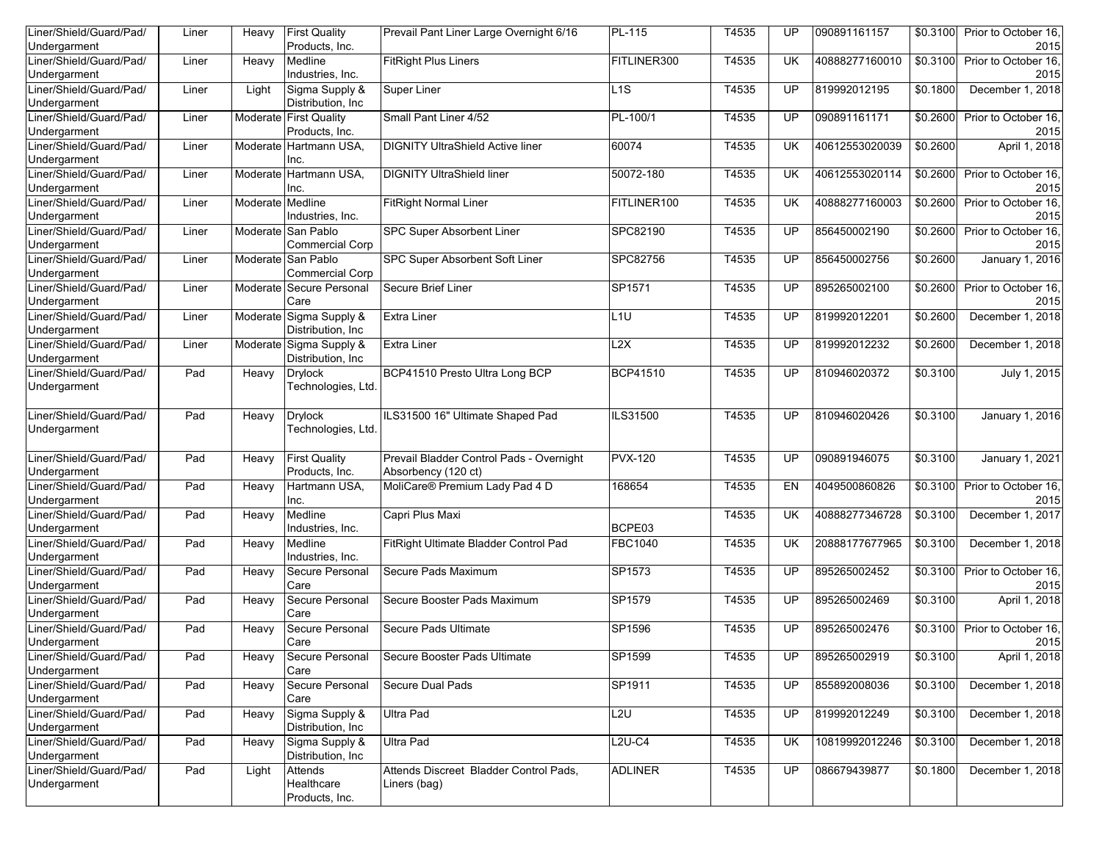| Liner/Shield/Guard/Pad/<br>Undergarment | Liner | Heavy            | <b>First Quality</b><br>Products, Inc.       | Prevail Pant Liner Large Overnight 6/16                         | PL-115          | T4535 | UP              | 090891161157   | \$0.3100 | Prior to October 16.<br>2015 |
|-----------------------------------------|-------|------------------|----------------------------------------------|-----------------------------------------------------------------|-----------------|-------|-----------------|----------------|----------|------------------------------|
| Liner/Shield/Guard/Pad/                 | Liner | Heavy            | Medline                                      | <b>FitRight Plus Liners</b>                                     | FITLINER300     | T4535 | UK              | 40888277160010 | \$0.3100 | Prior to October 16,         |
| Undergarment                            |       |                  | Industries, Inc.                             |                                                                 |                 |       |                 |                |          | 2015                         |
| Liner/Shield/Guard/Pad/<br>Undergarment | Liner | Light            | Sigma Supply &<br>Distribution, Inc.         | <b>Super Liner</b>                                              | L1S             | T4535 | UP              | 819992012195   | \$0.1800 | December 1, 2018             |
| Liner/Shield/Guard/Pad/                 | Liner |                  | Moderate First Quality                       | Small Pant Liner 4/52                                           | PL-100/1        | T4535 | UP              | 090891161171   | \$0.2600 | Prior to October 16,         |
| Undergarment                            |       |                  | Products, Inc.                               |                                                                 |                 |       |                 |                |          | 2015                         |
| Liner/Shield/Guard/Pad/                 | Liner | Moderate         | Hartmann USA,                                | <b>DIGNITY UltraShield Active liner</b>                         | 60074           | T4535 | <b>UK</b>       | 40612553020039 | \$0.2600 | April 1, 2018                |
| Undergarment                            |       |                  | Inc.                                         |                                                                 |                 |       |                 |                |          |                              |
| Liner/Shield/Guard/Pad/<br>Undergarment | Liner |                  | Moderate Hartmann USA,<br>Inc.               | <b>DIGNITY UltraShield liner</b>                                | 50072-180       | T4535 | <b>UK</b>       | 40612553020114 | \$0.2600 | Prior to October 16,<br>2015 |
| Liner/Shield/Guard/Pad/                 | Liner | Moderate Medline |                                              | <b>FitRight Normal Liner</b>                                    | FITLINER100     | T4535 | UK              | 40888277160003 | \$0.2600 | Prior to October 16,         |
| Undergarment                            |       |                  | Industries, Inc.                             |                                                                 |                 |       |                 |                |          | 2015                         |
| Liner/Shield/Guard/Pad/                 | Liner |                  | Moderate San Pablo                           | SPC Super Absorbent Liner                                       | SPC82190        | T4535 | UP              | 856450002190   | \$0.2600 | Prior to October 16,         |
| Undergarment                            |       |                  | <b>Commercial Corp</b>                       |                                                                 |                 |       |                 |                |          | 2015                         |
| Liner/Shield/Guard/Pad/<br>Undergarment | Liner |                  | Moderate San Pablo<br><b>Commercial Corp</b> | SPC Super Absorbent Soft Liner                                  | SPC82756        | T4535 | UP              | 856450002756   | \$0.2600 | January 1, 2016              |
| Liner/Shield/Guard/Pad/                 | Liner | Moderate         | Secure Personal                              | Secure Brief Liner                                              | SP1571          | T4535 | UP              | 895265002100   | \$0.2600 | Prior to October 16,         |
| Undergarment                            |       |                  | Care                                         |                                                                 |                 |       |                 |                |          | 2015                         |
| Liner/Shield/Guard/Pad/                 | Liner |                  | Moderate Sigma Supply &                      | <b>Extra Liner</b>                                              | L <sub>1U</sub> | T4535 | UP              | 819992012201   | \$0.2600 | December 1, 2018             |
| Undergarment                            |       |                  | Distribution, Inc.                           |                                                                 |                 |       |                 |                |          |                              |
| Liner/Shield/Guard/Pad/                 | Liner | Moderate         | Sigma Supply &                               | <b>Extra Liner</b>                                              | 2X              | T4535 | UP              | 819992012232   | \$0.2600 | December 1, 2018             |
| Undergarment                            |       |                  | Distribution, Inc                            |                                                                 |                 |       |                 |                |          |                              |
| Liner/Shield/Guard/Pad/<br>Undergarment | Pad   | Heavy            | <b>Drylock</b><br>Technologies, Ltd.         | BCP41510 Presto Ultra Long BCP                                  | <b>BCP41510</b> | T4535 | $\overline{UP}$ | 810946020372   | \$0.3100 | July 1, 2015                 |
|                                         |       |                  |                                              |                                                                 |                 |       |                 |                |          |                              |
| Liner/Shield/Guard/Pad/<br>Undergarment | Pad   | Heavy            | <b>Drylock</b><br>Technologies, Ltd.         | ILS31500 16" Ultimate Shaped Pad                                | ILS31500        | T4535 | UP              | 810946020426   | \$0.3100 | January 1, 2016              |
| Liner/Shield/Guard/Pad/<br>Undergarment | Pad   | Heavy            | <b>First Quality</b><br>Products, Inc.       | Prevail Bladder Control Pads - Overnight<br>Absorbency (120 ct) | <b>PVX-120</b>  | T4535 | UP              | 090891946075   | \$0.3100 | <b>January 1, 2021</b>       |
| Liner/Shield/Guard/Pad/                 | Pad   | Heavy            | Hartmann USA,                                | MoliCare® Premium Lady Pad 4 D                                  | 168654          | T4535 | EN              | 4049500860826  | \$0.3100 | Prior to October 16,         |
| Undergarment                            |       |                  | Inc.                                         |                                                                 |                 |       |                 |                |          | 2015                         |
| Liner/Shield/Guard/Pad/                 | Pad   | Heavy            | Medline                                      | Capri Plus Maxi                                                 |                 | T4535 | <b>UK</b>       | 40888277346728 | \$0.3100 | December 1, 2017             |
| Undergarment                            |       |                  | Industries, Inc.                             |                                                                 | BCPE03          |       |                 |                |          |                              |
| Liner/Shield/Guard/Pad/                 | Pad   | Heavy            | Medline                                      | FitRight Ultimate Bladder Control Pad                           | <b>FBC1040</b>  | T4535 | <b>UK</b>       | 20888177677965 | \$0.3100 | December 1, 2018             |
| Undergarment                            |       |                  | Industries, Inc.                             |                                                                 |                 |       |                 |                |          |                              |
| Liner/Shield/Guard/Pad/<br>Undergarment | Pad   | Heavy            | Secure Personal<br>Care                      | Secure Pads Maximum                                             | SP1573          | T4535 | UP              | 895265002452   | \$0.3100 | Prior to October 16.<br>2015 |
| Liner/Shield/Guard/Pad/                 | Pad   | Heavy            | Secure Personal                              | Secure Booster Pads Maximum                                     | SP1579          | T4535 | UP              | 895265002469   | \$0.3100 | April 1, 2018                |
| Undergarment                            |       |                  | Care                                         |                                                                 |                 |       |                 |                |          |                              |
| Liner/Shield/Guard/Pad/                 | Pad   | Heavy            | Secure Personal                              | Secure Pads Ultimate                                            | SP1596          | T4535 | UP              | 895265002476   | \$0.3100 | Prior to October 16,         |
| Undergarment                            |       |                  | Care                                         |                                                                 |                 |       |                 |                |          | 2015                         |
| Liner/Shield/Guard/Pad/                 | Pad   | Heavy            | Secure Personal                              | Secure Booster Pads Ultimate                                    | SP1599          | T4535 | UP              | 895265002919   | \$0.3100 | April 1, 2018                |
| Undergarment                            |       |                  | Care                                         |                                                                 |                 |       |                 |                |          |                              |
| Liner/Shield/Guard/Pad/                 | Pad   | Heavy            | Secure Personal                              | Secure Dual Pads                                                | SP1911          | T4535 | UP              | 855892008036   | \$0.3100 | December 1, 2018             |
| Undergarment                            |       |                  | Care                                         |                                                                 |                 |       |                 |                |          |                              |
| Liner/Shield/Guard/Pad/<br>Undergarment | Pad   | Heavy            | Sigma Supply &<br>Distribution, Inc          | <b>Ultra Pad</b>                                                | L2U             | T4535 | UP              | 819992012249   | \$0.3100 | December 1, 2018             |
| Liner/Shield/Guard/Pad/                 | Pad   | Heavy            | Sigma Supply &                               | <b>Ultra Pad</b>                                                | $L2U-C4$        | T4535 | UK.             | 10819992012246 | \$0.3100 | December 1, 2018             |
| Undergarment                            |       |                  | Distribution, Inc                            |                                                                 |                 |       |                 |                |          |                              |
| Liner/Shield/Guard/Pad/                 | Pad   | Light            | Attends                                      | Attends Discreet Bladder Control Pads.                          | <b>ADLINER</b>  | T4535 | UP              | 086679439877   | \$0.1800 | December 1, 2018             |
| Undergarment                            |       |                  | Healthcare<br>Products, Inc.                 | Liners (bag)                                                    |                 |       |                 |                |          |                              |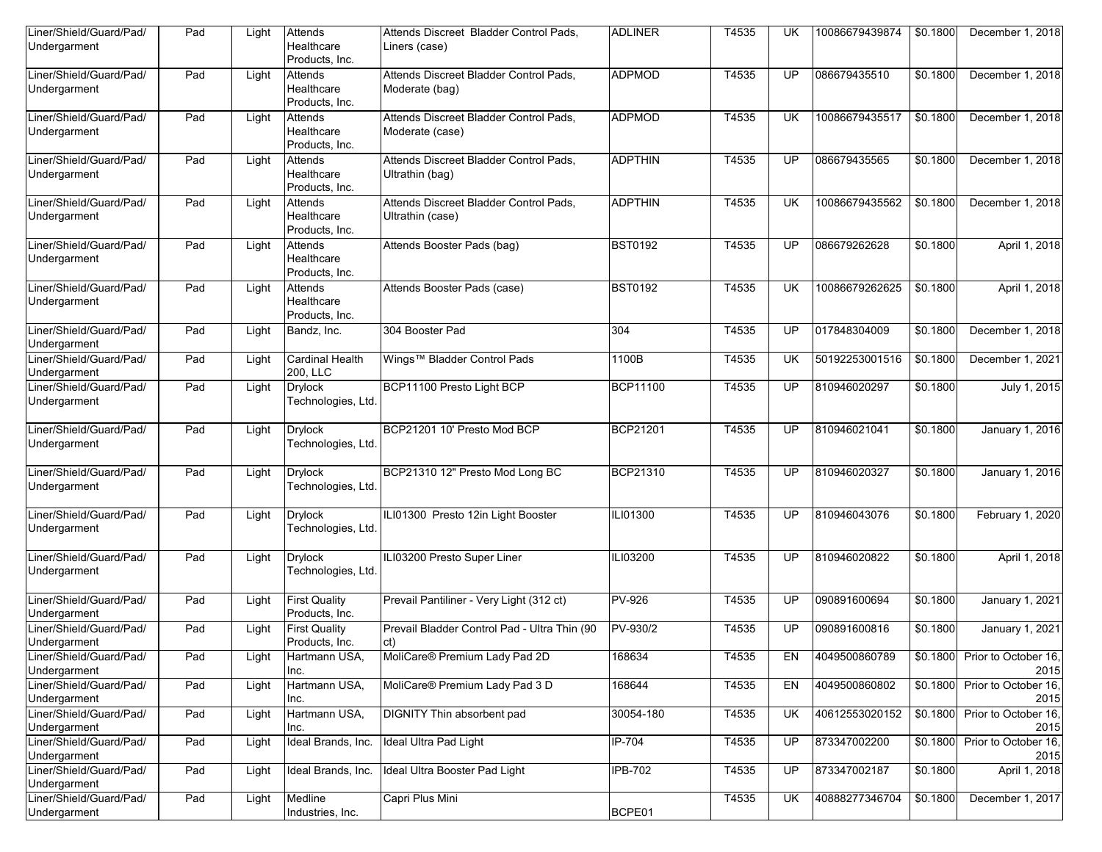| Liner/Shield/Guard/Pad/<br>Undergarment | Pad | Light | Attends<br>Healthcare<br>Products, Inc. | Attends Discreet Bladder Control Pads,<br>Liners (case)    | <b>ADLINER</b> | T4535 | UK                       | 10086679439874 | \$0.1800 | December 1, 2018                      |
|-----------------------------------------|-----|-------|-----------------------------------------|------------------------------------------------------------|----------------|-------|--------------------------|----------------|----------|---------------------------------------|
| Liner/Shield/Guard/Pad/<br>Undergarment | Pad | Light | Attends<br>Healthcare<br>Products, Inc. | Attends Discreet Bladder Control Pads,<br>Moderate (bag)   | <b>ADPMOD</b>  | T4535 | UP                       | 086679435510   | \$0.1800 | December 1, 2018                      |
| Liner/Shield/Guard/Pad/<br>Undergarment | Pad | Light | Attends<br>Healthcare<br>Products, Inc. | Attends Discreet Bladder Control Pads.<br>Moderate (case)  | <b>ADPMOD</b>  | T4535 | <b>UK</b>                | 10086679435517 | \$0.1800 | December 1, 2018                      |
| Liner/Shield/Guard/Pad/<br>Undergarment | Pad | Light | Attends<br>Healthcare<br>Products, Inc. | Attends Discreet Bladder Control Pads,<br>Ultrathin (bag)  | <b>ADPTHIN</b> | T4535 | UP                       | 086679435565   | \$0.1800 | December 1, 2018                      |
| Liner/Shield/Guard/Pad/<br>Undergarment | Pad | Light | Attends<br>Healthcare<br>Products, Inc. | Attends Discreet Bladder Control Pads.<br>Ultrathin (case) | <b>ADPTHIN</b> | T4535 | <b>UK</b>                | 10086679435562 | \$0.1800 | December 1, 2018                      |
| Liner/Shield/Guard/Pad/<br>Undergarment | Pad | Light | Attends<br>Healthcare<br>Products, Inc. | Attends Booster Pads (bag)                                 | <b>BST0192</b> | T4535 | UP                       | 086679262628   | \$0.1800 | April 1, 2018                         |
| Liner/Shield/Guard/Pad/<br>Undergarment | Pad | Light | Attends<br>Healthcare<br>Products, Inc. | Attends Booster Pads (case)                                | <b>BST0192</b> | T4535 | <b>UK</b>                | 10086679262625 | \$0.1800 | April 1, 2018                         |
| Liner/Shield/Guard/Pad/<br>Undergarment | Pad | Light | Bandz. Inc.                             | 304 Booster Pad                                            | 304            | T4535 | UP                       | 017848304009   | \$0.1800 | December 1, 2018                      |
| Liner/Shield/Guard/Pad/<br>Undergarment | Pad | Light | <b>Cardinal Health</b><br>200, LLC      | Wings™ Bladder Control Pads                                | 1100B          | T4535 | UK                       | 50192253001516 | \$0.1800 | December 1, 2021                      |
| Liner/Shield/Guard/Pad/<br>Undergarment | Pad | Light | <b>Drylock</b><br>Technologies, Ltd     | BCP11100 Presto Light BCP                                  | BCP11100       | T4535 | UP                       | 810946020297   | \$0.1800 | July 1, 2015                          |
| Liner/Shield/Guard/Pad/<br>Undergarment | Pad | Light | <b>Drylock</b><br>Technologies, Ltd.    | BCP21201 10' Presto Mod BCP                                | BCP21201       | T4535 | $\overline{\mathsf{UP}}$ | 810946021041   | \$0.1800 | January 1, 2016                       |
| Liner/Shield/Guard/Pad/<br>Undergarment | Pad | Light | <b>Drylock</b><br>Technologies, Ltd.    | BCP21310 12" Presto Mod Long BC                            | BCP21310       | T4535 | UP                       | 810946020327   | \$0.1800 | January 1, 2016                       |
| Liner/Shield/Guard/Pad/<br>Undergarment | Pad | Light | <b>Drylock</b><br>Technologies, Ltd     | ILI01300 Presto 12in Light Booster                         | ILI01300       | T4535 | $\overline{\mathsf{UP}}$ | 810946043076   | \$0.1800 | February 1, 2020                      |
| Liner/Shield/Guard/Pad/<br>Undergarment | Pad | Light | <b>Drylock</b><br>Technologies, Ltd.    | ILI03200 Presto Super Liner                                | ILI03200       | T4535 | UP                       | 810946020822   | \$0.1800 | April 1, 2018                         |
| Liner/Shield/Guard/Pad/<br>Undergarment | Pad | Light | <b>First Quality</b><br>Products, Inc.  | Prevail Pantiliner - Very Light (312 ct)                   | <b>PV-926</b>  | T4535 | UP                       | 090891600694   | \$0.1800 | January 1, 2021                       |
| Liner/Shield/Guard/Pad/<br>Undergarment | Pad | Light | <b>First Quality</b><br>Products, Inc.  | Prevail Bladder Control Pad - Ultra Thin (90<br>ct)        | PV-930/2       | T4535 | UP                       | 090891600816   | \$0.1800 | January 1, 2021                       |
| Liner/Shield/Guard/Pad/<br>Undergarment | Pad | Light | Hartmann USA.<br>Inc.                   | MoliCare <sup>®</sup> Premium Lady Pad 2D                  | 168634         | T4535 | EN                       | 4049500860789  |          | \$0.1800 Prior to October 16,<br>2015 |
| Liner/Shield/Guard/Pad/<br>Undergarment | Pad | Light | Hartmann USA,<br>Inc.                   | MoliCare® Premium Lady Pad 3 D                             | 168644         | T4535 | EN                       | 4049500860802  | \$0.1800 | Prior to October 16,<br>2015          |
| Liner/Shield/Guard/Pad/<br>Undergarment | Pad | Light | Hartmann USA,<br>Inc.                   | <b>DIGNITY Thin absorbent pad</b>                          | 30054-180      | T4535 | UK                       | 40612553020152 | \$0.1800 | Prior to October 16,<br>2015          |
| Liner/Shield/Guard/Pad/<br>Undergarment | Pad | Light | Ideal Brands, Inc.                      | Ideal Ultra Pad Light                                      | IP-704         | T4535 | <b>UP</b>                | 873347002200   | \$0.1800 | Prior to October 16,<br>2015          |
| Liner/Shield/Guard/Pad/<br>Undergarment | Pad | Light | Ideal Brands, Inc.                      | Ideal Ultra Booster Pad Light                              | <b>IPB-702</b> | T4535 | <b>UP</b>                | 873347002187   | \$0.1800 | April 1, 2018                         |
| Liner/Shield/Guard/Pad/<br>Undergarment | Pad | Light | Medline<br>Industries, Inc.             | Capri Plus Mini                                            | BCPE01         | T4535 | <b>UK</b>                | 40888277346704 | \$0.1800 | December 1, 2017                      |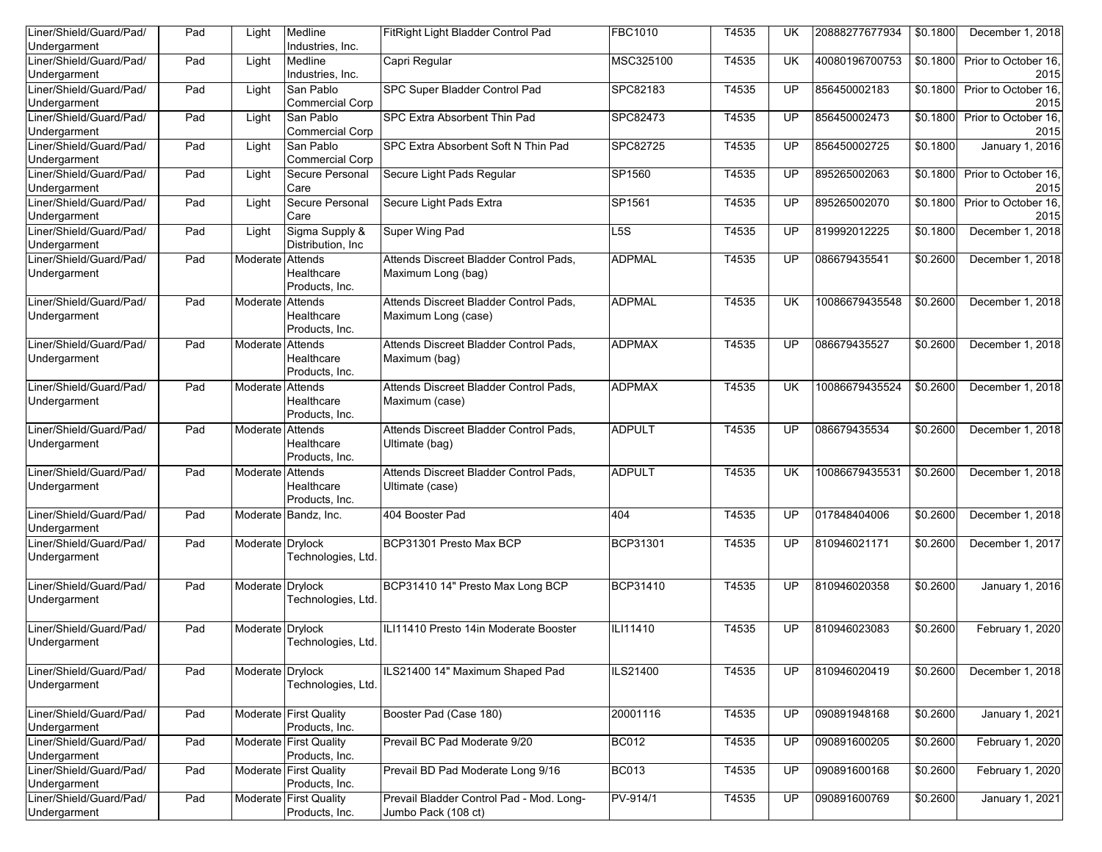| Liner/Shield/Guard/Pad/<br>Undergarment | Pad | Light            | Medline<br>Industries, Inc.               | FitRight Light Bladder Control Pad       | FBC1010         | T4535 | UK              | 20888277677934 | \$0.1800 | December 1, 2018             |
|-----------------------------------------|-----|------------------|-------------------------------------------|------------------------------------------|-----------------|-------|-----------------|----------------|----------|------------------------------|
| Liner/Shield/Guard/Pad/                 | Pad | Light            | Medline                                   | Capri Regular                            | MSC325100       | T4535 | UK              | 40080196700753 | \$0.1800 | Prior to October 16,         |
| Undergarment<br>Liner/Shield/Guard/Pad/ | Pad |                  | Industries, Inc.<br>San Pablo             | SPC Super Bladder Control Pad            | SPC82183        | T4535 | UP              | 856450002183   | \$0.1800 | 2015<br>Prior to October 16, |
| Undergarment                            |     | Light            | <b>Commercial Corp</b>                    |                                          |                 |       |                 |                |          | 2015                         |
| Liner/Shield/Guard/Pad/                 | Pad | Light            | San Pablo                                 | SPC Extra Absorbent Thin Pad             | SPC82473        | T4535 | UP              | 856450002473   | \$0.1800 | Prior to October 16,         |
| Undergarment                            |     |                  | <b>Commercial Corp</b>                    |                                          |                 |       |                 |                |          | 2015                         |
| Liner/Shield/Guard/Pad/                 | Pad | Light            | San Pablo                                 | SPC Extra Absorbent Soft N Thin Pad      | SPC82725        | T4535 | UP              | 856450002725   | \$0.1800 | January 1, 2016              |
| Undergarment<br>Liner/Shield/Guard/Pad/ | Pad | Light            | <b>Commercial Corp</b><br>Secure Personal | Secure Light Pads Regular                | SP1560          | T4535 | UP              | 895265002063   | \$0.1800 | Prior to October 16,         |
| Undergarment                            |     |                  | Care                                      |                                          |                 |       |                 |                |          | 2015                         |
| Liner/Shield/Guard/Pad/                 | Pad | Light            | Secure Personal                           | Secure Light Pads Extra                  | SP1561          | T4535 | UP              | 895265002070   | \$0.1800 | Prior to October 16,         |
| Undergarment                            |     |                  | Care                                      |                                          |                 |       |                 |                |          | 2015                         |
| Liner/Shield/Guard/Pad/<br>Undergarment | Pad | Light            | Sigma Supply &<br>Distribution, Inc.      | Super Wing Pad                           | L5S             | T4535 | UP              | 819992012225   | \$0.1800 | December 1, 2018             |
| Liner/Shield/Guard/Pad/                 | Pad | Moderate         | Attends                                   | Attends Discreet Bladder Control Pads,   | <b>ADPMAL</b>   | T4535 | UP              | 086679435541   | \$0.2600 | December 1, 2018             |
| Undergarment                            |     |                  | Healthcare<br>Products, Inc.              | Maximum Long (bag)                       |                 |       |                 |                |          |                              |
| Liner/Shield/Guard/Pad/                 | Pad | Moderate Attends |                                           | Attends Discreet Bladder Control Pads,   | <b>ADPMAL</b>   | T4535 | UK              | 10086679435548 | \$0.2600 | December 1, 2018             |
| Undergarment                            |     |                  | Healthcare<br>Products, Inc.              | Maximum Long (case)                      |                 |       |                 |                |          |                              |
| Liner/Shield/Guard/Pad/                 | Pad | Moderate         | Attends                                   | Attends Discreet Bladder Control Pads,   | <b>ADPMAX</b>   | T4535 | UP              | 086679435527   | \$0.2600 | December 1, 2018             |
| Undergarment                            |     |                  | Healthcare<br>Products, Inc.              | Maximum (bag)                            |                 |       |                 |                |          |                              |
| Liner/Shield/Guard/Pad/                 | Pad | Moderate Attends |                                           | Attends Discreet Bladder Control Pads,   | <b>ADPMAX</b>   | T4535 | <b>UK</b>       | 10086679435524 | \$0.2600 | December 1, 2018             |
| Undergarment                            |     |                  | Healthcare<br>Products, Inc.              | Maximum (case)                           |                 |       |                 |                |          |                              |
| Liner/Shield/Guard/Pad/                 | Pad | Moderate Attends |                                           | Attends Discreet Bladder Control Pads,   | <b>ADPULT</b>   | T4535 | UP              | 086679435534   | \$0.2600 | December 1, 2018             |
| Undergarment                            |     |                  | Healthcare<br>Products, Inc.              | Ultimate (bag)                           |                 |       |                 |                |          |                              |
| Liner/Shield/Guard/Pad/                 | Pad | Moderate Attends |                                           | Attends Discreet Bladder Control Pads,   | <b>ADPULT</b>   | T4535 | <b>UK</b>       | 10086679435531 | \$0.2600 | December 1, 2018             |
| Undergarment                            |     |                  | Healthcare<br>Products, Inc.              | Ultimate (case)                          |                 |       |                 |                |          |                              |
| Liner/Shield/Guard/Pad/                 | Pad |                  | Moderate Bandz, Inc.                      | 404 Booster Pad                          | 404             | T4535 | UP              | 017848404006   | \$0.2600 | December 1, 2018             |
| Undergarment<br>Liner/Shield/Guard/Pad/ | Pad | Moderate Drylock |                                           | BCP31301 Presto Max BCP                  | BCP31301        | T4535 | UP              | 810946021171   | \$0.2600 | December 1, 2017             |
| Undergarment                            |     |                  | Technologies, Ltd.                        |                                          |                 |       |                 |                |          |                              |
|                                         |     |                  |                                           |                                          |                 |       |                 |                |          |                              |
| Liner/Shield/Guard/Pad/<br>Undergarment | Pad | Moderate Drylock | Technologies, Ltd.                        | BCP31410 14" Presto Max Long BCP         | BCP31410        | T4535 | UP              | 810946020358   | \$0.2600 | January 1, 2016              |
|                                         |     |                  |                                           |                                          |                 |       |                 |                |          |                              |
| Liner/Shield/Guard/Pad/                 | Pad | Moderate Drylock |                                           | ILI11410 Presto 14in Moderate Booster    | ILI11410        | T4535 | UP              | 810946023083   | \$0.2600 | February 1, 2020             |
| Undergarment                            |     |                  | Technologies, Ltd.                        |                                          |                 |       |                 |                |          |                              |
| Liner/Shield/Guard/Pad/                 | Pad | Moderate Drylock |                                           | ILS21400 14" Maximum Shaped Pad          | <b>ILS21400</b> | T4535 | UP              | 810946020419   | \$0.2600 | December 1, 2018             |
| Undergarment                            |     |                  | Technologies, Ltd.                        |                                          |                 |       |                 |                |          |                              |
| Liner/Shield/Guard/Pad/                 | Pad |                  | Moderate First Quality                    | Booster Pad (Case 180)                   | 20001116        | T4535 | $\overline{UP}$ | 090891948168   | \$0.2600 | <b>January 1, 2021</b>       |
| Undergarment                            |     |                  | Products, Inc.                            |                                          |                 |       |                 |                |          |                              |
| Liner/Shield/Guard/Pad/<br>Undergarment | Pad |                  | Moderate First Quality<br>Products, Inc.  | Prevail BC Pad Moderate 9/20             | <b>BC012</b>    | T4535 | <b>UP</b>       | 090891600205   | \$0.2600 | February 1, 2020             |
| Liner/Shield/Guard/Pad/                 | Pad |                  | Moderate First Quality                    | Prevail BD Pad Moderate Long 9/16        | <b>BC013</b>    | T4535 | UP              | 090891600168   | \$0.2600 | February 1, 2020             |
| Undergarment                            |     |                  | Products, Inc.                            |                                          |                 |       |                 |                |          |                              |
| Liner/Shield/Guard/Pad/                 | Pad |                  | Moderate First Quality                    | Prevail Bladder Control Pad - Mod. Long- | PV-914/1        | T4535 | UP              | 090891600769   | \$0.2600 | <b>January 1, 2021</b>       |
| Undergarment                            |     |                  | Products, Inc.                            | Jumbo Pack (108 ct)                      |                 |       |                 |                |          |                              |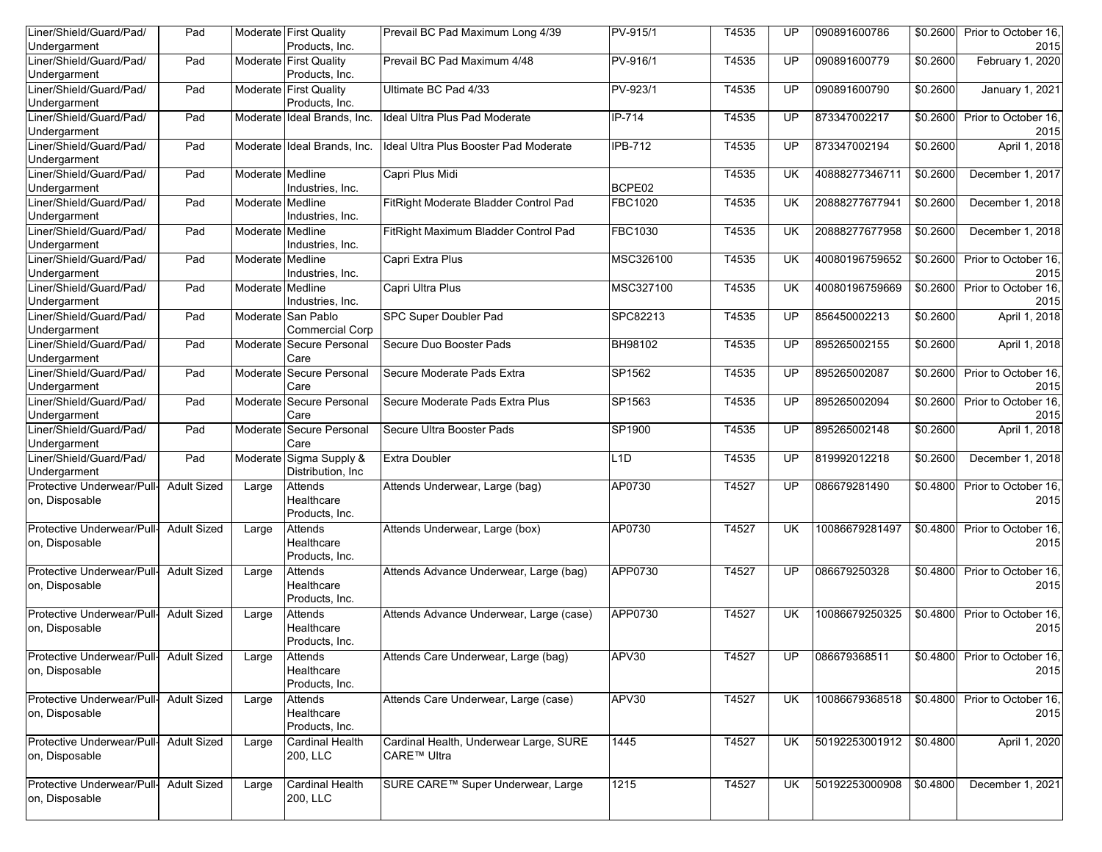| Liner/Shield/Guard/Pad/<br>Undergarment                  | Pad                |                  | Moderate First Quality<br>Products, Inc.      | Prevail BC Pad Maximum Long 4/39                      | $PV-915/1$     | T4535 | UP        | 090891600786   | \$0.2600 | Prior to October 16,<br>2015          |
|----------------------------------------------------------|--------------------|------------------|-----------------------------------------------|-------------------------------------------------------|----------------|-------|-----------|----------------|----------|---------------------------------------|
| Liner/Shield/Guard/Pad/<br>Undergarment                  | Pad                |                  | Moderate First Quality<br>Products, Inc.      | Prevail BC Pad Maximum 4/48                           | PV-916/1       | T4535 | UP        | 090891600779   | \$0.2600 | February 1, 2020                      |
| Liner/Shield/Guard/Pad/<br>Undergarment                  | Pad                |                  | Moderate First Quality<br>Products, Inc.      | Ultimate BC Pad 4/33                                  | PV-923/1       | T4535 | UP        | 090891600790   | \$0.2600 | <b>January 1, 2021</b>                |
| Liner/Shield/Guard/Pad/<br>Undergarment                  | Pad                |                  | Moderate Ideal Brands, Inc.                   | Ideal Ultra Plus Pad Moderate                         | IP-714         | T4535 | UP        | 873347002217   | \$0.2600 | Prior to October 16.<br>2015          |
| Liner/Shield/Guard/Pad/<br>Undergarment                  | Pad                |                  | Moderate Ideal Brands, Inc.                   | Ideal Ultra Plus Booster Pad Moderate                 | <b>IPB-712</b> | T4535 | UP        | 873347002194   | \$0.2600 | April 1, 2018                         |
| Liner/Shield/Guard/Pad/<br>Undergarment                  | Pad                | Moderate Medline | Industries, Inc.                              | Capri Plus Midi                                       | BCPE02         | T4535 | <b>UK</b> | 40888277346711 | \$0.2600 | December 1, 2017                      |
| Liner/Shield/Guard/Pad/<br>Undergarment                  | Pad                | Moderate Medline | Industries, Inc.                              | FitRight Moderate Bladder Control Pad                 | FBC1020        | T4535 | <b>UK</b> | 20888277677941 | \$0.2600 | December 1, 2018                      |
| Liner/Shield/Guard/Pad/<br>Undergarment                  | Pad                | Moderate Medline | Industries, Inc.                              | FitRight Maximum Bladder Control Pad                  | FBC1030        | T4535 | <b>UK</b> | 20888277677958 | \$0.2600 | December 1, 2018                      |
| Liner/Shield/Guard/Pad/<br>Undergarment                  | Pad                | Moderate Medline | Industries, Inc.                              | Capri Extra Plus                                      | MSC326100      | T4535 | UK        | 40080196759652 | \$0.2600 | Prior to October 16,<br>2015          |
| Liner/Shield/Guard/Pad/<br>Undergarment                  | Pad                | Moderate Medline | Industries, Inc.                              | Capri Ultra Plus                                      | MSC327100      | T4535 | <b>UK</b> | 40080196759669 | \$0.2600 | Prior to October 16,<br>2015          |
| Liner/Shield/Guard/Pad/<br>Undergarment                  | Pad                |                  | Moderate San Pablo<br><b>Commercial Corp</b>  | <b>SPC Super Doubler Pad</b>                          | SPC82213       | T4535 | UP        | 856450002213   | \$0.2600 | April 1, 2018                         |
| Liner/Shield/Guard/Pad/<br>Undergarment                  | Pad                | Moderate         | Secure Personal<br>Care                       | Secure Duo Booster Pads                               | BH98102        | T4535 | UP        | 895265002155   | \$0.2600 | April 1, 2018                         |
| Liner/Shield/Guard/Pad/<br>Undergarment                  | Pad                |                  | Moderate Secure Personal<br>Care              | Secure Moderate Pads Extra                            | SP1562         | T4535 | UP        | 895265002087   | \$0.2600 | Prior to October 16,<br>2015          |
| Liner/Shield/Guard/Pad/<br>Undergarment                  | Pad                | Moderate         | Secure Personal<br>Care                       | Secure Moderate Pads Extra Plus                       | SP1563         | T4535 | UP        | 895265002094   | \$0.2600 | Prior to October 16,<br>2015          |
| Liner/Shield/Guard/Pad/<br>Undergarment                  | Pad                |                  | Moderate Secure Personal<br>Care              | Secure Ultra Booster Pads                             | SP1900         | T4535 | UP        | 895265002148   | \$0.2600 | April 1, 2018                         |
| Liner/Shield/Guard/Pad/<br>Undergarment                  | Pad                |                  | Moderate Sigma Supply &<br>Distribution, Inc. | <b>Extra Doubler</b>                                  | L1D            | T4535 | UP        | 819992012218   | \$0.2600 | December 1, 2018                      |
| Protective Underwear/Pull-<br>on, Disposable             | <b>Adult Sized</b> | Large            | Attends<br>Healthcare<br>Products, Inc.       | Attends Underwear, Large (bag)                        | AP0730         | T4527 | UP        | 086679281490   | \$0.4800 | Prior to October 16,<br>2015          |
| Protective Underwear/Pull-<br>on, Disposable             | <b>Adult Sized</b> | Large            | Attends<br>Healthcare<br>Products, Inc.       | Attends Underwear, Large (box)                        | AP0730         | T4527 | <b>UK</b> | 10086679281497 | \$0.4800 | Prior to October 16,<br>2015          |
| Protective Underwear/Pull-<br>on, Disposable             | <b>Adult Sized</b> | Large            | Attends<br>Healthcare<br>Products, Inc.       | Attends Advance Underwear, Large (bag)                | APP0730        | T4527 | UP        | 086679250328   | \$0.4800 | Prior to October 16,<br>2015          |
| Protective Underwear/Pull-<br>on, Disposable             | <b>Adult Sized</b> | Large            | Attends<br>Healthcare<br>Products, Inc.       | Attends Advance Underwear, Large (case)               | APP0730        | T4527 | <b>UK</b> | 10086679250325 | \$0.4800 | Prior to October 16,<br>2015          |
| Protective Underwear/Pull- Adult Sized<br>on, Disposable |                    | Large            | Attends<br>Healthcare<br>Products, Inc.       | Attends Care Underwear, Large (bag)                   | APV30          | T4527 | UP        | 086679368511   |          | \$0.4800 Prior to October 16,<br>2015 |
| Protective Underwear/Pull- Adult Sized<br>on, Disposable |                    | Large            | Attends<br>Healthcare<br>Products, Inc.       | Attends Care Underwear, Large (case)                  | APV30          | T4527 | <b>UK</b> | 10086679368518 |          | \$0.4800 Prior to October 16,<br>2015 |
| Protective Underwear/Pull- Adult Sized<br>on, Disposable |                    | Large            | <b>Cardinal Health</b><br>200, LLC            | Cardinal Health, Underwear Large, SURE<br>CARE™ Ultra | 1445           | T4527 | UK.       | 50192253001912 | \$0.4800 | April 1, 2020                         |
| Protective Underwear/Pull- Adult Sized<br>on, Disposable |                    | Large            | Cardinal Health<br>200, LLC                   | SURE CARE™ Super Underwear, Large                     | 1215           | T4527 | UK.       | 50192253000908 | \$0.4800 | December 1, 2021                      |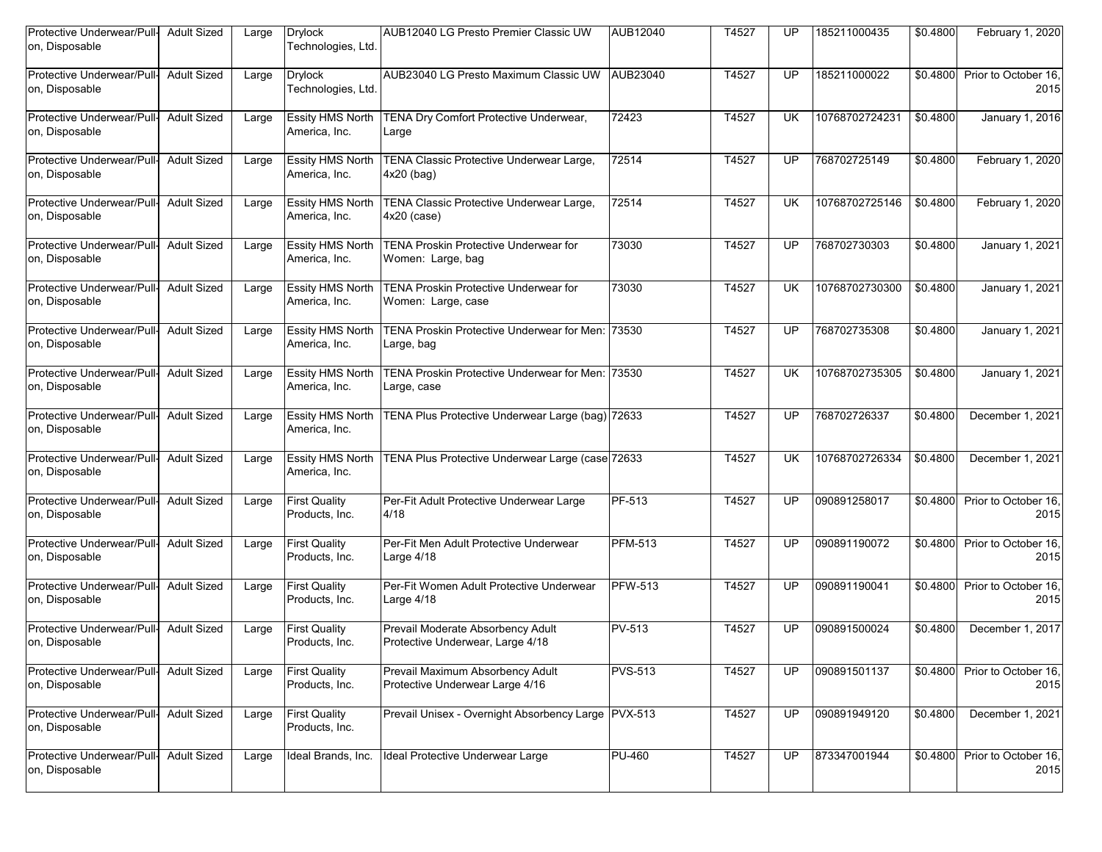| Protective Underwear/Pull-<br>on, Disposable | <b>Adult Sized</b> | Large | <b>Drylock</b><br>Technologies, Ltd.     | AUB12040 LG Presto Premier Classic UW                                 | AUB12040       | T4527 | UP        | 185211000435   | \$0.4800 | February 1, 2020             |
|----------------------------------------------|--------------------|-------|------------------------------------------|-----------------------------------------------------------------------|----------------|-------|-----------|----------------|----------|------------------------------|
| Protective Underwear/Pull-<br>on, Disposable | <b>Adult Sized</b> | Large | <b>Drylock</b><br>Technologies, Ltd.     | AUB23040 LG Presto Maximum Classic UW AUB23040                        |                | T4527 | <b>UP</b> | 185211000022   | \$0.4800 | Prior to October 16,<br>2015 |
| Protective Underwear/Pull-<br>on, Disposable | <b>Adult Sized</b> | Large | <b>Essity HMS North</b><br>America, Inc. | TENA Dry Comfort Protective Underwear,<br>Large                       | 72423          | T4527 | <b>UK</b> | 10768702724231 | \$0.4800 | January 1, 2016              |
| Protective Underwear/Pull-<br>on, Disposable | <b>Adult Sized</b> | Large | <b>Essity HMS North</b><br>America, Inc. | TENA Classic Protective Underwear Large,<br>$4x20$ (bag)              | 72514          | T4527 | UP        | 768702725149   | \$0.4800 | February 1, 2020             |
| Protective Underwear/Pull-<br>on, Disposable | <b>Adult Sized</b> | Large | <b>Essity HMS North</b><br>America, Inc. | TENA Classic Protective Underwear Large,<br>$4x20$ (case)             | 72514          | T4527 | <b>UK</b> | 10768702725146 | \$0.4800 | February 1, 2020             |
| Protective Underwear/Pull-<br>on, Disposable | <b>Adult Sized</b> | Large | <b>Essity HMS North</b><br>America, Inc. | <b>TENA Proskin Protective Underwear for</b><br>Women: Large, bag     | 73030          | T4527 | UP.       | 768702730303   | \$0.4800 | January 1, 2021              |
| Protective Underwear/Pull-<br>on, Disposable | <b>Adult Sized</b> | Large | <b>Essity HMS North</b><br>America, Inc. | <b>TENA Proskin Protective Underwear for</b><br>Women: Large, case    | 73030          | T4527 | UK.       | 10768702730300 | \$0.4800 | January 1, 2021              |
| Protective Underwear/Pull<br>on, Disposable  | <b>Adult Sized</b> | Large | <b>Essity HMS North</b><br>America, Inc. | TENA Proskin Protective Underwear for Men: 73530<br>Large, bag        |                | T4527 | UP        | 768702735308   | \$0.4800 | January 1, 2021              |
| Protective Underwear/Pull-<br>on, Disposable | <b>Adult Sized</b> | Large | <b>Essity HMS North</b><br>America, Inc. | TENA Proskin Protective Underwear for Men: 73530<br>Large, case       |                | T4527 | <b>UK</b> | 10768702735305 | \$0.4800 | January 1, 2021              |
| Protective Underwear/Pull-<br>on, Disposable | <b>Adult Sized</b> | Large | <b>Essity HMS North</b><br>America, Inc. | TENA Plus Protective Underwear Large (bag) 72633                      |                | T4527 | <b>UP</b> | 768702726337   | \$0.4800 | December 1, 2021             |
| Protective Underwear/Pull-<br>on, Disposable | <b>Adult Sized</b> | Large | <b>Essity HMS North</b><br>America, Inc. | TENA Plus Protective Underwear Large (case 72633                      |                | T4527 | UK        | 10768702726334 | \$0.4800 | December 1, 2021             |
| Protective Underwear/Pull-<br>on, Disposable | <b>Adult Sized</b> | Large | <b>First Quality</b><br>Products, Inc.   | Per-Fit Adult Protective Underwear Large<br>4/18                      | PF-513         | T4527 | <b>UP</b> | 090891258017   | \$0.4800 | Prior to October 16,<br>2015 |
| Protective Underwear/Pull<br>on, Disposable  | <b>Adult Sized</b> | Large | <b>First Quality</b><br>Products, Inc.   | Per-Fit Men Adult Protective Underwear<br>Large 4/18                  | <b>PFM-513</b> | T4527 | UP        | 090891190072   | \$0.4800 | Prior to October 16,<br>2015 |
| Protective Underwear/Pull-<br>on, Disposable | <b>Adult Sized</b> | Large | <b>First Quality</b><br>Products, Inc.   | Per-Fit Women Adult Protective Underwear<br>Large 4/18                | <b>PFW-513</b> | T4527 | <b>UP</b> | 090891190041   | \$0.4800 | Prior to October 16,<br>2015 |
| Protective Underwear/Pull-<br>on, Disposable | <b>Adult Sized</b> | Large | <b>First Quality</b><br>Products. Inc.   | Prevail Moderate Absorbency Adult<br>Protective Underwear, Large 4/18 | PV-513         | T4527 | UP        | 090891500024   | \$0.4800 | December 1, 2017             |
| Protective Underwear/Pull-<br>on, Disposable | <b>Adult Sized</b> | Large | <b>First Quality</b><br>Products, Inc.   | Prevail Maximum Absorbency Adult<br>Protective Underwear Large 4/16   | <b>PVS-513</b> | T4527 | UP.       | 090891501137   | \$0.4800 | Prior to October 16,<br>2015 |
| Protective Underwear/Pull-<br>on, Disposable | <b>Adult Sized</b> | Large | <b>First Quality</b><br>Products, Inc.   | Prevail Unisex - Overnight Absorbency Large   PVX-513                 |                | T4527 | <b>UP</b> | 090891949120   | \$0.4800 | December 1, 2021             |
| Protective Underwear/Pull-<br>on, Disposable | <b>Adult Sized</b> | Large | Ideal Brands, Inc.                       | Ideal Protective Underwear Large                                      | <b>PU-460</b>  | T4527 | <b>UP</b> | 873347001944   | \$0.4800 | Prior to October 16,<br>2015 |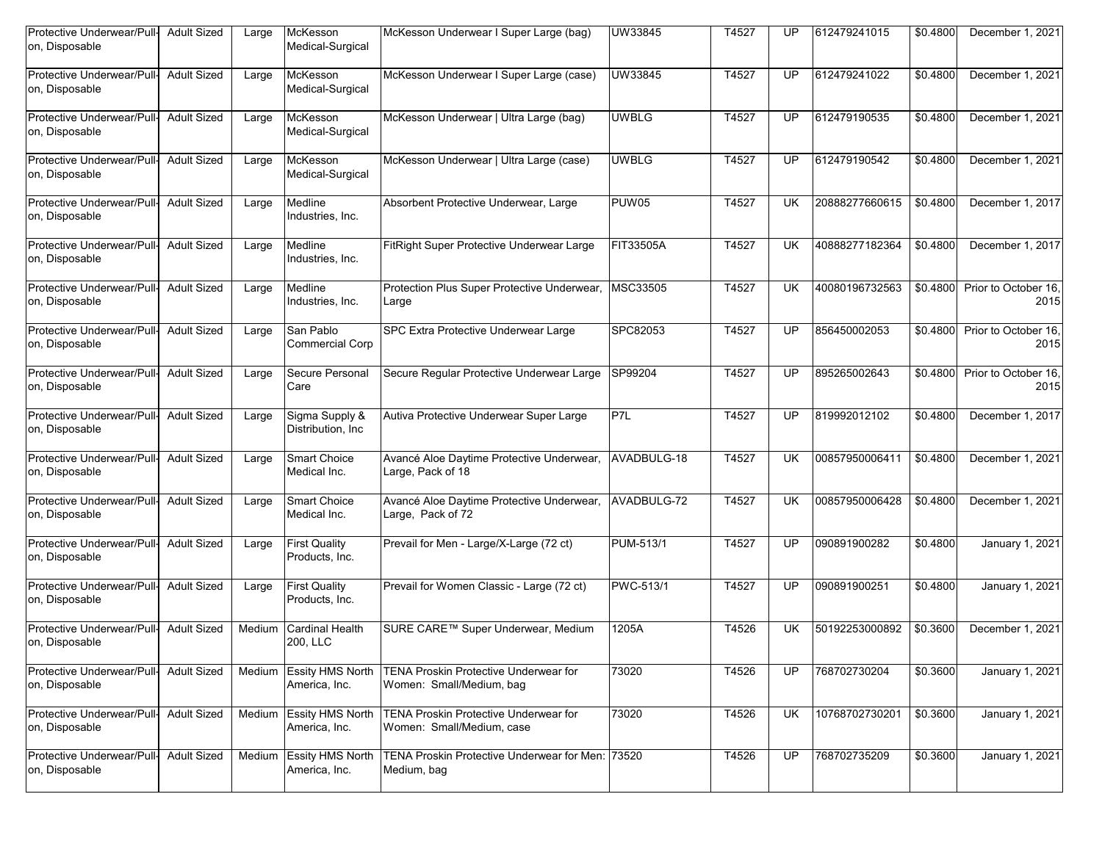| Protective Underwear/Pull-<br>on, Disposable | <b>Adult Sized</b> | Large  | McKesson<br>Medical-Surgical             | McKesson Underwear I Super Large (bag)                             | UW33845          | T4527 | UP        | 612479241015   | \$0.4800 | December 1, 2021             |
|----------------------------------------------|--------------------|--------|------------------------------------------|--------------------------------------------------------------------|------------------|-------|-----------|----------------|----------|------------------------------|
| Protective Underwear/Pull-<br>on, Disposable | <b>Adult Sized</b> | Large  | McKesson<br>Medical-Surgical             | McKesson Underwear I Super Large (case)                            | UW33845          | T4527 | UP        | 612479241022   | \$0.4800 | December 1, 2021             |
| Protective Underwear/Pull<br>on, Disposable  | <b>Adult Sized</b> | Large  | McKesson<br>Medical-Surgical             | McKesson Underwear   Ultra Large (bag)                             | <b>UWBLG</b>     | T4527 | UP        | 612479190535   | \$0.4800 | December 1, 2021             |
| Protective Underwear/Pull-<br>on, Disposable | <b>Adult Sized</b> | Large  | McKesson<br>Medical-Surgical             | McKesson Underwear   Ultra Large (case)                            | <b>UWBLG</b>     | T4527 | UP        | 612479190542   | \$0.4800 | December 1, 2021             |
| Protective Underwear/Pull-<br>on, Disposable | <b>Adult Sized</b> | Large  | Medline<br>Industries, Inc.              | Absorbent Protective Underwear, Large                              | <b>PUW05</b>     | T4527 | <b>UK</b> | 20888277660615 | \$0.4800 | December 1, 2017             |
| Protective Underwear/Pull<br>on, Disposable  | <b>Adult Sized</b> | Large  | Medline<br>Industries, Inc.              | FitRight Super Protective Underwear Large                          | <b>FIT33505A</b> | T4527 | UK        | 40888277182364 | \$0.4800 | December 1, 2017             |
| Protective Underwear/Pull-<br>on, Disposable | <b>Adult Sized</b> | Large  | Medline<br>Industries, Inc.              | Protection Plus Super Protective Underwear,<br>Large               | MSC33505         | T4527 | UK        | 40080196732563 | \$0.4800 | Prior to October 16.<br>2015 |
| Protective Underwear/Pull<br>on, Disposable  | <b>Adult Sized</b> | Large  | San Pablo<br><b>Commercial Corp</b>      | SPC Extra Protective Underwear Large                               | SPC82053         | T4527 | UP        | 856450002053   | \$0.4800 | Prior to October 16.<br>2015 |
| Protective Underwear/Pull-<br>on, Disposable | <b>Adult Sized</b> | Large  | Secure Personal<br>Care                  | Secure Regular Protective Underwear Large                          | SP99204          | T4527 | UP        | 895265002643   | \$0.4800 | Prior to October 16.<br>2015 |
| Protective Underwear/Pull-<br>on, Disposable | <b>Adult Sized</b> | Large  | Sigma Supply &<br>Distribution, Inc.     | Autiva Protective Underwear Super Large                            | P <sub>7L</sub>  | T4527 | UP        | 819992012102   | \$0.4800 | December 1, 2017             |
| Protective Underwear/Pull-<br>on, Disposable | <b>Adult Sized</b> | Large  | Smart Choice<br>Medical Inc.             | Avancé Aloe Daytime Protective Underwear,<br>Large, Pack of 18     | AVADBULG-18      | T4527 | UK        | 00857950006411 | \$0.4800 | December 1, 2021             |
| Protective Underwear/Pull-<br>on, Disposable | <b>Adult Sized</b> | Large  | <b>Smart Choice</b><br>Medical Inc.      | Avancé Aloe Daytime Protective Underwear,<br>Large, Pack of 72     | AVADBULG-72      | T4527 | <b>UK</b> | 00857950006428 | \$0.4800 | December 1, 2021             |
| Protective Underwear/Pull<br>on, Disposable  | <b>Adult Sized</b> | Large  | <b>First Quality</b><br>Products, Inc.   | Prevail for Men - Large/X-Large (72 ct)                            | PUM-513/1        | T4527 | UP        | 090891900282   | \$0.4800 | January 1, 2021              |
| Protective Underwear/Pull-<br>on, Disposable | <b>Adult Sized</b> | Large  | <b>First Quality</b><br>Products, Inc.   | Prevail for Women Classic - Large (72 ct)                          | PWC-513/1        | T4527 | UP        | 090891900251   | \$0.4800 | January 1, 2021              |
| Protective Underwear/Pull-<br>on, Disposable | <b>Adult Sized</b> | Medium | <b>Cardinal Health</b><br>200, LLC       | SURE CARE™ Super Underwear, Medium                                 | 1205A            | T4526 | UK        | 50192253000892 | \$0.3600 | December 1, 2021             |
| Protective Underwear/Pull-<br>on, Disposable | <b>Adult Sized</b> | Medium | <b>Essity HMS North</b><br>America, Inc. | TENA Proskin Protective Underwear for<br>Women: Small/Medium, bag  | 73020            | T4526 | UP        | 768702730204   | \$0.3600 | January 1, 2021              |
| Protective Underwear/Pull-<br>on, Disposable | <b>Adult Sized</b> | Medium | <b>Essity HMS North</b><br>America, Inc. | TENA Proskin Protective Underwear for<br>Women: Small/Medium, case | 73020            | T4526 | <b>UK</b> | 10768702730201 | \$0.3600 | January 1, 2021              |
| Protective Underwear/Pull-<br>on, Disposable | <b>Adult Sized</b> | Medium | <b>Essity HMS North</b><br>America, Inc. | TENA Proskin Protective Underwear for Men: 73520<br>Medium, bag    |                  | T4526 | UP        | 768702735209   | \$0.3600 | January 1, 2021              |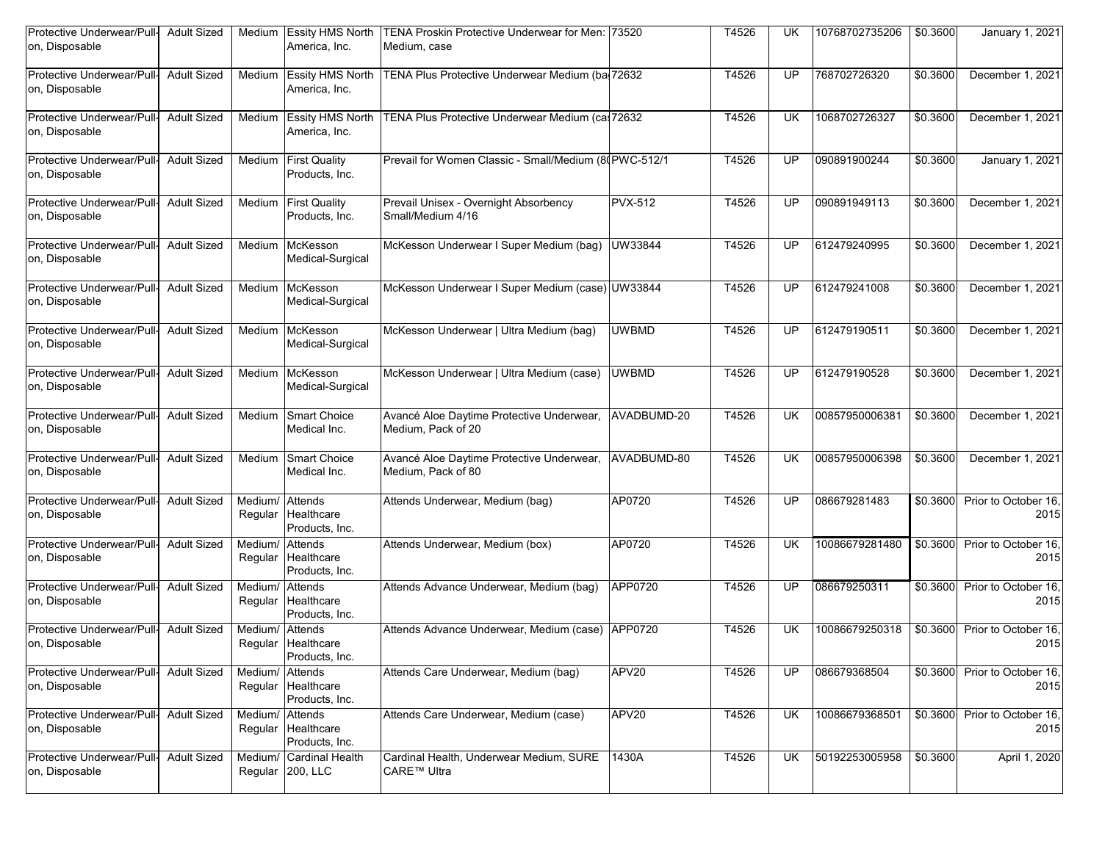| Protective Underwear/Pull-<br>on, Disposable | <b>Adult Sized</b> | Medium             | <b>Essity HMS North</b><br>America, Inc.        | TENA Proskin Protective Underwear for Men: 73520<br>Medium, case |                | T4526 | UK        | 10768702735206 | \$0.3600 | January 1, 2021              |
|----------------------------------------------|--------------------|--------------------|-------------------------------------------------|------------------------------------------------------------------|----------------|-------|-----------|----------------|----------|------------------------------|
| Protective Underwear/Pull-<br>on, Disposable | <b>Adult Sized</b> | Medium             | <b>Essity HMS North</b><br>America, Inc.        | TENA Plus Protective Underwear Medium (ba 72632                  |                | T4526 | UP        | 768702726320   | \$0.3600 | December 1, 2021             |
| Protective Underwear/Pull<br>on, Disposable  | <b>Adult Sized</b> | Medium             | <b>Essity HMS North</b><br>America, Inc.        | TENA Plus Protective Underwear Medium (ca. 72632                 |                | T4526 | UK        | 1068702726327  | \$0.3600 | December 1, 2021             |
| Protective Underwear/Pull-<br>on, Disposable | <b>Adult Sized</b> | Medium             | <b>First Quality</b><br>Products, Inc.          | Prevail for Women Classic - Small/Medium (80PWC-512/1            |                | T4526 | UP        | 090891900244   | \$0.3600 | January 1, 2021              |
| Protective Underwear/Pull-<br>on, Disposable | <b>Adult Sized</b> | Medium             | <b>First Quality</b><br>Products, Inc.          | Prevail Unisex - Overnight Absorbency<br>Small/Medium 4/16       | <b>PVX-512</b> | T4526 | UP        | 090891949113   | \$0.3600 | December 1, 2021             |
| Protective Underwear/Pull-<br>on, Disposable | <b>Adult Sized</b> | Medium             | McKesson<br>Medical-Surgical                    | McKesson Underwear I Super Medium (bag)                          | UW33844        | T4526 | UP        | 612479240995   | \$0.3600 | December 1, 2021             |
| Protective Underwear/Pull-<br>on, Disposable | <b>Adult Sized</b> | Medium             | McKesson<br>Medical-Surgical                    | McKesson Underwear I Super Medium (case) UW33844                 |                | T4526 | UP        | 612479241008   | \$0.3600 | December 1, 2021             |
| Protective Underwear/Pull-<br>on, Disposable | <b>Adult Sized</b> | Medium             | McKesson<br>Medical-Surgical                    | McKesson Underwear   Ultra Medium (bag)                          | <b>UWBMD</b>   | T4526 | UP        | 612479190511   | \$0.3600 | December 1, 2021             |
| Protective Underwear/Pull-<br>on, Disposable | <b>Adult Sized</b> | Medium             | McKesson<br>Medical-Surgical                    | McKesson Underwear   Ultra Medium (case)                         | <b>UWBMD</b>   | T4526 | UP        | 612479190528   | \$0.3600 | December 1, 2021             |
| Protective Underwear/Pull-<br>on, Disposable | <b>Adult Sized</b> | Medium             | <b>Smart Choice</b><br>Medical Inc.             | Avancé Aloe Daytime Protective Underwear,<br>Medium, Pack of 20  | AVADBUMD-20    | T4526 | UK        | 00857950006381 | \$0.3600 | December 1, 2021             |
| Protective Underwear/Pull-<br>on, Disposable | <b>Adult Sized</b> | Medium             | <b>Smart Choice</b><br>Medical Inc.             | Avancé Aloe Daytime Protective Underwear,<br>Medium, Pack of 80  | AVADBUMD-80    | T4526 | UK        | 00857950006398 | \$0.3600 | December 1, 2021             |
| Protective Underwear/Pull-<br>on, Disposable | <b>Adult Sized</b> | Medium/<br>Regular | Attends<br>Healthcare<br>Products, Inc.         | Attends Underwear, Medium (bag)                                  | AP0720         | T4526 | UP        | 086679281483   | \$0.3600 | Prior to October 16.<br>2015 |
| Protective Underwear/Pull-<br>on, Disposable | <b>Adult Sized</b> | Medium/<br>Regular | Attends<br>Healthcare<br>Products, Inc.         | Attends Underwear, Medium (box)                                  | AP0720         | T4526 | UK        | 10086679281480 | \$0.3600 | Prior to October 16.<br>2015 |
| Protective Underwear/Pull<br>on, Disposable  | <b>Adult Sized</b> | Medium/<br>Regular | Attends<br>Healthcare<br>Products, Inc.         | Attends Advance Underwear, Medium (bag)                          | APP0720        | T4526 | UP        | 086679250311   | \$0.3600 | Prior to October 16.<br>2015 |
| Protective Underwear/Pull<br>on, Disposable  | <b>Adult Sized</b> | Medium/            | Attends<br>Regular Healthcare<br>Products, Inc. | Attends Advance Underwear, Medium (case) APP0720                 |                | T4526 | UK        | 10086679250318 | \$0.3600 | Prior to October 16.<br>2015 |
| Protective Underwear/Pull-<br>on, Disposable | <b>Adult Sized</b> | Medium/<br>Regular | Attends<br>Healthcare<br>Products, Inc.         | Attends Care Underwear, Medium (bag)                             | APV20          | T4526 | UP        | 086679368504   | \$0.3600 | Prior to October 16,<br>2015 |
| Protective Underwear/Pull-<br>on, Disposable | <b>Adult Sized</b> | Medium/<br>Regular | Attends<br>Healthcare<br>Products, Inc.         | Attends Care Underwear, Medium (case)                            | APV20          | T4526 | UK        | 10086679368501 | \$0.3600 | Prior to October 16,<br>2015 |
| Protective Underwear/Pull-<br>on, Disposable | <b>Adult Sized</b> | Medium/            | <b>Cardinal Health</b><br>Regular 200, LLC      | Cardinal Health, Underwear Medium, SURE<br>CARE™ Ultra           | 1430A          | T4526 | <b>UK</b> | 50192253005958 | \$0.3600 | April 1, 2020                |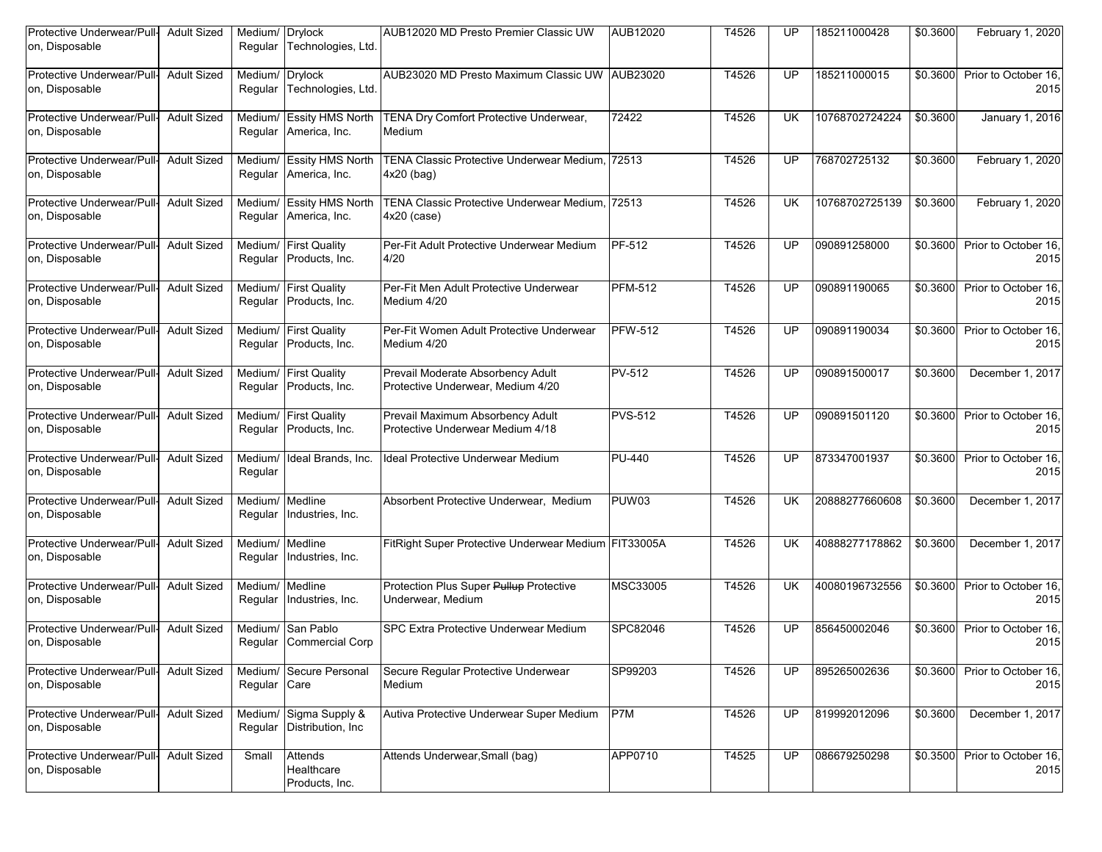| Protective Underwear/Pull-<br>on, Disposable | <b>Adult Sized</b> | Medium/ Drylock<br>Regular | Technologies, Ltd.                               | AUB12020 MD Presto Premier Classic UW                                  | AUB12020       | T4526 | UP        | 185211000428   | \$0.3600 | February 1, 2020             |
|----------------------------------------------|--------------------|----------------------------|--------------------------------------------------|------------------------------------------------------------------------|----------------|-------|-----------|----------------|----------|------------------------------|
| Protective Underwear/Pull-<br>on, Disposable | <b>Adult Sized</b> | Medium/<br>Regular         | <b>Drylock</b><br>Technologies, Ltd.             | AUB23020 MD Presto Maximum Classic UW   AUB23020                       |                | T4526 | UP        | 185211000015   | \$0.3600 | Prior to October 16.<br>2015 |
| Protective Underwear/Pull<br>on, Disposable  | <b>Adult Sized</b> | Medium/<br>Regular         | <b>Essity HMS North</b><br>America, Inc.         | TENA Dry Comfort Protective Underwear,<br>Medium                       | 72422          | T4526 | UK        | 10768702724224 | \$0.3600 | January 1, 2016              |
| Protective Underwear/Pull-<br>on, Disposable | <b>Adult Sized</b> | Medium/                    | <b>Essity HMS North</b><br>Regular America, Inc. | TENA Classic Protective Underwear Medium, 72513<br>$4x20$ (bag)        |                | T4526 | UP        | 768702725132   | \$0.3600 | February 1, 2020             |
| Protective Underwear/Pull-<br>on, Disposable | <b>Adult Sized</b> | Medium/<br>Regular         | <b>Essity HMS North</b><br>America, Inc.         | TENA Classic Protective Underwear Medium. 72513<br>$4x20$ (case)       |                | T4526 | <b>UK</b> | 10768702725139 | \$0.3600 | February 1, 2020             |
| Protective Underwear/Pull-<br>on, Disposable | <b>Adult Sized</b> | Medium/<br>Regular         | <b>First Quality</b><br>Products, Inc.           | Per-Fit Adult Protective Underwear Medium<br>4/20                      | PF-512         | T4526 | UP        | 090891258000   | \$0.3600 | Prior to October 16,<br>2015 |
| Protective Underwear/Pull-<br>on, Disposable | <b>Adult Sized</b> | Medium/<br>Regular         | <b>First Quality</b><br>Products, Inc.           | Per-Fit Men Adult Protective Underwear<br>Medium 4/20                  | <b>PFM-512</b> | T4526 | UP        | 090891190065   | \$0.3600 | Prior to October 16.<br>2015 |
| Protective Underwear/Pull<br>on, Disposable  | <b>Adult Sized</b> | Medium/<br>Regular         | <b>First Quality</b><br>Products, Inc.           | Per-Fit Women Adult Protective Underwear<br>Medium 4/20                | <b>PFW-512</b> | T4526 | UP        | 090891190034   | \$0.3600 | Prior to October 16.<br>2015 |
| Protective Underwear/Pull-<br>on, Disposable | <b>Adult Sized</b> | Medium/<br>Regular         | <b>First Quality</b><br>Products, Inc.           | Prevail Moderate Absorbency Adult<br>Protective Underwear, Medium 4/20 | <b>PV-512</b>  | T4526 | UP        | 090891500017   | \$0.3600 | December 1, 2017             |
| Protective Underwear/Pull-<br>on, Disposable | <b>Adult Sized</b> | Medium/<br>Regular         | <b>First Quality</b><br>Products, Inc.           | Prevail Maximum Absorbency Adult<br>Protective Underwear Medium 4/18   | <b>PVS-512</b> | T4526 | UP        | 090891501120   | \$0.3600 | Prior to October 16,<br>2015 |
| Protective Underwear/Pull<br>on, Disposable  | <b>Adult Sized</b> | Medium/<br>Regular         | Ideal Brands, Inc.                               | <b>Ideal Protective Underwear Medium</b>                               | <b>PU-440</b>  | T4526 | UP        | 873347001937   | \$0.3600 | Prior to October 16.<br>2015 |
| Protective Underwear/Pull-<br>on, Disposable | <b>Adult Sized</b> | Medium/<br>Regular         | Medline<br>Industries, Inc.                      | Absorbent Protective Underwear, Medium                                 | PUW03          | T4526 | UK        | 20888277660608 | \$0.3600 | December 1, 2017             |
| Protective Underwear/Pull<br>on, Disposable  | <b>Adult Sized</b> | Medium/<br>Regular         | Medline<br>Industries, Inc.                      | FitRight Super Protective Underwear Medium FIT33005A                   |                | T4526 | UK        | 40888277178862 | \$0.3600 | December 1, 2017             |
| Protective Underwear/Pull-<br>on, Disposable | <b>Adult Sized</b> | Medium/<br>Regular         | Medline<br>Industries, Inc.                      | Protection Plus Super Pullup Protective<br>Underwear, Medium           | MSC33005       | T4526 | UK        | 40080196732556 | \$0.3600 | Prior to October 16,<br>2015 |
| Protective Underwear/Pull-<br>on, Disposable | <b>Adult Sized</b> | Medium/                    | San Pablo<br>Regular Commercial Corp             | <b>SPC Extra Protective Underwear Medium</b>                           | SPC82046       | T4526 | UP        | 856450002046   | \$0.3600 | Prior to October 16.<br>2015 |
| Protective Underwear/Pull-<br>on, Disposable | <b>Adult Sized</b> | Medium/<br>Regular Care    | Secure Personal                                  | Secure Regular Protective Underwear<br>Medium                          | SP99203        | T4526 | UP        | 895265002636   | \$0.3600 | Prior to October 16,<br>2015 |
| Protective Underwear/Pull-<br>on, Disposable | <b>Adult Sized</b> | Medium/<br>Regular         | Sigma Supply &<br>Distribution, Inc.             | Autiva Protective Underwear Super Medium                               | P7M            | T4526 | <b>UP</b> | 819992012096   | \$0.3600 | December 1, 2017             |
| Protective Underwear/Pull-<br>on, Disposable | <b>Adult Sized</b> | Small                      | Attends<br>Healthcare<br>Products, Inc.          | Attends Underwear, Small (bag)                                         | APP0710        | T4525 | UP        | 086679250298   | \$0.3500 | Prior to October 16,<br>2015 |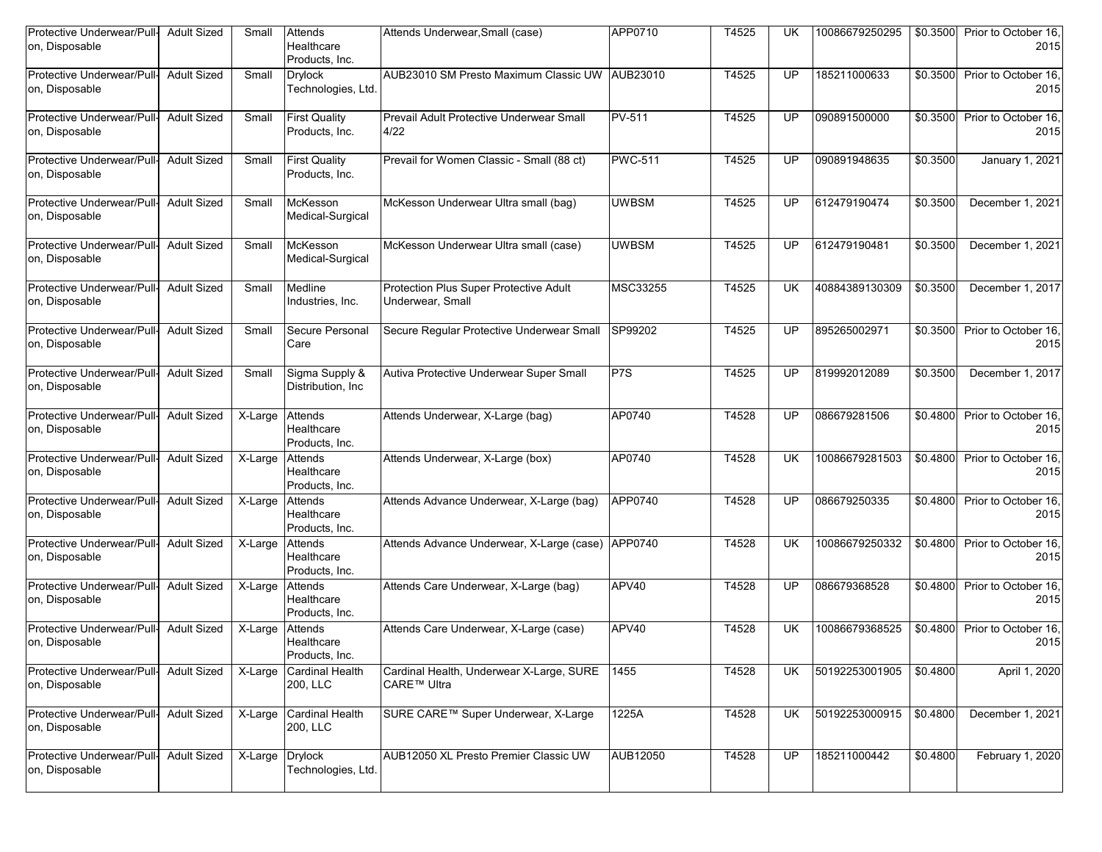| Protective Underwear/Pull-<br>on, Disposable | <b>Adult Sized</b> | Small                 | Attends<br>Healthcare<br>Products, Inc. | Attends Underwear, Small (case)                            | APP0710          | T4525 | UK        | 10086679250295 | \$0.3500 | Prior to October 16,<br>2015 |
|----------------------------------------------|--------------------|-----------------------|-----------------------------------------|------------------------------------------------------------|------------------|-------|-----------|----------------|----------|------------------------------|
| Protective Underwear/Pull-<br>on, Disposable | <b>Adult Sized</b> | Small                 | <b>Drylock</b><br>Technologies, Ltd.    | AUB23010 SM Presto Maximum Classic UW AUB23010             |                  | T4525 | UP        | 185211000633   | \$0.3500 | Prior to October 16.<br>2015 |
| Protective Underwear/Pull<br>on, Disposable  | <b>Adult Sized</b> | Small                 | <b>First Quality</b><br>Products, Inc.  | Prevail Adult Protective Underwear Small<br>4/22           | <b>PV-511</b>    | T4525 | UP        | 090891500000   | \$0.3500 | Prior to October 16.<br>2015 |
| Protective Underwear/Pull<br>on, Disposable  | <b>Adult Sized</b> | Small                 | <b>First Quality</b><br>Products, Inc.  | Prevail for Women Classic - Small (88 ct)                  | <b>PWC-511</b>   | T4525 | UP        | 090891948635   | \$0.3500 | January 1, 2021              |
| Protective Underwear/Pull-<br>on, Disposable | <b>Adult Sized</b> | Small                 | McKesson<br>Medical-Surgical            | McKesson Underwear Ultra small (bag)                       | <b>UWBSM</b>     | T4525 | UP        | 612479190474   | \$0.3500 | December 1, 2021             |
| Protective Underwear/Pull-<br>on, Disposable | <b>Adult Sized</b> | Small                 | McKesson<br>Medical-Surgical            | McKesson Underwear Ultra small (case)                      | <b>UWBSM</b>     | T4525 | UP        | 612479190481   | \$0.3500 | December 1, 2021             |
| Protective Underwear/Pull-<br>on, Disposable | <b>Adult Sized</b> | Small                 | Medline<br>Industries, Inc.             | Protection Plus Super Protective Adult<br>Underwear, Small | MSC33255         | T4525 | UK        | 40884389130309 | \$0.3500 | December 1, 2017             |
| Protective Underwear/Pull<br>on, Disposable  | <b>Adult Sized</b> | Small                 | Secure Personal<br>Care                 | Secure Regular Protective Underwear Small                  | SP99202          | T4525 | UP        | 895265002971   | \$0.3500 | Prior to October 16.<br>2015 |
| Protective Underwear/Pull-<br>on, Disposable | <b>Adult Sized</b> | Small                 | Sigma Supply &<br>Distribution, Inc.    | Autiva Protective Underwear Super Small                    | P <sub>7</sub> S | T4525 | UP        | 819992012089   | \$0.3500 | December 1, 2017             |
| Protective Underwear/Pull-<br>on, Disposable | <b>Adult Sized</b> | X-Large               | Attends<br>Healthcare<br>Products, Inc. | Attends Underwear, X-Large (bag)                           | AP0740           | T4528 | UP        | 086679281506   | \$0.4800 | Prior to October 16,<br>2015 |
| Protective Underwear/Pull-<br>on, Disposable | <b>Adult Sized</b> | X-Large               | Attends<br>Healthcare<br>Products, Inc. | Attends Underwear, X-Large (box)                           | AP0740           | T4528 | UK        | 10086679281503 | \$0.4800 | Prior to October 16.<br>2015 |
| Protective Underwear/Pull-<br>on, Disposable | <b>Adult Sized</b> | X-Large               | Attends<br>Healthcare<br>Products, Inc. | Attends Advance Underwear, X-Large (bag)                   | APP0740          | T4528 | UP        | 086679250335   | \$0.4800 | Prior to October 16.<br>2015 |
| Protective Underwear/Pull<br>on, Disposable  | <b>Adult Sized</b> | X-Large               | Attends<br>Healthcare<br>Products, Inc. | Attends Advance Underwear, X-Large (case) APP0740          |                  | T4528 | UK        | 10086679250332 | \$0.4800 | Prior to October 16.<br>2015 |
| Protective Underwear/Pull-<br>on, Disposable | <b>Adult Sized</b> | X-Large               | Attends<br>Healthcare<br>Products, Inc. | Attends Care Underwear, X-Large (bag)                      | APV40            | T4528 | UP        | 086679368528   | \$0.4800 | Prior to October 16.<br>2015 |
| Protective Underwear/Pull<br>on, Disposable  | <b>Adult Sized</b> | X-Large               | Attends<br>Healthcare<br>Products, Inc. | Attends Care Underwear, X-Large (case)                     | APV40            | T4528 | <b>UK</b> | 10086679368525 | \$0.4800 | Prior to October 16.<br>2015 |
| Protective Underwear/Pull-<br>on, Disposable | <b>Adult Sized</b> | $\overline{X}$ -Large | <b>Cardinal Health</b><br>200, LLC      | Cardinal Health, Underwear X-Large, SURE<br>CARE™ Ultra    | 1455             | T4528 | UK        | 50192253001905 | \$0.4800 | April 1, 2020                |
| Protective Underwear/Pull-<br>on, Disposable | <b>Adult Sized</b> | X-Large               | Cardinal Health<br>200, LLC             | SURE CARE™ Super Underwear, X-Large                        | 1225A            | T4528 | <b>UK</b> | 50192253000915 | \$0.4800 | December 1, 2021             |
| Protective Underwear/Pull-<br>on, Disposable | <b>Adult Sized</b> | X-Large               | <b>Drylock</b><br>Technologies, Ltd.    | AUB12050 XL Presto Premier Classic UW                      | AUB12050         | T4528 | UP        | 185211000442   | \$0.4800 | February 1, 2020             |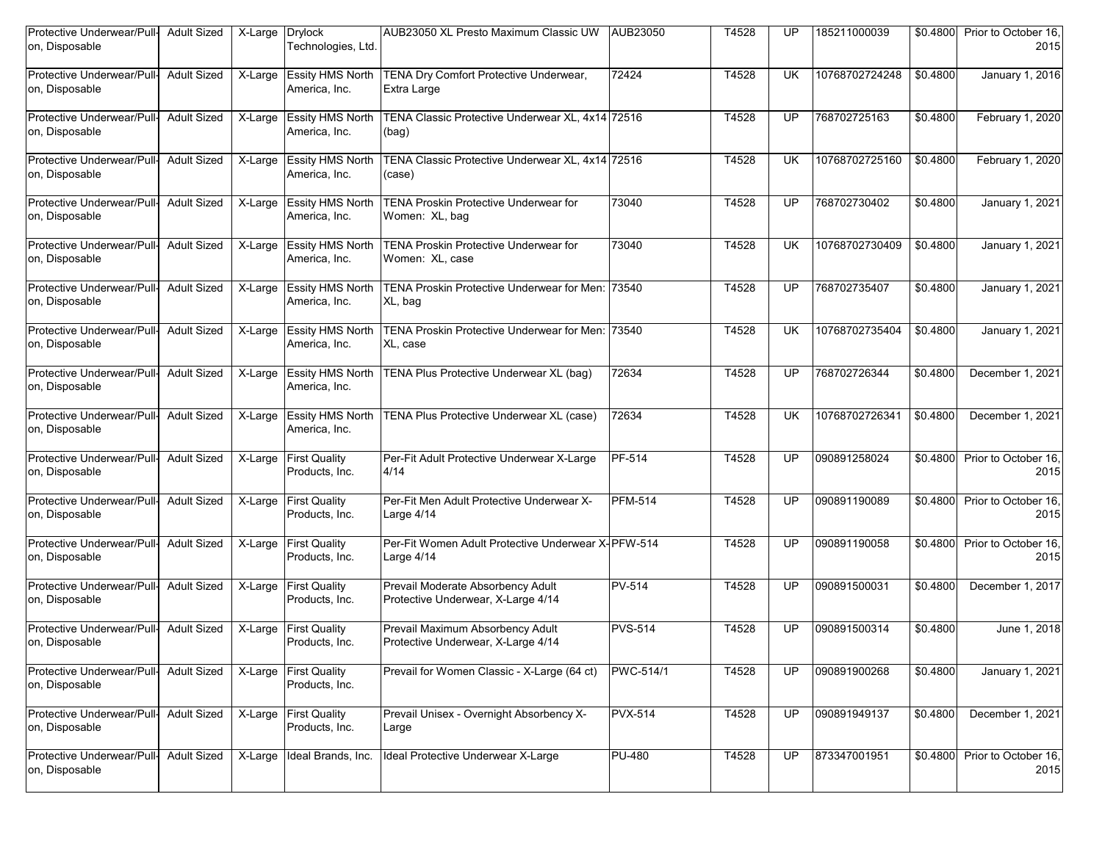| Protective Underwear/Pull-<br>on, Disposable | <b>Adult Sized</b> | X-Large               | <b>Drylock</b><br>Technologies, Ltd.     | AUB23050 XL Presto Maximum Classic UW                                   | AUB23050       | T4528 | UP        | 185211000039   | \$0.4800 | Prior to October 16,<br>2015 |
|----------------------------------------------|--------------------|-----------------------|------------------------------------------|-------------------------------------------------------------------------|----------------|-------|-----------|----------------|----------|------------------------------|
| Protective Underwear/Pull-<br>on, Disposable | <b>Adult Sized</b> | $X-Large$             | <b>Essity HMS North</b><br>America, Inc. | TENA Dry Comfort Protective Underwear,<br>Extra Large                   | 72424          | T4528 | UK        | 10768702724248 | \$0.4800 | January 1, 2016              |
| Protective Underwear/Pull<br>on, Disposable  | <b>Adult Sized</b> | X-Large               | <b>Essity HMS North</b><br>America, Inc. | TENA Classic Protective Underwear XL, 4x14 72516<br>(bag)               |                | T4528 | UP        | 768702725163   | \$0.4800 | February 1, 2020             |
| Protective Underwear/Pull-<br>on, Disposable | <b>Adult Sized</b> | $\overline{X}$ -Large | <b>Essity HMS North</b><br>America, Inc. | TENA Classic Protective Underwear XL, 4x14 72516<br>(case)              |                | T4528 | UK        | 10768702725160 | \$0.4800 | February 1, 2020             |
| Protective Underwear/Pull-<br>on, Disposable | <b>Adult Sized</b> | $\overline{X}$ -Large | <b>Essity HMS North</b><br>America, Inc. | <b>TENA Proskin Protective Underwear for</b><br>Women: XL, bag          | 73040          | T4528 | UP        | 768702730402   | \$0.4800 | January 1, 2021              |
| Protective Underwear/Pull-<br>on, Disposable | <b>Adult Sized</b> | X-Large               | <b>Essity HMS North</b><br>America, Inc. | <b>TENA Proskin Protective Underwear for</b><br>Women: XL, case         | 73040          | T4528 | UK        | 10768702730409 | \$0.4800 | January 1, 2021              |
| Protective Underwear/Pull-<br>on, Disposable | <b>Adult Sized</b> | X-Large               | <b>Essity HMS North</b><br>America, Inc. | TENA Proskin Protective Underwear for Men: 73540<br>XL, bag             |                | T4528 | UP        | 768702735407   | \$0.4800 | January 1, 2021              |
| Protective Underwear/Pull<br>on, Disposable  | <b>Adult Sized</b> | X-Large               | <b>Essity HMS North</b><br>America, Inc. | TENA Proskin Protective Underwear for Men: 73540<br>XL, case            |                | T4528 | UK        | 10768702735404 | \$0.4800 | January 1, 2021              |
| Protective Underwear/Pull-<br>on, Disposable | <b>Adult Sized</b> | X-Large               | <b>Essity HMS North</b><br>America, Inc. | TENA Plus Protective Underwear XL (bag)                                 | 72634          | T4528 | UP        | 768702726344   | \$0.4800 | December 1, 2021             |
| Protective Underwear/Pull-<br>on, Disposable | <b>Adult Sized</b> | $\overline{X}$ -Large | <b>Essity HMS North</b><br>America, Inc. | TENA Plus Protective Underwear XL (case)                                | 72634          | T4528 | <b>UK</b> | 10768702726341 | \$0.4800 | December 1, 2021             |
| Protective Underwear/Pull-<br>on, Disposable | <b>Adult Sized</b> | $\overline{X}$ -Large | <b>First Quality</b><br>Products, Inc.   | Per-Fit Adult Protective Underwear X-Large<br>4/14                      | PF-514         | T4528 | UP        | 090891258024   | \$0.4800 | Prior to October 16,<br>2015 |
| Protective Underwear/Pull-<br>on, Disposable | <b>Adult Sized</b> | $X-Large$             | <b>First Quality</b><br>Products, Inc.   | Per-Fit Men Adult Protective Underwear X-<br>Large 4/14                 | <b>PFM-514</b> | T4528 | UP        | 090891190089   | \$0.4800 | Prior to October 16,<br>2015 |
| Protective Underwear/Pull<br>on, Disposable  | <b>Adult Sized</b> | X-Large               | <b>First Quality</b><br>Products, Inc.   | Per-Fit Women Adult Protective Underwear X-PFW-514<br>Large 4/14        |                | T4528 | UP        | 090891190058   | \$0.4800 | Prior to October 16,<br>2015 |
| Protective Underwear/Pull-<br>on, Disposable | <b>Adult Sized</b> | X-Large               | <b>First Quality</b><br>Products, Inc.   | Prevail Moderate Absorbency Adult<br>Protective Underwear, X-Large 4/14 | <b>PV-514</b>  | T4528 | UP        | 090891500031   | \$0.4800 | December 1, 2017             |
| Protective Underwear/Pull<br>on, Disposable  | <b>Adult Sized</b> | X-Large               | <b>First Quality</b><br>Products, Inc.   | Prevail Maximum Absorbency Adult<br>Protective Underwear, X-Large 4/14  | <b>PVS-514</b> | T4528 | UP        | 090891500314   | \$0.4800 | June 1, 2018                 |
| Protective Underwear/Pull-<br>on, Disposable | <b>Adult Sized</b> | $\overline{X}$ -Large | <b>First Quality</b><br>Products, Inc.   | Prevail for Women Classic - X-Large (64 ct)                             | PWC-514/1      | T4528 | UP        | 090891900268   | \$0.4800 | January 1, 2021              |
| Protective Underwear/Pull-<br>on, Disposable | <b>Adult Sized</b> | X-Large               | <b>First Quality</b><br>Products, Inc.   | Prevail Unisex - Overnight Absorbency X-<br>Large                       | <b>PVX-514</b> | T4528 | <b>UP</b> | 090891949137   | \$0.4800 | December 1, 2021             |
| Protective Underwear/Pull-<br>on, Disposable | <b>Adult Sized</b> | X-Large               | Ideal Brands, Inc.                       | Ideal Protective Underwear X-Large                                      | <b>PU-480</b>  | T4528 | UP        | 873347001951   | \$0.4800 | Prior to October 16,<br>2015 |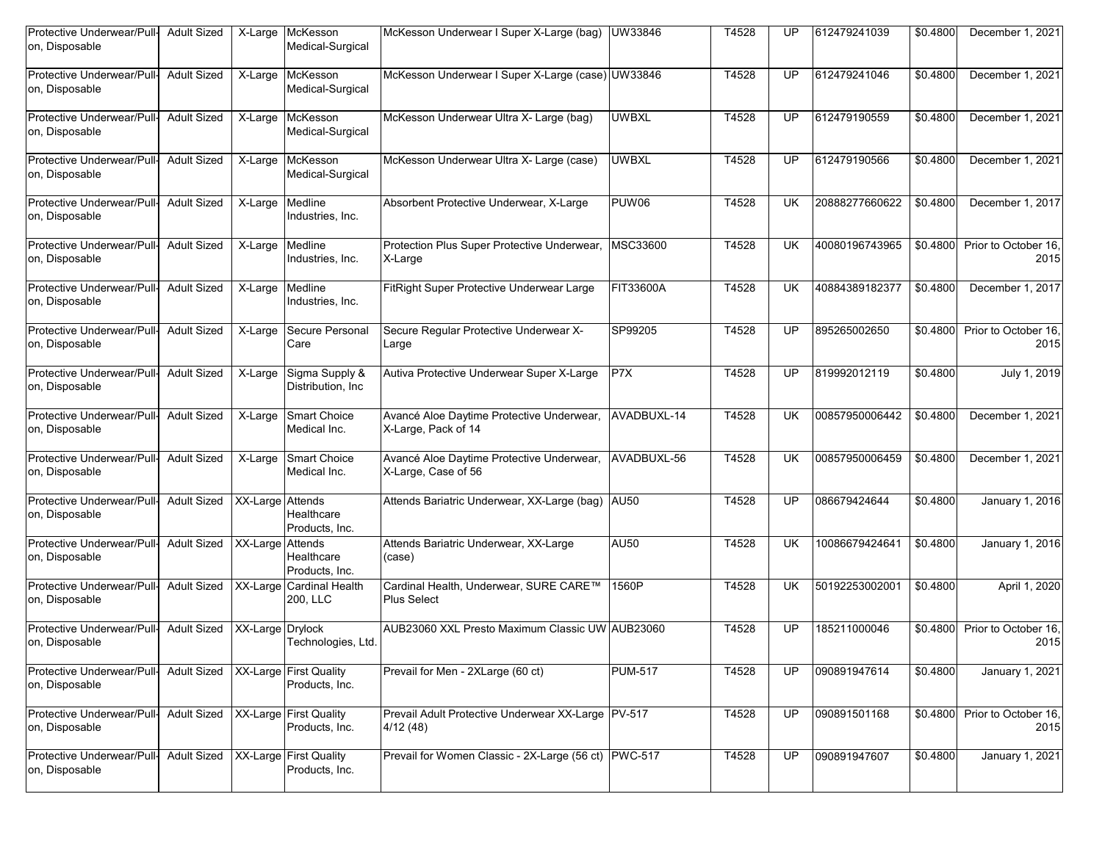| Protective Underwear/Pull-<br>on, Disposable | <b>Adult Sized</b> | X-Large               | McKesson<br>Medical-Surgical                | McKesson Underwear I Super X-Large (bag) UW33846                 |                  | T4528 | UP              | 612479241039   | \$0.4800 | December 1, 2021             |
|----------------------------------------------|--------------------|-----------------------|---------------------------------------------|------------------------------------------------------------------|------------------|-------|-----------------|----------------|----------|------------------------------|
| Protective Underwear/Pull-<br>on, Disposable | <b>Adult Sized</b> | X-Large               | McKesson<br>Medical-Surgical                | McKesson Underwear I Super X-Large (case) UW33846                |                  | T4528 | UP              | 612479241046   | \$0.4800 | December 1, 2021             |
| Protective Underwear/Pull<br>on, Disposable  | <b>Adult Sized</b> | X-Large               | McKesson<br>Medical-Surgical                | McKesson Underwear Ultra X- Large (bag)                          | <b>UWBXL</b>     | T4528 | UP              | 612479190559   | \$0.4800 | December 1, 2021             |
| Protective Underwear/Pull-<br>on, Disposable | <b>Adult Sized</b> | X-Large               | McKesson<br>Medical-Surgical                | McKesson Underwear Ultra X- Large (case)                         | <b>UWBXL</b>     | T4528 | UP              | 612479190566   | \$0.4800 | December 1, 2021             |
| Protective Underwear/Pull-<br>on, Disposable | <b>Adult Sized</b> | X-Large               | Medline<br>Industries, Inc.                 | Absorbent Protective Underwear, X-Large                          | <b>PUW06</b>     | T4528 | <b>UK</b>       | 20888277660622 | \$0.4800 | December 1, 2017             |
| Protective Underwear/Pull<br>on, Disposable  | <b>Adult Sized</b> | X-Large               | Medline<br>Industries, Inc.                 | Protection Plus Super Protective Underwear,<br>X-Large           | MSC33600         | T4528 | UK              | 40080196743965 | \$0.4800 | Prior to October 16,<br>2015 |
| Protective Underwear/Pull-<br>on, Disposable | <b>Adult Sized</b> | X-Large               | Medline<br>Industries, Inc.                 | FitRight Super Protective Underwear Large                        | FIT33600A        | T4528 | UK              | 40884389182377 | \$0.4800 | December 1, 2017             |
| Protective Underwear/Pull<br>on, Disposable  | <b>Adult Sized</b> | $\overline{X}$ -Large | Secure Personal<br>Care                     | Secure Regular Protective Underwear X-<br>Large                  | SP99205          | T4528 | UP              | 895265002650   | \$0.4800 | Prior to October 16,<br>2015 |
| Protective Underwear/Pull-<br>on, Disposable | <b>Adult Sized</b> | X-Large               | Sigma Supply &<br>Distribution, Inc.        | Autiva Protective Underwear Super X-Large                        | P <sub>7</sub> X | T4528 | UP              | 819992012119   | \$0.4800 | July 1, 2019                 |
| Protective Underwear/Pull-<br>on, Disposable | <b>Adult Sized</b> | X-Large               | Smart Choice<br>Medical Inc.                | Avancé Aloe Daytime Protective Underwear,<br>X-Large, Pack of 14 | AVADBUXL-14      | T4528 | UK              | 00857950006442 | \$0.4800 | December 1, 2021             |
| Protective Underwear/Pull<br>on, Disposable  | <b>Adult Sized</b> | X-Large               | Smart Choice<br>Medical Inc.                | Avancé Aloe Daytime Protective Underwear,<br>X-Large, Case of 56 | AVADBUXL-56      | T4528 | UK              | 00857950006459 | \$0.4800 | December 1, 2021             |
| Protective Underwear/Pull-<br>on, Disposable | <b>Adult Sized</b> | XX-Large Attends      | Healthcare<br>Products, Inc.                | Attends Bariatric Underwear, XX-Large (bag) AU50                 |                  | T4528 | UP              | 086679424644   | \$0.4800 | January 1, 2016              |
| Protective Underwear/Pull<br>on, Disposable  | <b>Adult Sized</b> | XX-Large Attends      | Healthcare<br>Products, Inc.                | Attends Bariatric Underwear, XX-Large<br>(case)                  | <b>AU50</b>      | T4528 | UK              | 10086679424641 | \$0.4800 | January 1, 2016              |
| Protective Underwear/Pull-<br>on, Disposable | <b>Adult Sized</b> |                       | <b>XX-Large Cardinal Health</b><br>200. LLC | Cardinal Health, Underwear, SURE CARE™<br><b>Plus Select</b>     | 1560P            | T4528 | UK              | 50192253002001 | \$0.4800 | April 1, 2020                |
| Protective Underwear/Pull<br>on, Disposable  | <b>Adult Sized</b> | XX-Large Drylock      | Technologies, Ltd.                          | AUB23060 XXL Presto Maximum Classic UW AUB23060                  |                  | T4528 | UP              | 185211000046   | \$0.4800 | Prior to October 16.<br>2015 |
| Protective Underwear/Pull-<br>on, Disposable | <b>Adult Sized</b> |                       | XX-Large First Quality<br>Products, Inc.    | Prevail for Men - 2XLarge (60 ct)                                | <b>PUM-517</b>   | T4528 | <b>UP</b>       | 090891947614   | \$0.4800 | January 1, 2021              |
| Protective Underwear/Pull-<br>on, Disposable | <b>Adult Sized</b> |                       | XX-Large First Quality<br>Products, Inc.    | Prevail Adult Protective Underwear XX-Large   PV-517<br>4/12(48) |                  | T4528 | $\overline{UP}$ | 090891501168   | \$0.4800 | Prior to October 16,<br>2015 |
| Protective Underwear/Pull-<br>on, Disposable | <b>Adult Sized</b> |                       | XX-Large First Quality<br>Products, Inc.    | Prevail for Women Classic - 2X-Large (56 ct) PWC-517             |                  | T4528 | UP              | 090891947607   | \$0.4800 | January 1, 2021              |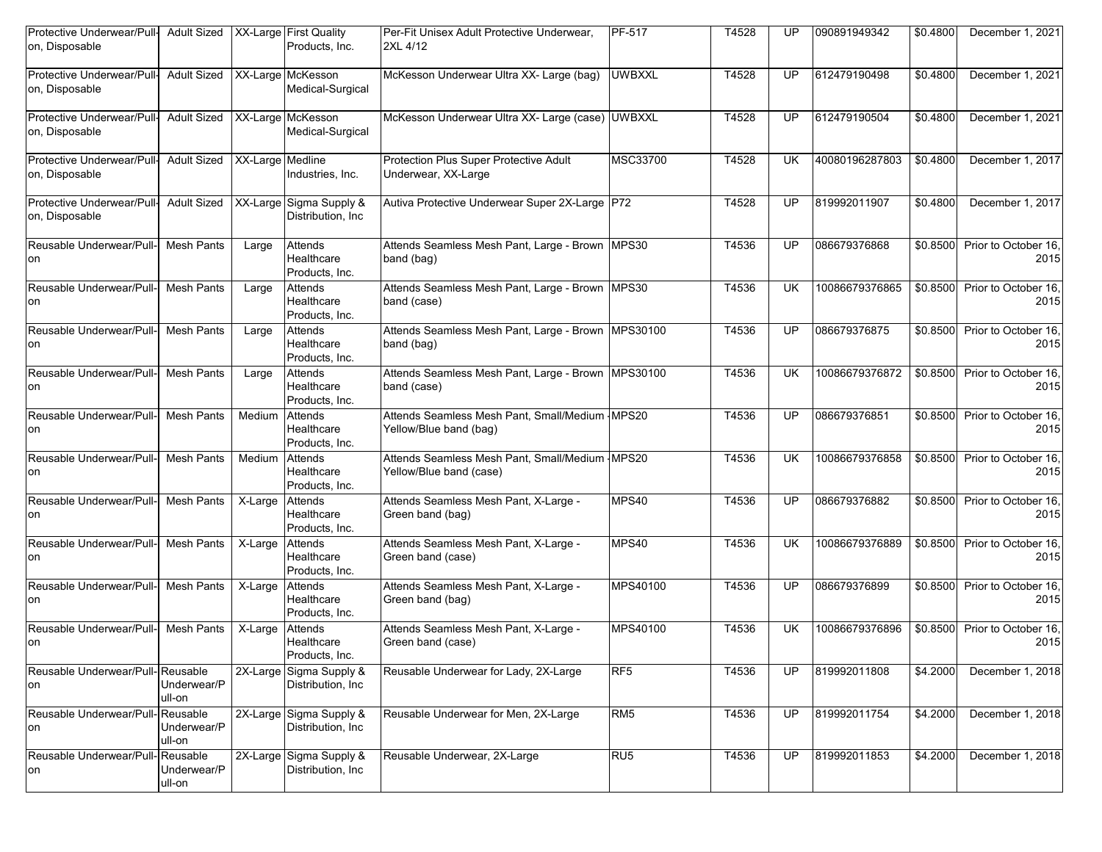| Protective Underwear/Pull-<br>on, Disposable             | <b>Adult Sized</b>    |                       | XX-Large First Quality<br>Products, Inc.       | Per-Fit Unisex Adult Protective Underwear,<br>2XL 4/12                    | <b>PF-517</b>   | T4528 | UP        | 090891949342   | \$0.4800 | December 1, 2021             |
|----------------------------------------------------------|-----------------------|-----------------------|------------------------------------------------|---------------------------------------------------------------------------|-----------------|-------|-----------|----------------|----------|------------------------------|
| Protective Underwear/Pull- Adult Sized<br>on, Disposable |                       |                       | XX-Large McKesson<br>Medical-Surgical          | McKesson Underwear Ultra XX- Large (bag)                                  | <b>UWBXXL</b>   | T4528 | UP        | 612479190498   | \$0.4800 | December 1, 2021             |
| Protective Underwear/Pull-<br>on, Disposable             | <b>Adult Sized</b>    |                       | XX-Large McKesson<br>Medical-Surgical          | McKesson Underwear Ultra XX- Large (case) UWBXXL                          |                 | T4528 | UP        | 612479190504   | \$0.4800 | December 1, 2021             |
| Protective Underwear/Pull-<br>on, Disposable             | <b>Adult Sized</b>    | XX-Large Medline      | Industries, Inc.                               | Protection Plus Super Protective Adult<br>Underwear, XX-Large             | MSC33700        | T4528 | UK        | 40080196287803 | \$0.4800 | December 1, 2017             |
| Protective Underwear/Pull-<br>on, Disposable             | <b>Adult Sized</b>    |                       | XX-Large Sigma Supply &<br>Distribution, Inc.  | Autiva Protective Underwear Super 2X-Large P72                            |                 | T4528 | UP        | 819992011907   | \$0.4800 | December 1, 2017             |
| Reusable Underwear/Pull- Mesh Pants<br>on                |                       | Large                 | Attends<br>Healthcare<br>Products, Inc.        | Attends Seamless Mesh Pant, Large - Brown   MPS30<br>band (bag)           |                 | T4536 | UP        | 086679376868   | \$0.8500 | Prior to October 16.<br>2015 |
| Reusable Underwear/Pull-<br>on                           | <b>Mesh Pants</b>     | Large                 | Attends<br>Healthcare<br>Products, Inc.        | Attends Seamless Mesh Pant, Large - Brown MPS30<br>band (case)            |                 | T4536 | UK        | 10086679376865 | \$0.8500 | Prior to October 16.<br>2015 |
| Reusable Underwear/Pull-<br>on                           | <b>Mesh Pants</b>     | Large                 | Attends<br>Healthcare<br>Products, Inc.        | Attends Seamless Mesh Pant, Large - Brown   MPS30100<br>band (bag)        |                 | T4536 | UP        | 086679376875   | \$0.8500 | Prior to October 16.<br>2015 |
| Reusable Underwear/Pull-<br>on                           | <b>Mesh Pants</b>     | Large                 | Attends<br>Healthcare<br>Products, Inc.        | Attends Seamless Mesh Pant, Large - Brown MPS30100<br>band (case)         |                 | T4536 | <b>UK</b> | 10086679376872 | \$0.8500 | Prior to October 16.<br>2015 |
| Reusable Underwear/Pull-<br>on                           | <b>Mesh Pants</b>     | Medium                | Attends<br>Healthcare<br>Products, Inc.        | Attends Seamless Mesh Pant, Small/Medium MPS20<br>Yellow/Blue band (bag)  |                 | T4536 | UP        | 086679376851   | \$0.8500 | Prior to October 16.<br>2015 |
| Reusable Underwear/Pull-<br>on                           | <b>Mesh Pants</b>     | Medium                | Attends<br>Healthcare<br>Products, Inc.        | Attends Seamless Mesh Pant, Small/Medium MPS20<br>Yellow/Blue band (case) |                 | T4536 | UK        | 10086679376858 | \$0.8500 | Prior to October 16,<br>2015 |
| Reusable Underwear/Pull- Mesh Pants<br>on                |                       | $X-Large$             | Attends<br>Healthcare<br>Products, Inc.        | Attends Seamless Mesh Pant, X-Large -<br>Green band (bag)                 | MPS40           | T4536 | UP        | 086679376882   | \$0.8500 | Prior to October 16.<br>2015 |
| Reusable Underwear/Pull-<br>on                           | <b>Mesh Pants</b>     | X-Large               | Attends<br>Healthcare<br>Products, Inc.        | Attends Seamless Mesh Pant, X-Large -<br>Green band (case)                | MPS40           | T4536 | UK        | 10086679376889 | \$0.8500 | Prior to October 16.<br>2015 |
| Reusable Underwear/Pull-<br>on                           | <b>Mesh Pants</b>     | $\overline{X}$ -Large | <b>Attends</b><br>Healthcare<br>Products, Inc. | Attends Seamless Mesh Pant, X-Large -<br>Green band (bag)                 | MPS40100        | T4536 | UP        | 086679376899   | \$0.8500 | Prior to October 16.<br>2015 |
| Reusable Underwear/Pull-<br>on                           | <b>Mesh Pants</b>     | X-Large               | Attends<br>Healthcare<br>Products, Inc.        | Attends Seamless Mesh Pant, X-Large -<br>Green band (case)                | MPS40100        | T4536 | UK        | 10086679376896 | \$0.8500 | Prior to October 16.<br>2015 |
| Reusable Underwear/Pull-Reusable<br>on                   | Underwear/P<br>ull-on | 2X-Large              | Sigma Supply &<br>Distribution, Inc.           | Reusable Underwear for Lady, 2X-Large                                     | RF <sub>5</sub> | T4536 | UP        | 819992011808   | \$4.2000 | December 1, 2018             |
| Reusable Underwear/Pull-Reusable<br>on                   | Underwear/P<br>ull-on | 2X-Large              | Sigma Supply &<br>Distribution, Inc.           | Reusable Underwear for Men, 2X-Large                                      | RM <sub>5</sub> | T4536 | <b>UP</b> | 819992011754   | \$4.2000 | December 1, 2018             |
| Reusable Underwear/Pull-Reusable<br>on                   | Underwear/P<br>ull-on |                       | 2X-Large Sigma Supply &<br>Distribution, Inc   | Reusable Underwear, 2X-Large                                              | RU <sub>5</sub> | T4536 | UP        | 819992011853   | \$4.2000 | December 1, 2018             |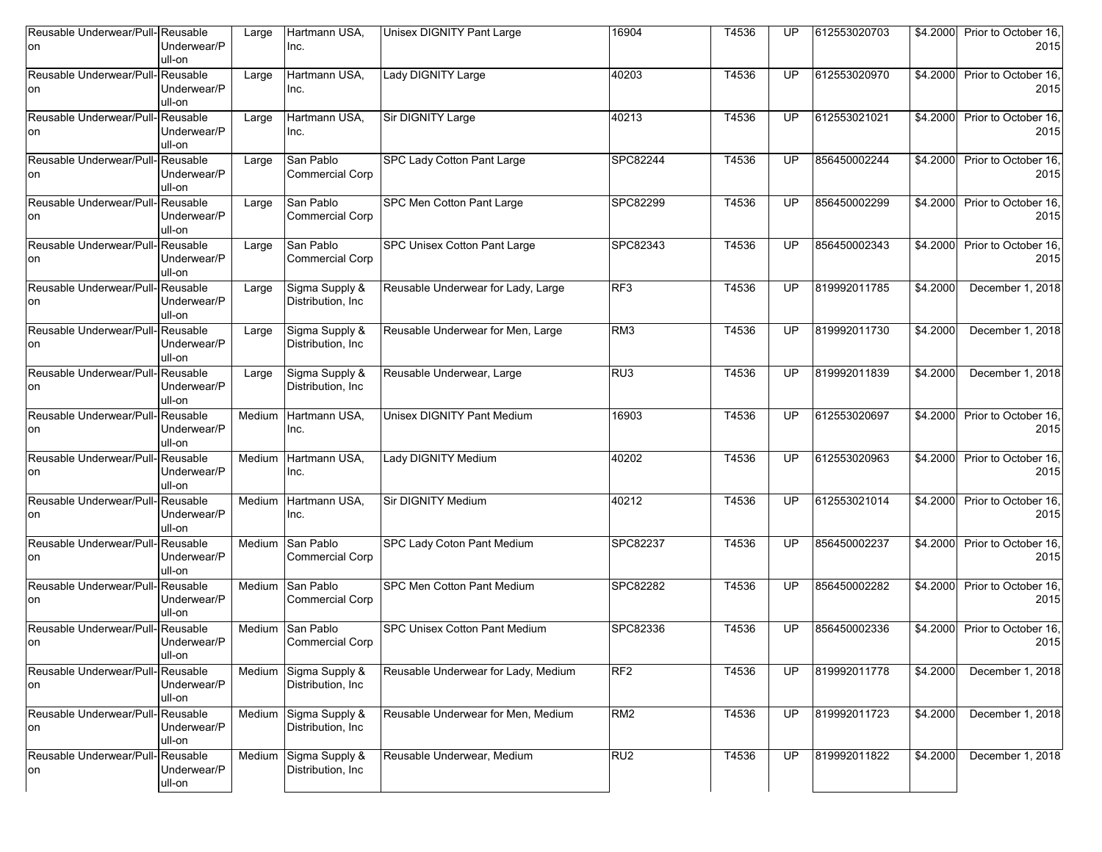| Reusable Underwear/Pull-Reusable<br>on | Underwear/P<br>ull-on             | Large  | Hartmann USA,<br>Inc.                | <b>Unisex DIGNITY Pant Large</b>    | 16904           | T4536 | UP        | 612553020703 | \$4.2000 | Prior to October 16,<br>2015 |
|----------------------------------------|-----------------------------------|--------|--------------------------------------|-------------------------------------|-----------------|-------|-----------|--------------|----------|------------------------------|
| Reusable Underwear/Pull-Reusable<br>on | Underwear/P<br>ull-on             | Large  | Hartmann USA,<br>Inc.                | Lady DIGNITY Large                  | 40203           | T4536 | UP.       | 612553020970 | \$4,2000 | Prior to October 16,<br>2015 |
| Reusable Underwear/Pull-Reusable<br>on | Underwear/P<br>ull-on             | Large  | Hartmann USA,<br>Inc.                | Sir DIGNITY Large                   | 40213           | T4536 | UP        | 612553021021 | \$4.2000 | Prior to October 16.<br>2015 |
| Reusable Underwear/Pull-Reusable<br>on | Underwear/P<br>ull-on             | Large  | San Pablo<br><b>Commercial Corp</b>  | SPC Lady Cotton Pant Large          | SPC82244        | T4536 | UP        | 856450002244 | \$4.2000 | Prior to October 16.<br>2015 |
| Reusable Underwear/Pull-Reusable<br>on | Underwear/P<br>ull-on             | Large  | San Pablo<br><b>Commercial Corp</b>  | SPC Men Cotton Pant Large           | SPC82299        | T4536 | UP        | 856450002299 | \$4.2000 | Prior to October 16,<br>2015 |
| Reusable Underwear/Pull-Reusable<br>on | Underwear/P<br>ull-on             | Large  | San Pablo<br><b>Commercial Corp</b>  | <b>SPC Unisex Cotton Pant Large</b> | SPC82343        | T4536 | UP        | 856450002343 | \$4.2000 | Prior to October 16,<br>2015 |
| Reusable Underwear/Pull-<br>on         | Reusable<br>Underwear/P<br>ull-on | Large  | Sigma Supply &<br>Distribution, Inc. | Reusable Underwear for Lady, Large  | RF3             | T4536 | UP        | 819992011785 | \$4.2000 | December 1, 2018             |
| Reusable Underwear/Pull-<br>on         | Reusable<br>Underwear/P<br>ull-on | Large  | Sigma Supply &<br>Distribution, Inc. | Reusable Underwear for Men, Large   | RM3             | T4536 | UP        | 819992011730 | \$4.2000 | December 1, 2018             |
| Reusable Underwear/Pull-<br>on         | Reusable<br>Underwear/P<br>ull-on | Large  | Sigma Supply &<br>Distribution, Inc. | Reusable Underwear, Large           | RU <sub>3</sub> | T4536 | UP        | 819992011839 | \$4,2000 | December 1, 2018             |
| Reusable Underwear/Pull-Reusable<br>on | Underwear/P<br>ull-on             | Medium | Hartmann USA,<br>Inc.                | <b>Unisex DIGNITY Pant Medium</b>   | 16903           | T4536 | UP        | 612553020697 | \$4,2000 | Prior to October 16,<br>2015 |
| Reusable Underwear/Pull-<br>on         | Reusable<br>Underwear/P<br>ull-on | Medium | Hartmann USA,<br>Inc.                | Lady DIGNITY Medium                 | 40202           | T4536 | UP        | 612553020963 | \$4.2000 | Prior to October 16,<br>2015 |
| Reusable Underwear/Pull-Reusable<br>on | Underwear/P<br>ull-on             | Medium | Hartmann USA,<br>Inc.                | Sir DIGNITY Medium                  | 40212           | T4536 | UP        | 612553021014 | \$4.2000 | Prior to October 16,<br>2015 |
| Reusable Underwear/Pull-Reusable<br>on | Underwear/P<br>ull-on             | Medium | San Pablo<br><b>Commercial Corp</b>  | <b>SPC Lady Coton Pant Medium</b>   | SPC82237        | T4536 | UP        | 856450002237 | \$4.2000 | Prior to October 16,<br>2015 |
| Reusable Underwear/Pull-Reusable<br>on | Underwear/P<br>ull-on             | Medium | San Pablo<br><b>Commercial Corp</b>  | SPC Men Cotton Pant Medium          | SPC82282        | T4536 | UP        | 856450002282 | \$4.2000 | Prior to October 16.<br>2015 |
| Reusable Underwear/Pull-Reusable<br>on | Underwear/P<br>ull-on             | Medium | San Pablo<br><b>Commercial Corp</b>  | SPC Unisex Cotton Pant Medium       | SPC82336        | T4536 | UP        | 856450002336 | \$4.2000 | Prior to October 16,<br>2015 |
| Reusable Underwear/Pull-<br>on         | Reusable<br>Underwear/P<br>ull-on | Medium | Sigma Supply &<br>Distribution, Inc. | Reusable Underwear for Lady, Medium | RF <sub>2</sub> | T4536 | UP        | 819992011778 | \$4.2000 | December 1, 2018             |
| Reusable Underwear/Pull-Reusable<br>on | Underwear/P<br>ull-on             | Medium | Sigma Supply &<br>Distribution, Inc. | Reusable Underwear for Men, Medium  | RM2             | T4536 | <b>UP</b> | 819992011723 | \$4.2000 | December 1, 2018             |
| Reusable Underwear/Pull-Reusable<br>on | Underwear/P<br>ull-on             | Medium | Sigma Supply &<br>Distribution, Inc. | Reusable Underwear, Medium          | RU <sub>2</sub> | T4536 | UP        | 819992011822 | \$4.2000 | December 1, 2018             |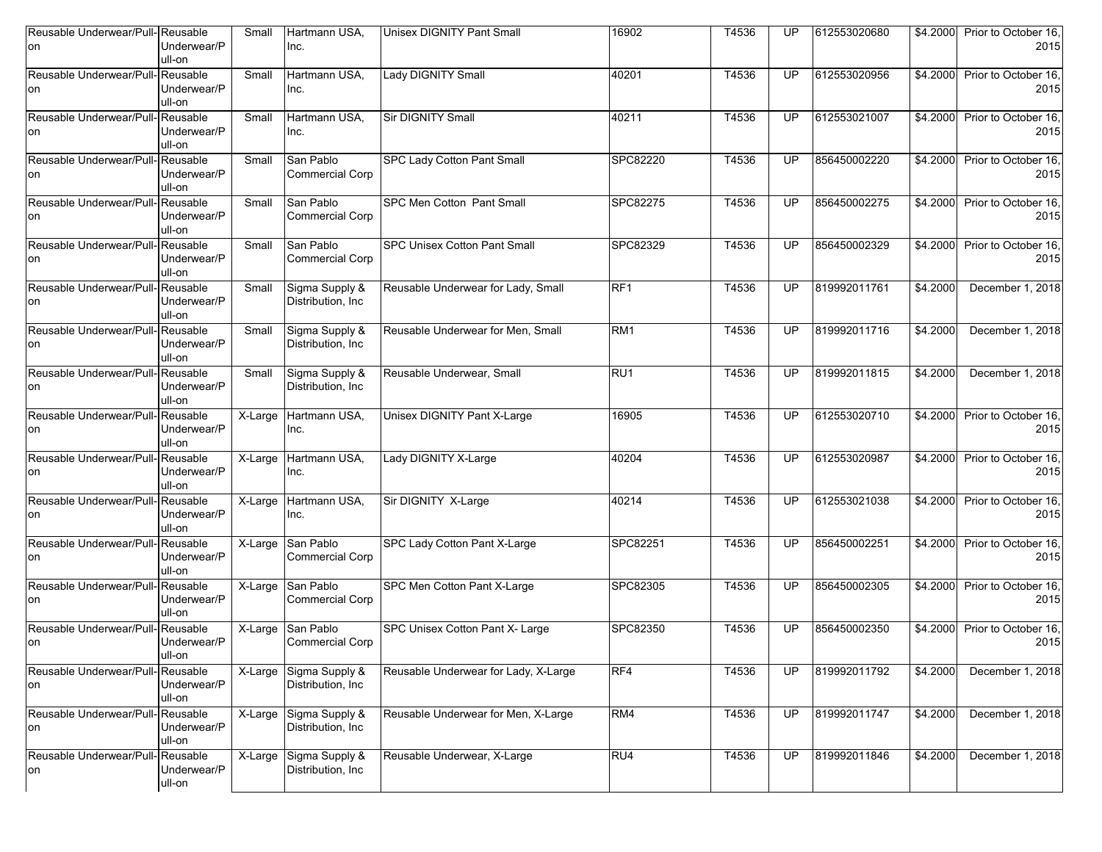| Reusable Underwear/Pull-Reusable<br>on | Underwear/P<br>ull-on             | Small                 | Hartmann USA,<br>Inc.                | <b>Unisex DIGNITY Pant Small</b>     | 16902    | T4536 | UP        | 612553020680 | \$4.2000         | Prior to October 16,<br>2015 |
|----------------------------------------|-----------------------------------|-----------------------|--------------------------------------|--------------------------------------|----------|-------|-----------|--------------|------------------|------------------------------|
| Reusable Underwear/Pull-Reusable<br>on | Underwear/P<br>ull-on             | Small                 | Hartmann USA,<br>Inc.                | Lady DIGNITY Small                   | 40201    | T4536 | UP.       | 612553020956 | \$4.2000         | Prior to October 16,<br>2015 |
| Reusable Underwear/Pull-Reusable<br>on | Underwear/P<br>ull-on             | Small                 | Hartmann USA,<br>Inc.                | <b>Sir DIGNITY Small</b>             | 40211    | T4536 | UP        | 612553021007 | \$4.2000         | Prior to October 16,<br>2015 |
| Reusable Underwear/Pull-Reusable<br>on | Underwear/P<br>ull-on             | Small                 | San Pablo<br><b>Commercial Corp</b>  | SPC Lady Cotton Pant Small           | SPC82220 | T4536 | UP        | 856450002220 | \$4.2000         | Prior to October 16.<br>2015 |
| Reusable Underwear/Pull-Reusable<br>on | Underwear/P<br>ull-on             | Small                 | San Pablo<br><b>Commercial Corp</b>  | SPC Men Cotton Pant Small            | SPC82275 | T4536 | UP        | 856450002275 | $\sqrt{$4.2000}$ | Prior to October 16,<br>2015 |
| Reusable Underwear/Pull-Reusable<br>on | Underwear/P<br>ull-on             | Small                 | San Pablo<br><b>Commercial Corp</b>  | <b>SPC Unisex Cotton Pant Small</b>  | SPC82329 | T4536 | UP        | 856450002329 | \$4.2000         | Prior to October 16,<br>2015 |
| Reusable Underwear/Pull-<br>on         | Reusable<br>Underwear/P<br>ull-on | Small                 | Sigma Supply &<br>Distribution, Inc. | Reusable Underwear for Lady, Small   | RF1      | T4536 | UP        | 819992011761 | \$4.2000         | December 1, 2018             |
| Reusable Underwear/Pull-<br>on         | Reusable<br>Underwear/P<br>ull-on | Small                 | Sigma Supply &<br>Distribution, Inc. | Reusable Underwear for Men, Small    | RM1      | T4536 | UP        | 819992011716 | \$4,2000         | December 1, 2018             |
| Reusable Underwear/Pull-<br>on         | Reusable<br>Underwear/P<br>ull-on | Small                 | Sigma Supply &<br>Distribution, Inc  | Reusable Underwear, Small            | RU1      | T4536 | UP        | 819992011815 | \$4.2000         | December 1, 2018             |
| Reusable Underwear/Pull-Reusable<br>on | Underwear/P<br>ull-on             | X-Large               | Hartmann USA,<br>Inc.                | <b>Unisex DIGNITY Pant X-Large</b>   | 16905    | T4536 | UP        | 612553020710 | \$4.2000         | Prior to October 16,<br>2015 |
| Reusable Underwear/Pull-<br>on         | Reusable<br>Underwear/P<br>ull-on | $\overline{X}$ -Large | Hartmann USA,<br>Inc.                | Lady DIGNITY X-Large                 | 40204    | T4536 | UP        | 612553020987 | \$4.2000         | Prior to October 16,<br>2015 |
| Reusable Underwear/Pull-Reusable<br>on | Underwear/P<br>ull-on             | $X-Large$             | Hartmann USA,<br>Inc.                | Sir DIGNITY X-Large                  | 40214    | T4536 | UP        | 612553021038 | \$4.2000         | Prior to October 16,<br>2015 |
| Reusable Underwear/Pull-Reusable<br>on | Underwear/P<br>ull-on             | X-Large               | San Pablo<br><b>Commercial Corp</b>  | SPC Lady Cotton Pant X-Large         | SPC82251 | T4536 | UP        | 856450002251 | \$4.2000         | Prior to October 16,<br>2015 |
| Reusable Underwear/Pull-Reusable<br>on | Underwear/P<br>ull-on             | X-Large               | San Pablo<br><b>Commercial Corp</b>  | SPC Men Cotton Pant X-Large          | SPC82305 | T4536 | UP        | 856450002305 | \$4.2000         | Prior to October 16,<br>2015 |
| Reusable Underwear/Pull-Reusable<br>on | Underwear/P<br>ull-on             | X-Large               | San Pablo<br><b>Commercial Corp</b>  | SPC Unisex Cotton Pant X- Large      | SPC82350 | T4536 | UP        | 856450002350 | \$4.2000         | Prior to October 16,<br>2015 |
| Reusable Underwear/Pull-<br>on         | Reusable<br>Underwear/P<br>ull-on | $\overline{X}$ -Large | Sigma Supply &<br>Distribution, Inc. | Reusable Underwear for Lady, X-Large | RF4      | T4536 | UP        | 819992011792 | \$4.2000         | December 1, 2018             |
| Reusable Underwear/Pull-Reusable<br>on | Underwear/P<br>ull-on             | X-Large               | Sigma Supply &<br>Distribution, Inc. | Reusable Underwear for Men, X-Large  | RM4      | T4536 | <b>UP</b> | 819992011747 | \$4.2000         | December 1, 2018             |
| Reusable Underwear/Pull-Reusable<br>on | Underwear/P<br>ull-on             | X-Large               | Sigma Supply &<br>Distribution, Inc. | Reusable Underwear, X-Large          | RU4      | T4536 | UP        | 819992011846 | \$4.2000         | December 1, 2018             |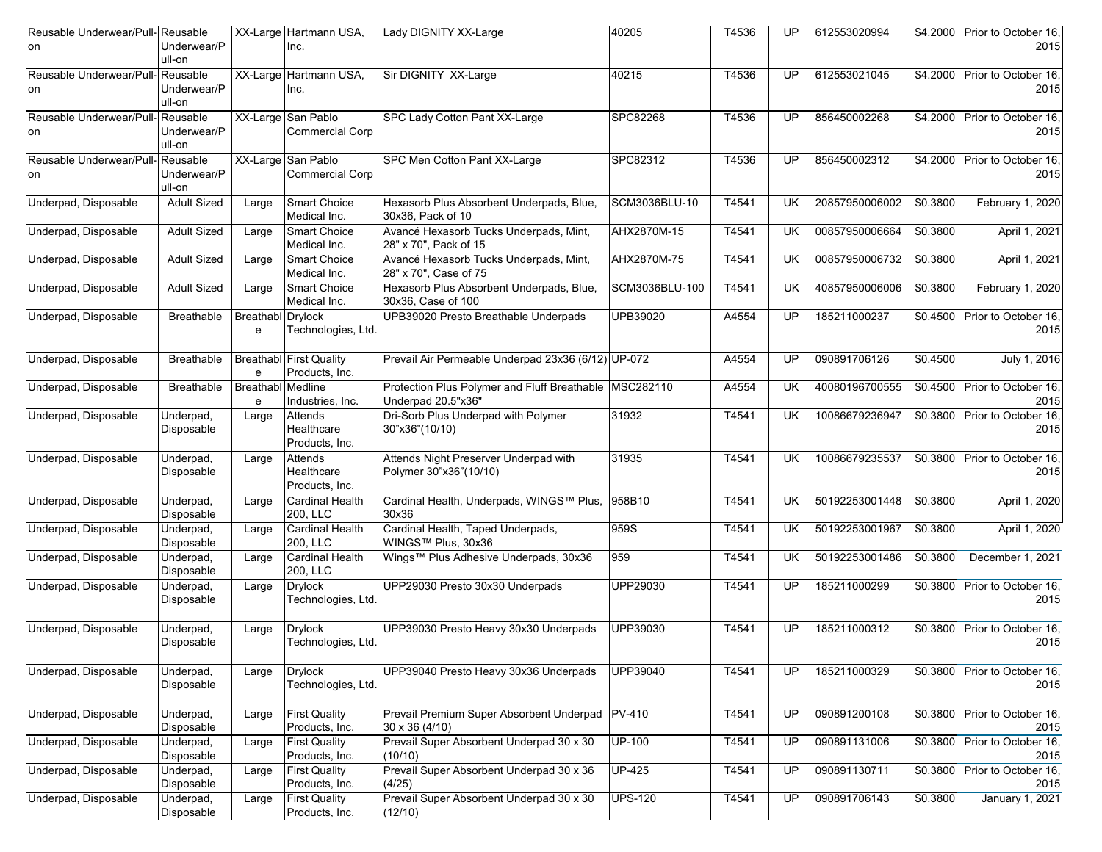| Reusable Underwear/Pull-Reusable<br>on | Underwear/P<br>ull-on             |                               | XX-Large Hartmann USA,<br>Inc.                   | Lady DIGNITY XX-Large                                                          | 40205          | T4536 | UP        | 612553020994   | \$4.2000             | Prior to October 16,<br>2015 |
|----------------------------------------|-----------------------------------|-------------------------------|--------------------------------------------------|--------------------------------------------------------------------------------|----------------|-------|-----------|----------------|----------------------|------------------------------|
| Reusable Underwear/Pull-<br>on         | Reusable<br>Underwear/P<br>ull-on |                               | XX-Large Hartmann USA,<br>Inc.                   | Sir DIGNITY XX-Large                                                           | 40215          | T4536 | <b>UP</b> | 612553021045   | \$4,2000             | Prior to October 16,<br>2015 |
| Reusable Underwear/Pull-Reusable<br>on | Underwear/P<br>ull-on             |                               | XX-Large San Pablo<br><b>Commercial Corp</b>     | SPC Lady Cotton Pant XX-Large                                                  | SPC82268       | T4536 | UP        | 856450002268   | $\overline{$4.2000}$ | Prior to October 16.<br>2015 |
| Reusable Underwear/Pull-Reusable<br>on | Underwear/P<br>ull-on             |                               | XX-Large San Pablo<br><b>Commercial Corp</b>     | SPC Men Cotton Pant XX-Large                                                   | SPC82312       | T4536 | UP        | 856450002312   | \$4.2000             | Prior to October 16,<br>2015 |
| Underpad, Disposable                   | <b>Adult Sized</b>                | Large                         | <b>Smart Choice</b><br>Medical Inc.              | Hexasorb Plus Absorbent Underpads, Blue,<br>30x36, Pack of 10                  | SCM3036BLU-10  | T4541 | UK        | 20857950006002 | \$0.3800             | February 1, 2020             |
| Underpad, Disposable                   | <b>Adult Sized</b>                | Large                         | <b>Smart Choice</b><br>Medical Inc.              | Avancé Hexasorb Tucks Underpads, Mint,<br>28" x 70", Pack of 15                | AHX2870M-15    | T4541 | UK        | 00857950006664 | \$0.3800             | April 1, 2021                |
| Underpad, Disposable                   | <b>Adult Sized</b>                | Large                         | <b>Smart Choice</b><br>Medical Inc.              | Avancé Hexasorb Tucks Underpads, Mint,<br>28" x 70", Case of 75                | AHX2870M-75    | T4541 | <b>UK</b> | 00857950006732 | \$0.3800             | April 1, 2021                |
| Underpad, Disposable                   | <b>Adult Sized</b>                | Large                         | <b>Smart Choice</b><br>Medical Inc.              | Hexasorb Plus Absorbent Underpads, Blue,<br>30x36, Case of 100                 | SCM3036BLU-100 | T4541 | <b>UK</b> | 40857950006006 | \$0.3800             | February 1, 2020             |
| Underpad, Disposable                   | Breathable                        | <b>Breathabl</b> Drylock<br>e | Technologies, Ltd.                               | UPB39020 Presto Breathable Underpads                                           | UPB39020       | A4554 | UP        | 185211000237   | \$0.4500             | Prior to October 16.<br>2015 |
| Underpad, Disposable                   | <b>Breathable</b>                 | e                             | <b>Breathabl First Quality</b><br>Products, Inc. | Prevail Air Permeable Underpad 23x36 (6/12) UP-072                             |                | A4554 | <b>UP</b> | 090891706126   | \$0.4500             | July 1, 2016                 |
| Underpad, Disposable                   | Breathable                        | <b>Breathabl</b> Medline<br>e | Industries, Inc.                                 | Protection Plus Polymer and Fluff Breathable   MSC282110<br>Underpad 20.5"x36" |                | A4554 | UK        | 40080196700555 | \$0.4500             | Prior to October 16,<br>2015 |
| Underpad, Disposable                   | Underpad,<br>Disposable           | Large                         | Attends<br>Healthcare<br>Products, Inc.          | Dri-Sorb Plus Underpad with Polymer<br>30"x36"(10/10)                          | 31932          | T4541 | <b>UK</b> | 10086679236947 | \$0.3800             | Prior to October 16,<br>2015 |
| Underpad, Disposable                   | Underpad,<br>Disposable           | Large                         | Attends<br>Healthcare<br>Products, Inc.          | Attends Night Preserver Underpad with<br>Polymer 30"x36"(10/10)                | 31935          | T4541 | <b>UK</b> | 10086679235537 | \$0.3800             | Prior to October 16,<br>2015 |
| Underpad, Disposable                   | Underpad,<br>Disposable           | Large                         | <b>Cardinal Health</b><br>200, LLC               | Cardinal Health, Underpads, WINGS™ Plus,<br>30x36                              | 958B10         | T4541 | <b>UK</b> | 50192253001448 | \$0.3800             | April 1, 2020                |
| Underpad, Disposable                   | Underpad,<br>Disposable           | Large                         | <b>Cardinal Health</b><br>200, LLC               | Cardinal Health, Taped Underpads,<br>WINGS™ Plus, 30x36                        | 959S           | T4541 | <b>UK</b> | 50192253001967 | \$0.3800             | April 1, 2020                |
| Underpad, Disposable                   | Underpad,<br>Disposable           | Large                         | <b>Cardinal Health</b><br>200, LLC               | Wings™ Plus Adhesive Underpads, 30x36                                          | 959            | T4541 | <b>UK</b> | 50192253001486 | \$0.3800             | December 1, 2021             |
| Underpad, Disposable                   | Underpad,<br>Disposable           | Large                         | <b>Drylock</b><br>Technologies, Ltd.             | UPP29030 Presto 30x30 Underpads                                                | UPP29030       | T4541 | UP        | 185211000299   | \$0.3800             | Prior to October 16,<br>2015 |
| Underpad, Disposable                   | Underpad,<br>Disposable           | Large                         | <b>Drylock</b><br>Technologies, Ltd.             | UPP39030 Presto Heavy 30x30 Underpads                                          | UPP39030       | T4541 | UP        | 185211000312   | \$0.3800             | Prior to October 16,<br>2015 |
| Underpad, Disposable                   | Underpad,<br>Disposable           | Large                         | <b>Drylock</b><br>Technologies, Ltd.             | UPP39040 Presto Heavy 30x36 Underpads                                          | UPP39040       | T4541 | <b>UP</b> | 185211000329   | \$0.3800             | Prior to October 16,<br>2015 |
| Underpad, Disposable                   | Underpad,<br>Disposable           | Large                         | <b>First Quality</b><br>Products, Inc.           | Prevail Premium Super Absorbent Underpad PV-410<br>30 x 36 (4/10)              |                | T4541 | UP        | 090891200108   | \$0.3800             | Prior to October 16,<br>2015 |
| Underpad, Disposable                   | Underpad,<br>Disposable           | Large                         | <b>First Quality</b><br>Products, Inc.           | Prevail Super Absorbent Underpad 30 x 30<br>(10/10)                            | <b>UP-100</b>  | T4541 | <b>UP</b> | 090891131006   | \$0.3800             | Prior to October 16,<br>2015 |
| Underpad, Disposable                   | Underpad,<br>Disposable           | Large                         | <b>First Quality</b><br>Products, Inc.           | Prevail Super Absorbent Underpad 30 x 36<br>(4/25)                             | <b>UP-425</b>  | T4541 | UP        | 090891130711   | \$0.3800             | Prior to October 16,<br>2015 |
| Underpad, Disposable                   | Underpad,<br>Disposable           | Large                         | <b>First Quality</b><br>Products, Inc.           | Prevail Super Absorbent Underpad 30 x 30<br>(12/10)                            | <b>UPS-120</b> | T4541 | <b>UP</b> | 090891706143   | \$0.3800             | January 1, 2021              |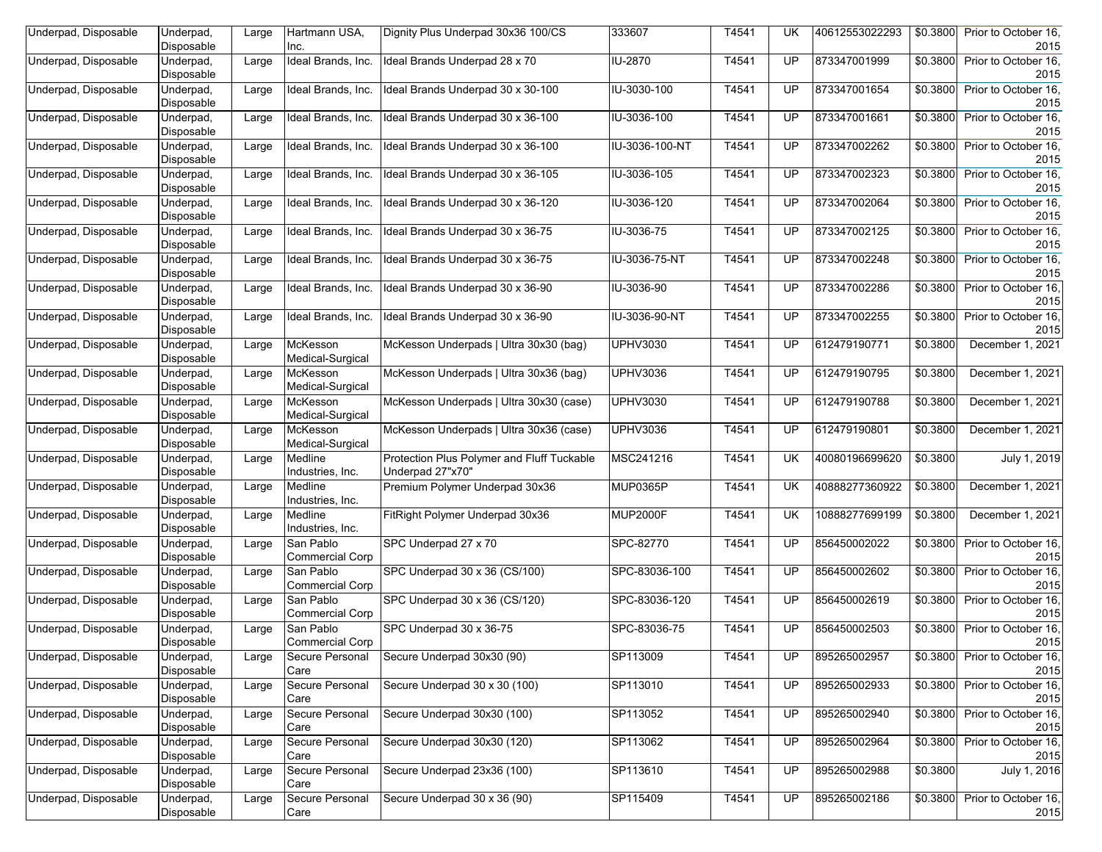| Underpad, Disposable | Underpad,<br>Disposable | Large | Hartmann USA.<br>Inc.               | Dignity Plus Underpad 30x36 100/CS                             | 333607          | T4541 | UK.       | 40612553022293 | \$0.3800         | Prior to October 16.<br>2015 |
|----------------------|-------------------------|-------|-------------------------------------|----------------------------------------------------------------|-----------------|-------|-----------|----------------|------------------|------------------------------|
| Underpad, Disposable | Underpad,<br>Disposable | Large | Ideal Brands, Inc.                  | Ideal Brands Underpad 28 x 70                                  | IU-2870         | T4541 | UP        | 873347001999   | \$0.3800         | Prior to October 16,<br>2015 |
| Underpad, Disposable | Underpad,<br>Disposable | Large | Ideal Brands, Inc.                  | Ideal Brands Underpad 30 x 30-100                              | IU-3030-100     | T4541 | UP.       | 873347001654   | \$0.3800         | Prior to October 16,<br>2015 |
| Underpad, Disposable | Underpad,<br>Disposable | Large | Ideal Brands, Inc.                  | Ideal Brands Underpad 30 x 36-100                              | IU-3036-100     | T4541 | UP        | 873347001661   | \$0.3800         | Prior to October 16,<br>2015 |
| Underpad, Disposable | Underpad,<br>Disposable | Large | ldeal Brands, Inc.                  | Ideal Brands Underpad 30 x 36-100                              | IU-3036-100-NT  | T4541 | UP        | 873347002262   | \$0.3800         | Prior to October 16,<br>2015 |
| Underpad, Disposable | Underpad,<br>Disposable | Large | ldeal Brands, Inc.                  | Ideal Brands Underpad 30 x 36-105                              | IU-3036-105     | T4541 | UP        | 873347002323   | \$0.3800         | Prior to October 16,<br>2015 |
| Underpad, Disposable | Underpad,<br>Disposable | Large | Ideal Brands, Inc.                  | Ideal Brands Underpad 30 x 36-120                              | IU-3036-120     | T4541 | UP        | 873347002064   | \$0.3800         | Prior to October 16,<br>2015 |
| Underpad, Disposable | Underpad,<br>Disposable | Large | Ideal Brands, Inc.                  | Ideal Brands Underpad 30 x 36-75                               | IU-3036-75      | T4541 | UP        | 873347002125   | \$0.3800         | Prior to October 16,<br>2015 |
| Underpad, Disposable | Underpad,<br>Disposable | Large | ldeal Brands, Inc.                  | Ideal Brands Underpad 30 x 36-75                               | IU-3036-75-NT   | T4541 | UP        | 873347002248   | \$0.3800         | Prior to October 16,<br>2015 |
| Underpad, Disposable | Underpad,<br>Disposable | Large | ldeal Brands, Inc.                  | Ideal Brands Underpad 30 x 36-90                               | IU-3036-90      | T4541 | UP        | 873347002286   | \$0.3800         | Prior to October 16,<br>2015 |
| Underpad, Disposable | Underpad,<br>Disposable | Large | Ideal Brands, Inc.                  | Ideal Brands Underpad 30 x 36-90                               | IU-3036-90-NT   | T4541 | UP        | 873347002255   | \$0.3800         | Prior to October 16,<br>2015 |
| Underpad, Disposable | Underpad,<br>Disposable | Large | McKesson<br>Medical-Surgical        | McKesson Underpads   Ultra 30x30 (bag)                         | <b>UPHV3030</b> | T4541 | UP        | 612479190771   | \$0.3800         | December 1, 2021             |
| Underpad, Disposable | Underpad,<br>Disposable | Large | McKesson<br>Medical-Surgical        | McKesson Underpads   Ultra 30x36 (bag)                         | <b>UPHV3036</b> | T4541 | UP.       | 612479190795   | \$0.3800         | December 1, 2021             |
| Underpad, Disposable | Underpad,<br>Disposable | Large | McKesson<br>Medical-Surgical        | McKesson Underpads   Ultra 30x30 (case)                        | <b>UPHV3030</b> | T4541 | UP        | 612479190788   | \$0.3800         | December 1, 2021             |
| Underpad, Disposable | Underpad,<br>Disposable | Large | McKesson<br>Medical-Surgical        | McKesson Underpads   Ultra 30x36 (case)                        | UPHV3036        | T4541 | UP        | 612479190801   | \$0.3800         | December 1, 2021             |
| Underpad, Disposable | Underpad,<br>Disposable | Large | Medline<br>Industries, Inc.         | Protection Plus Polymer and Fluff Tuckable<br>Underpad 27"x70" | MSC241216       | T4541 | <b>UK</b> | 40080196699620 | \$0.3800         | July 1, 2019                 |
| Underpad, Disposable | Underpad,<br>Disposable | Large | Medline<br>Industries, Inc.         | Premium Polymer Underpad 30x36                                 | MUP0365P        | T4541 | <b>UK</b> | 40888277360922 | \$0.3800         | December 1, 2021             |
| Underpad, Disposable | Underpad,<br>Disposable | Large | Medline<br>Industries, Inc.         | FitRight Polymer Underpad 30x36                                | MUP2000F        | T4541 | <b>UK</b> | 10888277699199 | \$0.3800         | December 1, 2021             |
| Underpad, Disposable | Underpad,<br>Disposable | Large | San Pablo<br><b>Commercial Corp</b> | SPC Underpad 27 x 70                                           | SPC-82770       | T4541 | UP        | 856450002022   | \$0.3800         | Prior to October 16,<br>2015 |
| Underpad, Disposable | Underpad,<br>Disposable | Large | San Pablo<br><b>Commercial Corp</b> | SPC Underpad 30 x 36 (CS/100)                                  | SPC-83036-100   | T4541 | UP        | 856450002602   | \$0.3800         | Prior to October 16,<br>2015 |
| Underpad, Disposable | Underpad,<br>Disposable | Large | San Pablo<br><b>Commercial Corp</b> | SPC Underpad 30 x 36 (CS/120)                                  | SPC-83036-120   | T4541 | UP        | 856450002619   | \$0.3800         | Prior to October 16,<br>2015 |
| Underpad, Disposable | Underpad,<br>Disposable | Large | San Pablo<br><b>Commercial Corp</b> | SPC Underpad 30 x 36-75                                        | SPC-83036-75    | T4541 | UP        | 856450002503   | \$0.3800         | Prior to October 16,<br>2015 |
| Underpad, Disposable | Underpad,<br>Disposable | Large | Secure Personal<br>Care             | Secure Underpad 30x30 (90)                                     | SP113009        | T4541 | UP        | 895265002957   | \$0.3800         | Prior to October 16,<br>2015 |
| Underpad, Disposable | Underpad,<br>Disposable | Large | Secure Personal<br>Care             | Secure Underpad 30 x 30 (100)                                  | SP113010        | T4541 | UP        | 895265002933   | \$0.3800         | Prior to October 16,<br>2015 |
| Underpad, Disposable | Underpad,<br>Disposable | Large | Secure Personal<br>Care             | Secure Underpad 30x30 (100)                                    | SP113052        | T4541 | <b>UP</b> | 895265002940   | \$0.3800         | Prior to October 16,<br>2015 |
| Underpad, Disposable | Underpad,<br>Disposable | Large | Secure Personal<br>Care             | Secure Underpad 30x30 (120)                                    | SP113062        | T4541 | UP        | 895265002964   | $\sqrt{$0.3800}$ | Prior to October 16,<br>2015 |
| Underpad, Disposable | Underpad,<br>Disposable | Large | Secure Personal<br>Care             | Secure Underpad 23x36 (100)                                    | SP113610        | T4541 | <b>UP</b> | 895265002988   | \$0.3800         | July 1, 2016                 |
| Underpad, Disposable | Underpad,<br>Disposable | Large | Secure Personal<br>Care             | Secure Underpad 30 x 36 (90)                                   | SP115409        | T4541 | <b>UP</b> | 895265002186   | \$0.3800         | Prior to October 16,<br>2015 |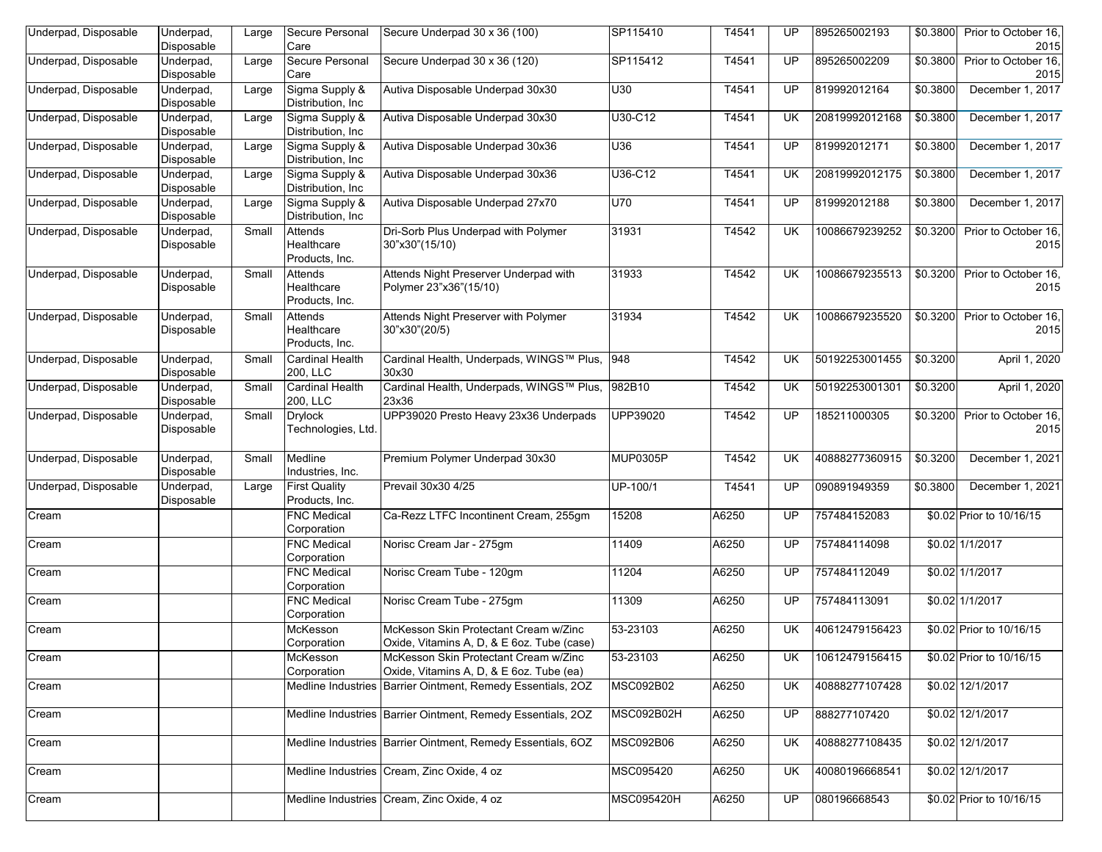| Underpad, Disposable | Underpad,<br>Disposable | Large | Secure Personal<br>Care                 | Secure Underpad 30 x 36 (100)                                                       | SP115410          | T4541 | UP        | 895265002193   | \$0.3800 | Prior to October 16,<br>2015          |
|----------------------|-------------------------|-------|-----------------------------------------|-------------------------------------------------------------------------------------|-------------------|-------|-----------|----------------|----------|---------------------------------------|
| Underpad, Disposable | Underpad,<br>Disposable | Large | Secure Personal<br>Care                 | Secure Underpad 30 x 36 (120)                                                       | SP115412          | T4541 | <b>UP</b> | 895265002209   | \$0.3800 | Prior to October 16,<br>2015          |
| Underpad, Disposable | Underpad,<br>Disposable | Large | Sigma Supply &<br>Distribution, Inc.    | Autiva Disposable Underpad 30x30                                                    | U30               | T4541 | <b>UP</b> | 819992012164   | \$0.3800 | December 1, 2017                      |
| Underpad, Disposable | Underpad,<br>Disposable | Large | Sigma Supply &<br>Distribution, Inc     | Autiva Disposable Underpad 30x30                                                    | U30-C12           | T4541 | UK.       | 20819992012168 | \$0.3800 | December 1, 2017                      |
| Underpad, Disposable | Underpad,<br>Disposable | Large | Sigma Supply &<br>Distribution, Inc.    | Autiva Disposable Underpad 30x36                                                    | U36               | T4541 | <b>UP</b> | 819992012171   | \$0.3800 | December 1, 2017                      |
| Underpad, Disposable | Underpad,<br>Disposable | Large | Sigma Supply &<br>Distribution, Inc     | Autiva Disposable Underpad 30x36                                                    | U36-C12           | T4541 | UK.       | 20819992012175 | \$0.3800 | December 1, 2017                      |
| Underpad, Disposable | Underpad,<br>Disposable | Large | Sigma Supply &<br>Distribution, Inc     | Autiva Disposable Underpad 27x70                                                    | <b>U70</b>        | T4541 | <b>UP</b> | 819992012188   | \$0.3800 | December 1, 2017                      |
| Underpad, Disposable | Underpad,<br>Disposable | Small | Attends<br>Healthcare<br>Products, Inc. | Dri-Sorb Plus Underpad with Polymer<br>30"x30"(15/10)                               | 31931             | T4542 | UK.       | 10086679239252 | \$0.3200 | Prior to October 16,<br>2015          |
| Underpad, Disposable | Underpad,<br>Disposable | Small | Attends<br>Healthcare<br>Products, Inc. | Attends Night Preserver Underpad with<br>Polymer 23"x36"(15/10)                     | 31933             | T4542 | UK.       | 10086679235513 | \$0.3200 | Prior to October 16,<br>2015          |
| Underpad, Disposable | Underpad,<br>Disposable | Small | Attends<br>Healthcare<br>Products, Inc. | Attends Night Preserver with Polymer<br>30"x30"(20/5)                               | 31934             | T4542 | UK.       | 10086679235520 |          | \$0.3200 Prior to October 16,<br>2015 |
| Underpad, Disposable | Underpad,<br>Disposable | Small | Cardinal Health<br>200, LLC             | Cardinal Health, Underpads, WINGS™ Plus,  948<br>30x30                              |                   | T4542 | UK.       | 50192253001455 | \$0.3200 | April 1, 2020                         |
| Underpad, Disposable | Underpad,<br>Disposable | Small | <b>Cardinal Health</b><br>200, LLC      | Cardinal Health, Underpads, WINGS™ Plus,<br>23x36                                   | 982B10            | T4542 | UK        | 50192253001301 | \$0.3200 | April 1, 2020                         |
| Underpad, Disposable | Underpad,<br>Disposable | Small | <b>Drylock</b><br>Technologies, Ltd.    | UPP39020 Presto Heavy 23x36 Underpads                                               | UPP39020          | T4542 | <b>UP</b> | 185211000305   | \$0.3200 | Prior to October 16,<br>2015          |
| Underpad, Disposable | Underpad,<br>Disposable | Small | Medline<br>Industries, Inc.             | Premium Polymer Underpad 30x30                                                      | <b>MUP0305P</b>   | T4542 | UK.       | 40888277360915 | \$0.3200 | December 1, 2021                      |
| Underpad, Disposable | Underpad,<br>Disposable | Large | <b>First Quality</b><br>Products, Inc.  | Prevail 30x30 4/25                                                                  | UP-100/1          | T4541 | UP        | 090891949359   | \$0.3800 | December 1, 2021                      |
| Cream                |                         |       | <b>FNC Medical</b><br>Corporation       | Ca-Rezz LTFC Incontinent Cream, 255gm                                               | 15208             | A6250 | UP        | 757484152083   |          | \$0.02 Prior to 10/16/15              |
| Cream                |                         |       | <b>FNC Medical</b><br>Corporation       | Norisc Cream Jar - 275gm                                                            | 11409             | A6250 | UP        | 757484114098   |          | \$0.02 1/1/2017                       |
| Cream                |                         |       | <b>FNC Medical</b><br>Corporation       | Norisc Cream Tube - 120gm                                                           | 11204             | A6250 | UP        | 757484112049   |          | \$0.02 1/1/2017                       |
| Cream                |                         |       | <b>FNC Medical</b><br>Corporation       | Norisc Cream Tube - 275gm                                                           | 11309             | A6250 | UP.       | 757484113091   |          | \$0.02 1/1/2017                       |
| Cream                |                         |       | McKesson<br>Corporation                 | McKesson Skin Protectant Cream w/Zinc<br>Oxide, Vitamins A, D, & E 6oz. Tube (case) | 53-23103          | A6250 | UK.       | 40612479156423 |          | \$0.02 Prior to 10/16/15              |
| Cream                |                         |       | McKesson<br>Corporation                 | McKesson Skin Protectant Cream w/Zinc<br>Oxide, Vitamins A, D, & E 6oz. Tube (ea)   | 53-23103          | A6250 | UK        | 10612479156415 |          | \$0.02 Prior to 10/16/15              |
| Cream                |                         |       |                                         | Medline Industries Barrier Ointment, Remedy Essentials, 20Z                         | <b>MSC092B02</b>  | A6250 | UK.       | 40888277107428 |          | \$0.02 12/1/2017                      |
| Cream                |                         |       |                                         | Medline Industries Barrier Ointment, Remedy Essentials, 20Z                         | MSC092B02H        | A6250 | <b>UP</b> | 888277107420   |          | \$0.02 12/1/2017                      |
| Cream                |                         |       |                                         | Medline Industries Barrier Ointment, Remedy Essentials, 6OZ                         | <b>MSC092B06</b>  | A6250 | UK.       | 40888277108435 |          | \$0.02 12/1/2017                      |
| Cream                |                         |       |                                         | Medline Industries Cream, Zinc Oxide, 4 oz                                          | MSC095420         | A6250 | UK        | 40080196668541 |          | \$0.02 12/1/2017                      |
| Cream                |                         |       |                                         | Medline Industries Cream, Zinc Oxide, 4 oz                                          | <b>MSC095420H</b> | A6250 | UP        | 080196668543   |          | \$0.02 Prior to 10/16/15              |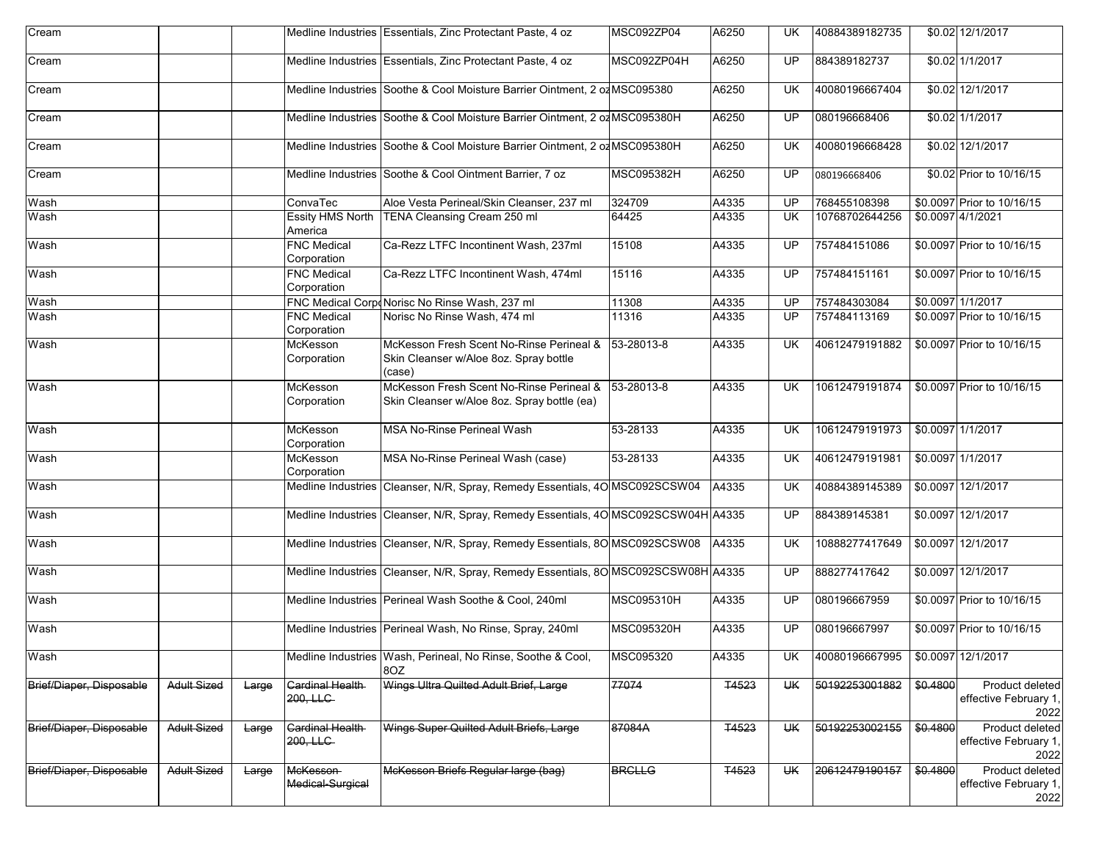| Cream                    |                    |       |                                    | Medline Industries Essentials, Zinc Protectant Paste, 4 oz                                              | MSC092ZP04        | A6250        | UK        | 40884389182735 |                   | \$0.02 12/1/2017                                 |
|--------------------------|--------------------|-------|------------------------------------|---------------------------------------------------------------------------------------------------------|-------------------|--------------|-----------|----------------|-------------------|--------------------------------------------------|
| Cream                    |                    |       |                                    | Medline Industries Essentials, Zinc Protectant Paste, 4 oz                                              | MSC092ZP04H       | A6250        | UP.       | 884389182737   |                   | \$0.02 1/1/2017                                  |
| Cream                    |                    |       |                                    | Medline Industries Soothe & Cool Moisture Barrier Ointment, 2 of MSC095380                              |                   | A6250        | UK        | 40080196667404 |                   | \$0.02 12/1/2017                                 |
| Cream                    |                    |       |                                    | Medline Industries Soothe & Cool Moisture Barrier Ointment, 2 of MSC095380H                             |                   | A6250        | UP        | 080196668406   |                   | \$0.02 1/1/2017                                  |
| Cream                    |                    |       |                                    | Medline Industries Soothe & Cool Moisture Barrier Ointment, 2 of MSC095380H                             |                   | A6250        | UK        | 40080196668428 |                   | \$0.02 12/1/2017                                 |
| Cream                    |                    |       |                                    | Medline Industries Soothe & Cool Ointment Barrier, 7 oz                                                 | <b>MSC095382H</b> | A6250        | UP        | 080196668406   |                   | \$0.02 Prior to 10/16/15                         |
| Wash                     |                    |       | ConvaTec                           | Aloe Vesta Perineal/Skin Cleanser, 237 ml                                                               | 324709            | A4335        | UP        | 768455108398   |                   | \$0.0097 Prior to 10/16/15                       |
| Wash                     |                    |       | <b>Essity HMS North</b><br>America | TENA Cleansing Cream 250 ml                                                                             | 64425             | A4335        | <b>UK</b> | 10768702644256 | \$0.0097 4/1/2021 |                                                  |
| Wash                     |                    |       | <b>FNC Medical</b><br>Corporation  | Ca-Rezz LTFC Incontinent Wash, 237ml                                                                    | 15108             | A4335        | UP        | 757484151086   |                   | \$0.0097 Prior to 10/16/15                       |
| Wash                     |                    |       | <b>FNC Medical</b><br>Corporation  | Ca-Rezz LTFC Incontinent Wash, 474ml                                                                    | 15116             | A4335        | UP        | 757484151161   |                   | \$0.0097 Prior to 10/16/15                       |
| Wash                     |                    |       |                                    | FNC Medical CorpoNorisc No Rinse Wash, 237 ml                                                           | 11308             | A4335        | UP        | 757484303084   |                   | \$0.0097 1/1/2017                                |
| Wash                     |                    |       | <b>FNC Medical</b><br>Corporation  | Norisc No Rinse Wash, 474 ml                                                                            | 11316             | A4335        | UP        | 757484113169   |                   | \$0.0097 Prior to 10/16/15                       |
| Wash                     |                    |       | McKesson<br>Corporation            | McKesson Fresh Scent No-Rinse Perineal & 53-28013-8<br>Skin Cleanser w/Aloe 8oz. Spray bottle<br>(case) |                   | A4335        | UK        | 40612479191882 |                   | \$0.0097 Prior to 10/16/15                       |
| Wash                     |                    |       | McKesson<br>Corporation            | McKesson Fresh Scent No-Rinse Perineal & 53-28013-8<br>Skin Cleanser w/Aloe 8oz. Spray bottle (ea)      |                   | A4335        | UK        | 10612479191874 |                   | \$0.0097 Prior to 10/16/15                       |
| Wash                     |                    |       | McKesson<br>Corporation            | <b>MSA No-Rinse Perineal Wash</b>                                                                       | 53-28133          | A4335        | <b>UK</b> | 10612479191973 |                   | \$0.0097 1/1/2017                                |
| Wash                     |                    |       | McKesson<br>Corporation            | MSA No-Rinse Perineal Wash (case)                                                                       | 53-28133          | A4335        | UK        | 40612479191981 |                   | \$0.0097 1/1/2017                                |
| Wash                     |                    |       |                                    | Medline Industries Cleanser, N/R, Spray, Remedy Essentials, 40 MSC092SCSW04                             |                   | A4335        | UK        | 40884389145389 |                   | \$0.0097 12/1/2017                               |
| Wash                     |                    |       |                                    | Medline Industries Cleanser, N/R, Spray, Remedy Essentials, 40 MSC092SCSW04H A4335                      |                   |              | UP        | 884389145381   |                   | \$0.0097 12/1/2017                               |
| Wash                     |                    |       |                                    | Medline Industries Cleanser, N/R, Spray, Remedy Essentials, 80 MSC092SCSW08                             |                   | A4335        | UK        | 10888277417649 |                   | \$0.0097 12/1/2017                               |
| Wash                     |                    |       |                                    | Medline Industries Cleanser, N/R, Spray, Remedy Essentials, 80 MSC092SCSW08H A4335                      |                   |              | UP        | 888277417642   |                   | \$0.0097 12/1/2017                               |
| Wash                     |                    |       |                                    | Medline Industries Perineal Wash Soothe & Cool, 240ml                                                   | <b>MSC095310H</b> | A4335        | UP        | 080196667959   |                   | \$0.0097 Prior to 10/16/15                       |
| Wash                     |                    |       |                                    | Medline Industries Perineal Wash, No Rinse, Spray, 240ml                                                | <b>MSC095320H</b> | A4335        | UP        | 080196667997   |                   | \$0.0097 Prior to 10/16/15                       |
| Wash                     |                    |       |                                    | Medline Industries Wash, Perineal, No Rinse, Soothe & Cool,<br>8OZ                                      | MSC095320         | A4335        | UK        | 40080196667995 |                   | \$0.0097 12/1/2017                               |
| Brief/Diaper, Disposable | <b>Adult Sized</b> | Large | Cardinal Health-<br>200, LLC       | Wings Ultra Quilted Adult Brief, Large                                                                  | 77074             | <b>T4523</b> | UK.       | 50192253001882 | \$0.4800          | Product deleted<br>effective February 1,<br>2022 |
| Brief/Diaper, Disposable | <b>Adult Sized</b> | Large | <b>Gardinal Health</b><br>200, LLC | Wings Super Quilted Adult Briefs, Large                                                                 | 87084A            | <b>T4523</b> | UK        | 50192253002155 | \$0.4800          | Product deleted<br>effective February 1,<br>2022 |
| Brief/Diaper, Disposable | <b>Adult Sized</b> | Large | McKesson-<br>Medical-Surgical      | McKesson Briefs Regular large (bag)                                                                     | <b>BRCLLG</b>     | <b>T4523</b> | UК        | 20612479190157 | \$0.4800          | Product deleted<br>effective February 1,<br>2022 |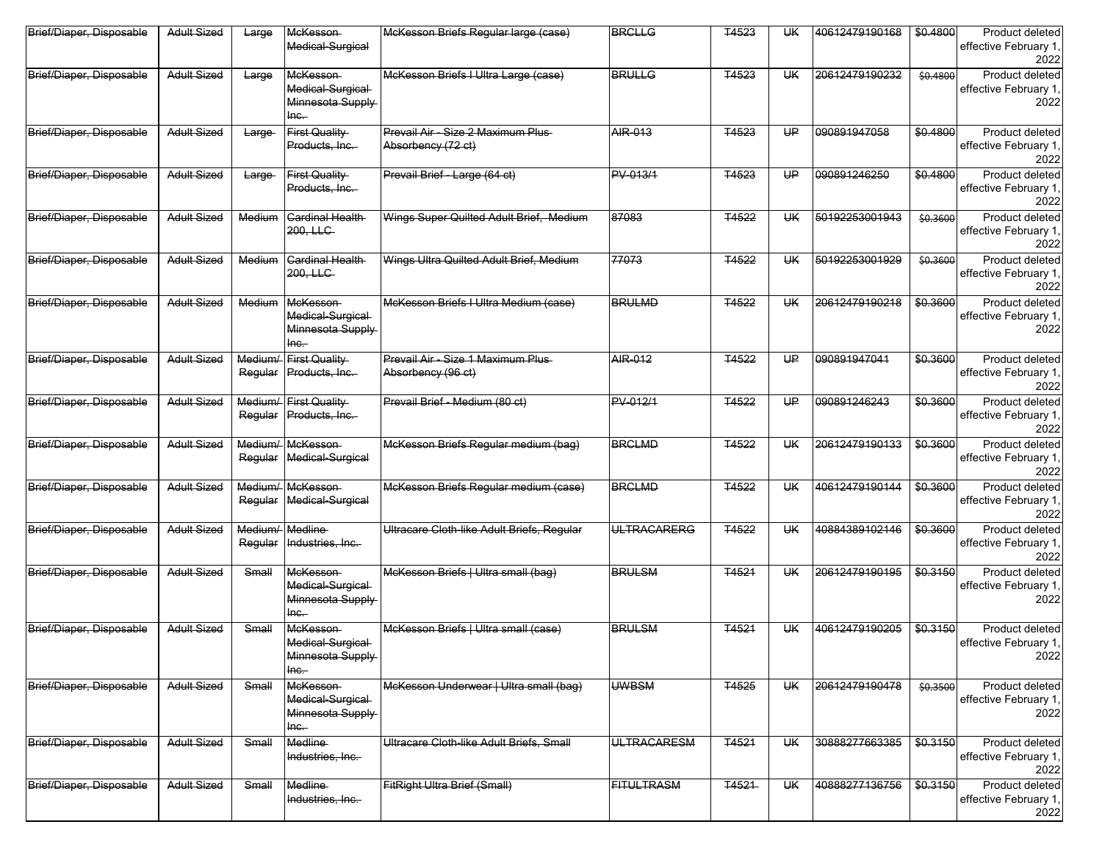| Brief/Diaper, Disposable | <b>Adult Sized</b> | Large        | McKesson<br>Medical-Surgical                                      | McKesson Briefs Regular large (case)                     | <b>BRCLLG</b>      | T4523        | UК        | 40612479190168 | \$0.4800 | Product deleted<br>effective February 1,<br>2022 |
|--------------------------|--------------------|--------------|-------------------------------------------------------------------|----------------------------------------------------------|--------------------|--------------|-----------|----------------|----------|--------------------------------------------------|
| Brief/Diaper, Disposable | <b>Adult Sized</b> | Large        | McKesson-<br>Medical-Surgical<br>Minnesota Supply<br>$lnc$ .      | McKesson Briefs I Ultra Large (case)                     | <b>BRULLG</b>      | <b>T4523</b> | <b>UK</b> | 20612479190232 | \$0,4800 | Product deleted<br>effective February 1,<br>2022 |
| Brief/Diaper, Disposable | <b>Adult Sized</b> | Large        | <b>First Quality</b><br>Products, Inc.                            | Prevail Air - Size 2 Maximum Plus-<br>Absorbency (72 ct) | AIR-013            | T4523        | HP        | 090891947058   | \$0.4800 | Product deleted<br>effective February 1,<br>2022 |
| Brief/Diaper, Disposable | <b>Adult Sized</b> | Large-       | <b>First Quality</b><br>Products, Inc.                            | Prevail Brief - Large (64 ct)                            | PV-013/1           | T4523        | HP        | 090891246250   | \$0.4800 | Product deleted<br>effective February 1,<br>2022 |
| Brief/Diaper, Disposable | <b>Adult Sized</b> | Medium       | <b>Cardinal Health</b><br>200, LLC                                | Wings Super Quilted Adult Brief, Medium                  | 87083              | <b>T4522</b> | <b>UK</b> | 50192253001943 | \$0.3600 | Product deleted<br>effective February 1,<br>2022 |
| Brief/Diaper, Disposable | <b>Adult Sized</b> | Medium       | <b>Cardinal Health</b><br>200, LLC                                | Wings Ultra Quilted Adult Brief, Medium                  | 77073              | T4522        | UK        | 50192253001929 | \$0.3600 | Product deleted<br>effective February 1,<br>2022 |
| Brief/Diaper, Disposable | <b>Adult Sized</b> | Medium       | <b>McKesson</b><br>Medical-Surgical<br>Minnesota Supply<br>$inc.$ | McKesson Briefs I Ultra Medium (case)                    | <b>BRULMD</b>      | <b>T4522</b> | <b>UK</b> | 20612479190218 | \$0.3600 | Product deleted<br>effective February 1,<br>2022 |
| Brief/Diaper, Disposable | <b>Adult Sized</b> |              | Medium/ First Quality<br>Regular Products, Inc.                   | Prevail Air - Size 1 Maximum Plus-<br>Absorbency (96 ct) | AIR-012            | T4522        | HP        | 090891947041   | \$0.3600 | Product deleted<br>effective February 1,<br>2022 |
| Brief/Diaper, Disposable | <b>Adult Sized</b> | Regular      | Medium/ First Quality<br>Products, Inc.                           | Prevail Brief - Medium (80 ct)                           | PV-012/1           | <b>T4522</b> | U₽        | 090891246243   | \$0.3600 | Product deleted<br>effective February 1.<br>2022 |
| Brief/Diaper, Disposable | <b>Adult Sized</b> | Regular      | Medium/ McKesson<br>Medical-Surgical                              | McKesson Briefs Regular medium (bag)                     | <b>BRCLMD</b>      | T4522        | <b>UK</b> | 20612479190133 | \$0.3600 | Product deleted<br>effective February 1,<br>2022 |
| Brief/Diaper, Disposable | <b>Adult Sized</b> | Regular      | Medium/ McKesson<br>Medical-Surgical                              | McKesson Briefs Regular medium (case)                    | <b>BRGLMD</b>      | <b>T4522</b> | <b>UK</b> | 40612479190144 | \$0.3600 | Product deleted<br>effective February 1,<br>2022 |
| Brief/Diaper, Disposable | <b>Adult Sized</b> | Regular      | Medium/ Medline<br>Industries, Inc.                               | Ultracare Cloth-like Adult Briefs, Regular               | <b>ULTRACARERG</b> | <b>T4522</b> | <b>UK</b> | 40884389102146 | \$0.3600 | Product deleted<br>effective February 1,<br>2022 |
| Brief/Diaper, Disposable | <b>Adult Sized</b> | Small        | McKesson<br>Medical-Surgical-<br>Minnesota Supply<br>$lnc$        | McKesson Briefs   Ultra small (bag)                      | <b>BRULSM</b>      | T4521        | <b>UK</b> | 20612479190195 | \$0.3150 | Product deleted<br>effective February 1,<br>2022 |
| Brief/Diaper, Disposable | <b>Adult Sized</b> | Small        | <b>McKesson</b><br>Medical-Surgical<br>Minnesota Supply<br>Inc.   | McKesson Briefs   Ultra small (case)                     | <b>BRULSM</b>      | <b>T4521</b> | ŲĶ        | 40612479190205 | \$0.3150 | Product deleted<br>effective February 1,<br>2022 |
| Brief/Diaper, Disposable | <b>Adult Sized</b> | Small        | McKesson<br>Medical-Surgical<br>Minnesota Supply<br>$inc-$        | McKesson Underwear   Ultra small (bag)                   | <b>UWBSM</b>       | <b>T4525</b> | UK.       | 20612479190478 | \$0.3500 | Product deleted<br>effective February 1,<br>2022 |
| Brief/Diaper, Disposable | <b>Adult Sized</b> | Small        | Medline-<br>Industries, Inc.                                      | Ultracare Cloth-like Adult Briefs, Small                 | <b>ULTRACARESM</b> | T4521        | <b>UK</b> | 30888277663385 | \$0.3150 | Product deleted<br>effective February 1,<br>2022 |
| Brief/Diaper, Disposable | <b>Adult Sized</b> | <b>Small</b> | <b>Medline</b><br>Industries, Inc.                                | FitRight Ultra Brief (Small)                             | <b>FITULTRASM</b>  | <b>T4521</b> | UK.       | 40888277136756 | \$0.3150 | Product deleted<br>effective February 1,<br>2022 |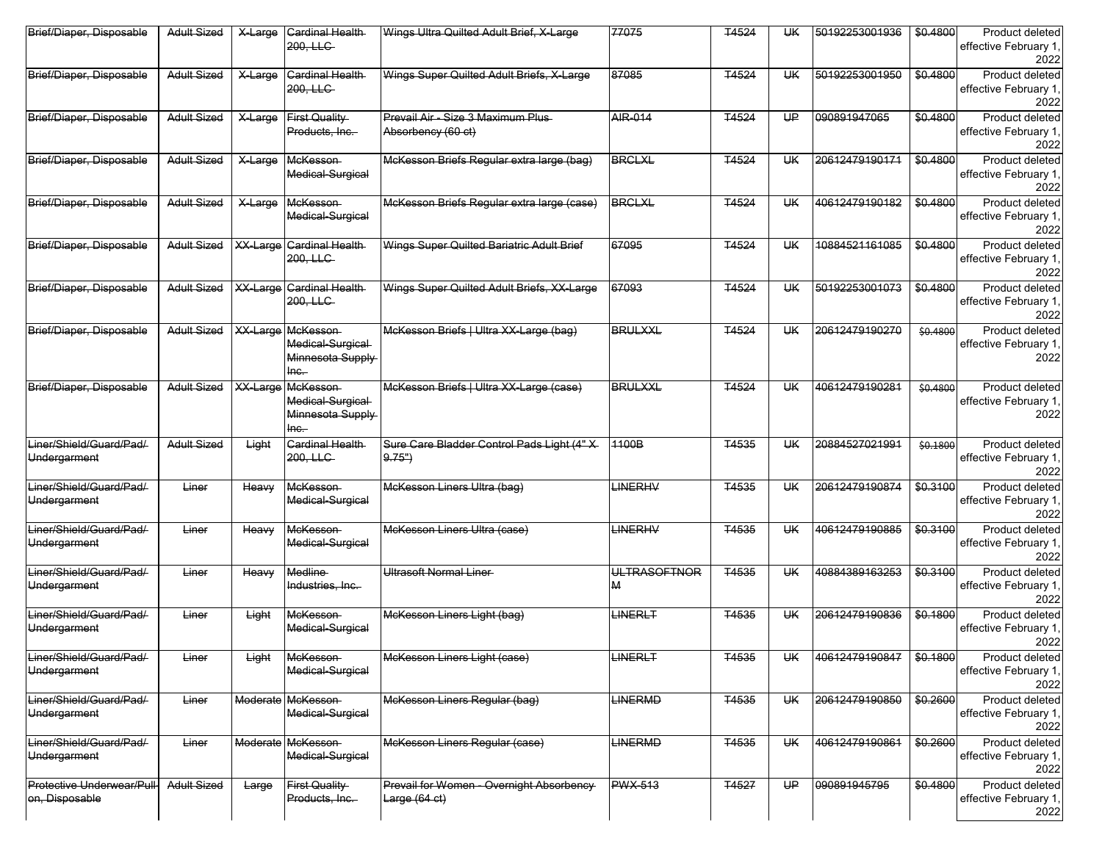| Brief/Diaper, Disposable                     | <b>Adult Sized</b> | X-Large         | <b>Cardinal Health</b><br>200, LLC                                         | Wings Ultra Quilted Adult Brief, X-Large                    | 77075                    | T4524        | UК        | 50192253001936 | \$0.4800 | Product deleted<br>effective February 1,<br>2022 |
|----------------------------------------------|--------------------|-----------------|----------------------------------------------------------------------------|-------------------------------------------------------------|--------------------------|--------------|-----------|----------------|----------|--------------------------------------------------|
| Brief/Diaper, Disposable                     | <b>Adult Sized</b> | X-Large         | <b>Cardinal Health</b><br>200, LLC-                                        | Wings Super Quilted Adult Briefs, X-Large                   | 87085                    | T4524        | <b>UK</b> | 50192253001950 | \$0.4800 | Product deleted<br>effective February 1,<br>2022 |
| Brief/Diaper, Disposable                     | <b>Adult Sized</b> | X-Large         | <b>First Quality</b><br>Products, Inc.                                     | Prevail Air - Size 3 Maximum Plus-<br>Absorbency (60 ct)    | <b>AIR-014</b>           | <b>T4524</b> | U₽        | 090891947065   | \$0.4800 | Product deleted<br>effective February 1,<br>2022 |
| Brief/Diaper, Disposable                     | <b>Adult Sized</b> | X-Large         | McKesson<br>Medical-Surgical                                               | McKesson Briefs Regular extra large (bag)                   | <b>BRCLXL</b>            | T4524        | <b>UK</b> | 20612479190171 | \$0.4800 | Product deleted<br>effective February 1,<br>2022 |
| Brief/Diaper, Disposable                     | <b>Adult Sized</b> | X-Large         | McKesson-<br>Medical-Surgical                                              | McKesson Briefs Regular extra large (case)                  | <b>BRCLXL</b>            | T4524        | <b>UK</b> | 40612479190182 | \$0.4800 | Product deleted<br>effective February 1.<br>2022 |
| Brief/Diaper, Disposable                     | <b>Adult Sized</b> | XX-Large        | <b>Cardinal Health</b><br>200, LLC                                         | Wings Super Quilted Bariatric Adult Brief                   | 67095                    | T4524        | UК        | 10884521161085 | \$0.4800 | Product deleted<br>effective February 1,<br>2022 |
| Brief/Diaper, Disposable                     | <b>Adult Sized</b> | XX-Large        | <b>Cardinal Health</b><br>200. LLC                                         | Wings Super Quilted Adult Briefs, XX-Large                  | 67093                    | T4524        | <b>UK</b> | 50192253001073 | \$0.4800 | Product deleted<br>effective February 1,<br>2022 |
| Brief/Diaper, Disposable                     | <b>Adult Sized</b> |                 | <b>XX-Large McKesson</b><br>Medical-Surgical<br>Minnesota Supply<br>$inc.$ | McKesson Briefs   Ultra XX-Large (bag)                      | <b>BRULXXL</b>           | T4524        | <b>UK</b> | 20612479190270 | \$0,4800 | Product deleted<br>effective February 1,<br>2022 |
| Brief/Diaper, Disposable                     | <b>Adult Sized</b> | <b>XX-Large</b> | McKesson-<br>Medical-Surgical-<br>Minnesota Supply<br>$lnc$                | McKesson Briefs   Ultra XX-Large (case)                     | <b>BRULXXL</b>           | T4524        | <b>UK</b> | 40612479190281 | \$0.4800 | Product deleted<br>effective February 1,<br>2022 |
| Liner/Shield/Guard/Pad/<br>Undergarment      | <b>Adult Sized</b> | Light           | Cardinal Health<br>200, LLC                                                | Sure Care Bladder Control Pads Light (4"X<br>$9.75^{\circ}$ | 1100B                    | T4535        | <b>UK</b> | 20884527021991 | \$0,1800 | Product deleted<br>effective February 1,<br>2022 |
| Liner/Shield/Guard/Pad/-<br>Undergarment     | Liner              | Heavy           | <b>McKesson</b><br>Medical-Surgical                                        | McKesson Liners Ultra (bag)                                 | <b>LINERHV</b>           | T4535        | <b>UK</b> | 20612479190874 | \$0.3100 | Product deleted<br>effective February 1,<br>2022 |
| Liner/Shield/Guard/Pad/<br>Undergarment      | Liner              | Heavy           | <b>McKesson</b><br>Medical-Surgical                                        | McKesson Liners Ultra (case)                                | <b>LINERHV</b>           | T4535        | <b>UK</b> | 40612479190885 | \$0,3100 | Product deleted<br>effective February 1,<br>2022 |
| Liner/Shield/Guard/Pad/<br>Undergarment      | Liner              | Heavy           | Medline-<br>Industries, Inc.                                               | <b>Ultrasoft Normal Liner-</b>                              | <b>ULTRASOFTNOR</b><br>М | <b>T4535</b> | <b>UK</b> | 40884389163253 | \$0.3100 | Product deleted<br>effective February 1,<br>2022 |
| Liner/Shield/Guard/Pad/-<br>Undergarment     | Liner              | Light           | McKesson-<br>Medical-Surgical                                              | McKesson Liners Light (bag)                                 | LINERLT                  | <b>T4535</b> | <b>UK</b> | 20612479190836 | \$0.1800 | Product deleted<br>effective February 1,<br>2022 |
| Liner/Shield/Guard/Pad/<br>Undergarment      | Liner              | Light           | McKesson<br>Medical-Surgical                                               | McKesson Liners Light (case)                                | LINERLT                  | <b>T4535</b> | UК        | 40612479190847 | \$0.1800 | Product deleted<br>effective February 1,<br>2022 |
| Liner/Shield/Guard/Pad/-<br>Undergarment     | Liner              |                 | Moderate McKesson<br>Medical-Surgical                                      | McKesson Liners Regular (bag)                               | <b>LINERMD</b>           | T4535        | <b>UK</b> | 20612479190850 | \$0.2600 | Product deleted<br>effective February 1,<br>2022 |
| Liner/Shield/Guard/Pad/-<br>Undergarment     | Liner              |                 | Moderate McKesson<br>Medical-Surgical                                      | McKesson Liners Regular (case)                              | <b>LINERMD</b>           | T4535        | <b>UK</b> | 40612479190861 | \$0.2600 | Product deleted<br>effective February 1,<br>2022 |
| Protective Underwear/Pull-<br>on, Disposable | <b>Adult Sized</b> | Large           | <b>First Quality</b><br>Products, Inc.                                     | Prevail for Women - Overnight Absorbency<br>Large (64 ct)   | <b>PWX-513</b>           | <b>T4527</b> | U₽        | 090891945795   | \$0.4800 | Product deleted<br>effective February 1,<br>2022 |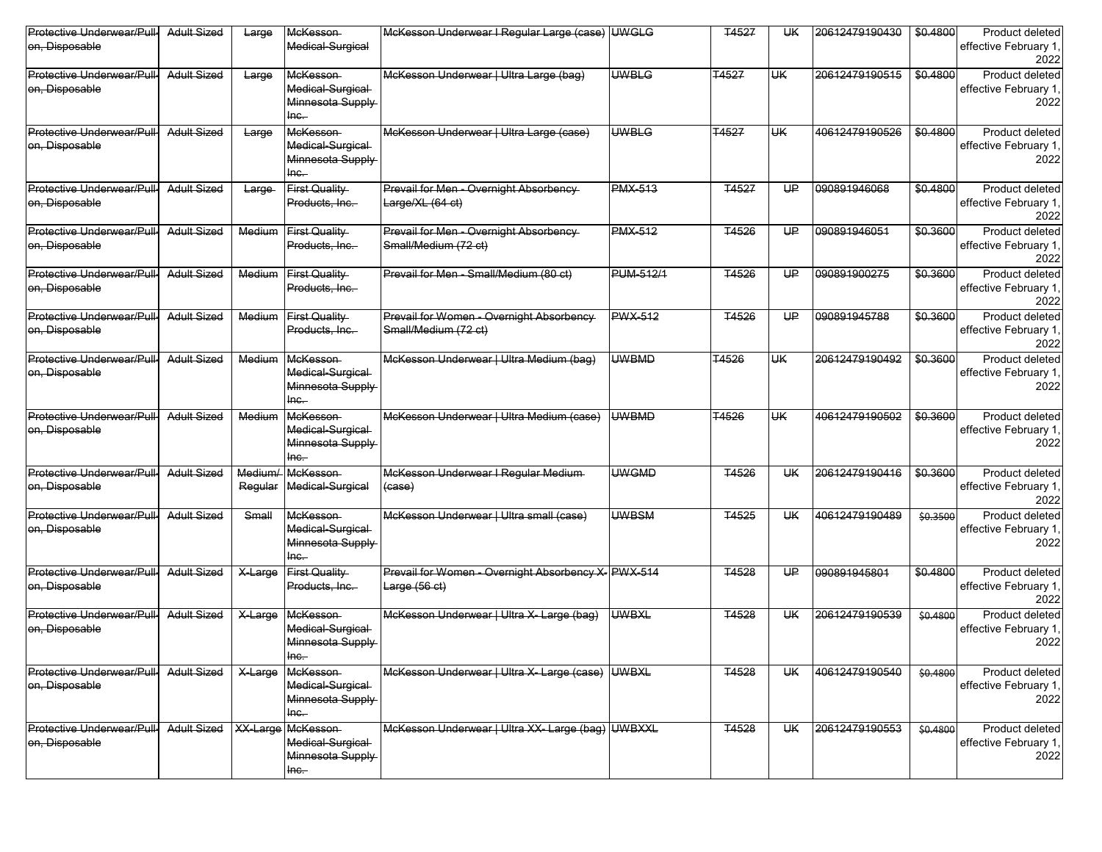| Protective Underwear/Pull-<br>on, Disposable        | <b>Adult Sized</b>     | Large              | McKesson<br>Medical-Surgical                                      | McKesson Underwear I Regular Large (case) UWGLG                       |                  | T4527        | UК            | 20612479190430 | \$0.4800 | Product deleted<br>effective February 1,<br>2022 |
|-----------------------------------------------------|------------------------|--------------------|-------------------------------------------------------------------|-----------------------------------------------------------------------|------------------|--------------|---------------|----------------|----------|--------------------------------------------------|
| Protective Underwear/Pull-<br>on, Disposable        | <b>Adult Sized</b>     | Large              | McKesson<br>Medical-Surgical-<br>Minnesota Supply<br>$lnc$ .      | McKesson Underwear   Ultra Large (bag)                                | <b>UWBLG</b>     | T4527        | <del>UK</del> | 20612479190515 | \$0.4800 | Product deleted<br>effective February 1,<br>2022 |
| Protective Underwear/Pull-<br>on, Disposable        | <b>Adult Sized</b>     | Large              | McKesson-<br>Medical-Surgical<br>Minnesota Supply<br>$lnc$ .      | McKesson Underwear   Ultra Large (case)                               | <b>UWBLG</b>     | T4527        | UK            | 40612479190526 | \$0.4800 | Product deleted<br>effective February 1,<br>2022 |
| Protective Underwear/Pull-<br>on, Disposable        | <b>Adult Sized</b>     | Large              | <b>First Quality</b><br>Products, Inc.                            | Prevail for Men - Overnight Absorbency<br>Large/XL (64 ct)            | <b>PMX-513</b>   | <b>T4527</b> | UP            | 090891946068   | \$0.4800 | Product deleted<br>effective February 1,<br>2022 |
| Protective Underwear/Pull<br>on, Disposable         | <b>Adult Sized</b>     | Medium             | First Quality<br>Products, Inc.                                   | Prevail for Men - Overnight Absorbency<br>Small/Medium (72 ct)        | <b>PMX-512</b>   | T4526        | HP            | 090891946051   | \$0.3600 | Product deleted<br>effective February 1,<br>2022 |
| Protective Underwear/Pull-<br>on, Disposable        | <b>Adult Sized</b>     | Medium             | First Quality<br>Products, Inc.                                   | Prevail for Men - Small/Medium (80 ct)                                | <b>PUM-512/1</b> | <b>T4526</b> | U₽            | 090891900275   | \$0.3600 | Product deleted<br>effective February 1,<br>2022 |
| Protective Underwear/Pull<br>on, Disposable         | <b>Adult Sized</b>     | Medium             | First Quality<br>Products, Inc.                                   | Prevail for Women - Overnight Absorbency<br>Small/Medium (72 ct)      | <b>PWX-512</b>   | <b>T4526</b> | U₽            | 090891945788   | \$0.3600 | Product deleted<br>effective February 1,<br>2022 |
| Protective Underwear/Pull-<br>on, Disposable        | <b>Adult Sized</b>     | Medium             | <b>McKesson</b><br>Medical-Surgical-<br>Minnesota Supply<br>$the$ | McKesson Underwear   Ultra Medium (bag)                               | <b>UWBMD</b>     | T4526        | UK            | 20612479190492 | \$0.3600 | Product deleted<br>effective February 1,<br>2022 |
| Protective Underwear/Pull-<br>on, Disposable        | <b>Adult Sized</b>     | Medium             | McKesson<br>Medical-Surgical-<br>Minnesota Supply<br>$lnc$ .      | McKesson Underwear   Ultra Medium (case)                              | <b>UWBMD</b>     | <b>T4526</b> | UK            | 40612479190502 | \$0.3600 | Product deleted<br>effective February 1,<br>2022 |
| Protective Underwear/Pull-<br>on, Disposable        | <b>Adult Sized</b>     | Medium/<br>Regular | McKesson<br>Medical-Surgical                                      | McKesson Underwear I Regular Medium<br>(case)                         | <b>UWGMD</b>     | <b>T4526</b> | <b>UK</b>     | 20612479190416 | \$0.3600 | Product deleted<br>effective February 1,<br>2022 |
| Protective Underwear/Pull<br>on, Disposable         | <b>Adult Sized</b>     | Small              | McKesson<br>Medical-Surgical<br>Minnesota Supply<br>$lnc$ .       | McKesson Underwear   Ultra small (case)                               | <b>UWBSM</b>     | <b>T4525</b> | <b>UK</b>     | 40612479190489 | \$0.3500 | Product deleted<br>effective February 1,<br>2022 |
| Protective Underwear/Pull-<br>on, Disposable        | <b>Adult Sized</b>     | X-Large            | First Quality<br>Products, Inc.                                   | Prevail for Women - Overnight Absorbency X- PWX-514<br>Large $(56ct)$ |                  | <b>T4528</b> | U₽            | 090891945801   | \$0.4800 | Product deleted<br>effective February 1,<br>2022 |
| Protective Underwear/Pull<br>on, Disposable         | <b>Adult Sized</b>     | X-Large            | <b>McKesson</b><br>Medical-Surgical<br>Minnesota Supply<br>$Inc-$ | McKesson Underwear   Ultra X- Large (bag)                             | <b>UWBXL</b>     | T4528        | <b>UK</b>     | 20612479190539 | \$0.4800 | Product deleted<br>effective February 1,<br>2022 |
| Protective Underwear/Pull-<br>on, Disposable        | <b>Adult Sized</b>     | X-Large            | McKesson-<br>Medical-Surgical-<br>Minnesota Supply<br>$lnc$       | McKesson Underwear   Ultra X- Large (case) UWBXL                      |                  | <b>T4528</b> | UК            | 40612479190540 | \$0.4800 | Product deleted<br>effective February 1,<br>2022 |
| <b>Protective Underwear/Pull-</b><br>on, Disposable | Adult Sized   XX-Large |                    | <b>McKesson</b><br>Medical-Surgical-<br>Minnesota Supply<br>Inc.  | McKesson Underwear   Ultra XX-Large (bag) UWBXXL                      |                  | <b>T4528</b> | UК            | 20612479190553 | \$0,4800 | Product deleted<br>effective February 1,<br>2022 |